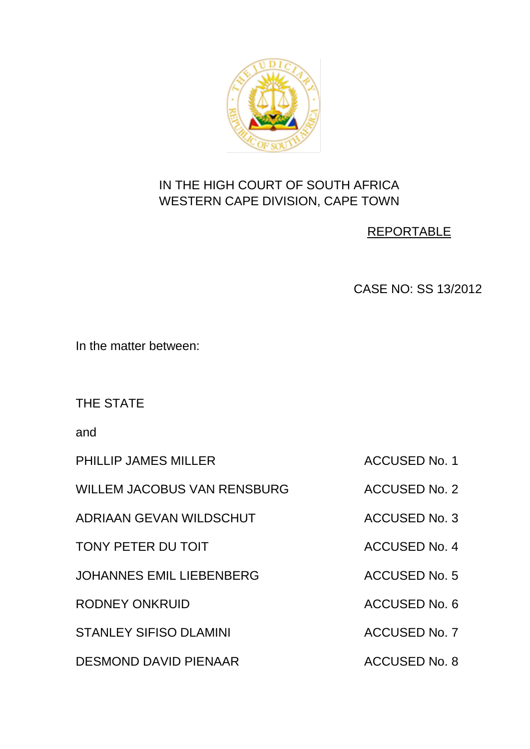

# IN THE HIGH COURT OF SOUTH AFRICA WESTERN CAPE DIVISION, CAPE TOWN

## REPORTABLE

CASE NO: SS 13/2012

In the matter between:

THE STATE

and

PHILLIP JAMES MILLER ACCUSED No. 1

WILLEM JACOBUS VAN RENSBURG ACCUSED No. 2

ADRIAAN GEVAN WILDSCHUT ACCUSED No. 3

TONY PETER DU TOIT ACCUSED No. 4

JOHANNES EMIL LIEBENBERG ACCUSED No. 5

RODNEY ONKRUID ACCUSED No. 6

STANLEY SIFISO DLAMINI ACCUSED No. 7

DESMOND DAVID PIENAAR ACCUSED No. 8

- - -
	-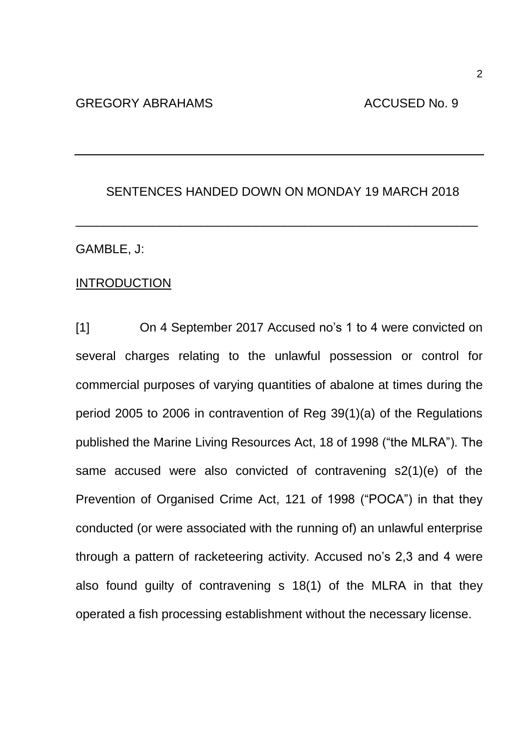## SENTENCES HANDED DOWN ON MONDAY 19 MARCH 2018

\_\_\_\_\_\_\_\_\_\_\_\_\_\_\_\_\_\_\_\_\_\_\_\_\_\_\_\_\_\_\_\_\_\_\_\_\_\_\_\_\_\_\_\_\_\_\_\_\_\_\_\_\_\_\_\_\_\_

#### GAMBLE, J:

### **INTRODUCTION**

[1] On 4 September 2017 Accused no's 1 to 4 were convicted on several charges relating to the unlawful possession or control for commercial purposes of varying quantities of abalone at times during the period 2005 to 2006 in contravention of Reg 39(1)(a) of the Regulations published the Marine Living Resources Act, 18 of 1998 ("the MLRA"). The same accused were also convicted of contravening s2(1)(e) of the Prevention of Organised Crime Act, 121 of 1998 ("POCA") in that they conducted (or were associated with the running of) an unlawful enterprise through a pattern of racketeering activity. Accused no's 2,3 and 4 were also found guilty of contravening s 18(1) of the MLRA in that they operated a fish processing establishment without the necessary license.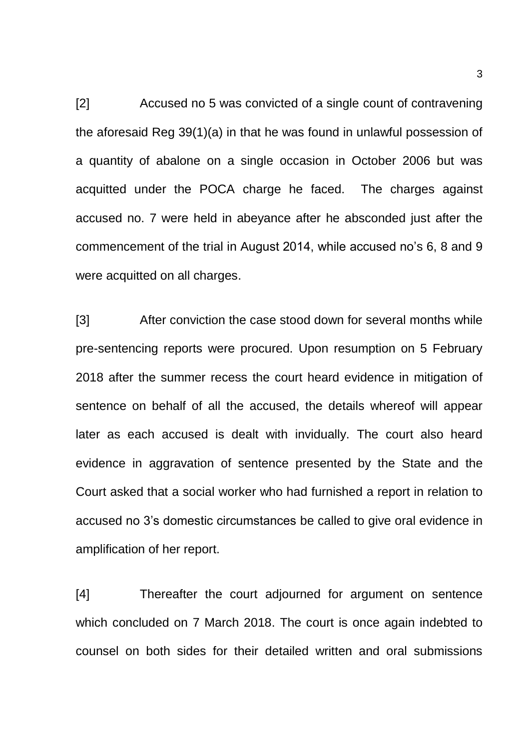[2] Accused no 5 was convicted of a single count of contravening the aforesaid Reg 39(1)(a) in that he was found in unlawful possession of a quantity of abalone on a single occasion in October 2006 but was acquitted under the POCA charge he faced. The charges against accused no. 7 were held in abeyance after he absconded just after the commencement of the trial in August 2014, while accused no's 6, 8 and 9 were acquitted on all charges.

[3] After conviction the case stood down for several months while pre-sentencing reports were procured. Upon resumption on 5 February 2018 after the summer recess the court heard evidence in mitigation of sentence on behalf of all the accused, the details whereof will appear later as each accused is dealt with invidually. The court also heard evidence in aggravation of sentence presented by the State and the Court asked that a social worker who had furnished a report in relation to accused no 3's domestic circumstances be called to give oral evidence in amplification of her report.

[4] Thereafter the court adjourned for argument on sentence which concluded on 7 March 2018. The court is once again indebted to counsel on both sides for their detailed written and oral submissions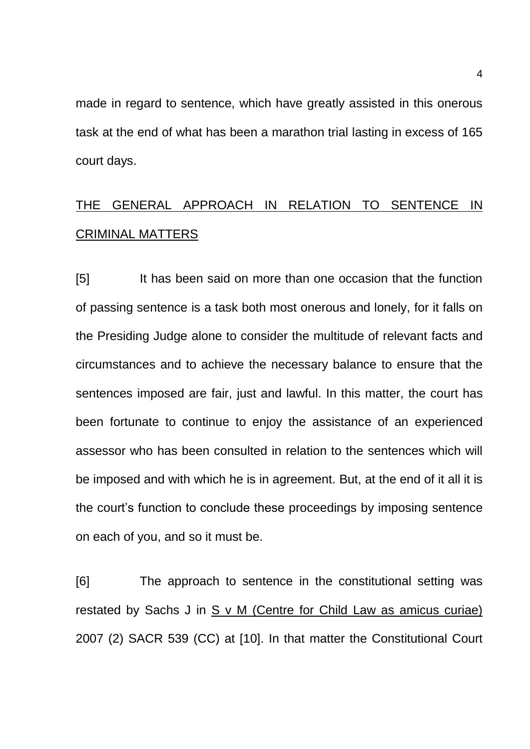made in regard to sentence, which have greatly assisted in this onerous task at the end of what has been a marathon trial lasting in excess of 165 court days.

# THE GENERAL APPROACH IN RELATION TO SENTENCE IN CRIMINAL MATTERS

[5] It has been said on more than one occasion that the function of passing sentence is a task both most onerous and lonely, for it falls on the Presiding Judge alone to consider the multitude of relevant facts and circumstances and to achieve the necessary balance to ensure that the sentences imposed are fair, just and lawful. In this matter, the court has been fortunate to continue to enjoy the assistance of an experienced assessor who has been consulted in relation to the sentences which will be imposed and with which he is in agreement. But, at the end of it all it is the court's function to conclude these proceedings by imposing sentence on each of you, and so it must be.

[6] The approach to sentence in the constitutional setting was restated by Sachs J in S v M (Centre for Child Law as amicus curiae) 2007 (2) SACR 539 (CC) at [10]. In that matter the Constitutional Court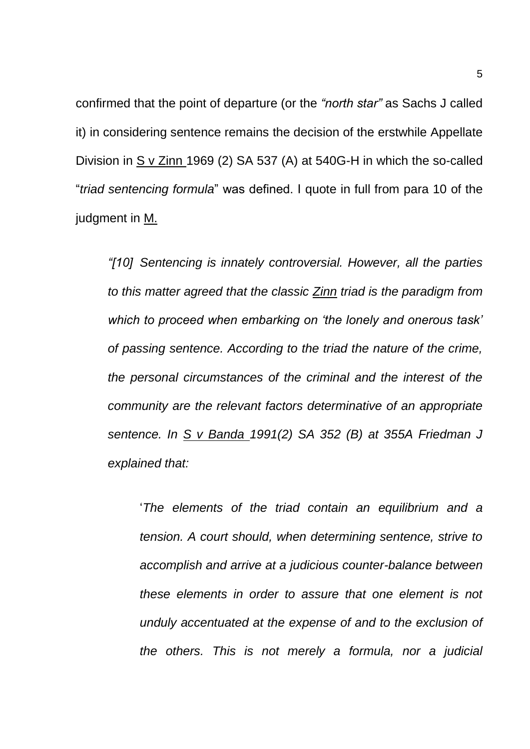confirmed that the point of departure (or the *"north star"* as Sachs J called it) in considering sentence remains the decision of the erstwhile Appellate Division in S v Zinn 1969 (2) SA 537 (A) at 540G-H in which the so-called "*triad sentencing formula*" was defined. I quote in full from para 10 of the judgment in M.

*"[10] Sentencing is innately controversial. However, all the parties to this matter agreed that the classic Zinn triad is the paradigm from which to proceed when embarking on 'the lonely and onerous task' of passing sentence. According to the triad the nature of the crime, the personal circumstances of the criminal and the interest of the community are the relevant factors determinative of an appropriate sentence. In S v Banda 1991(2) SA 352 (B) at 355A Friedman J explained that:*

'*The elements of the triad contain an equilibrium and a tension. A court should, when determining sentence, strive to accomplish and arrive at a judicious counter-balance between these elements in order to assure that one element is not unduly accentuated at the expense of and to the exclusion of the others. This is not merely a formula, nor a judicial*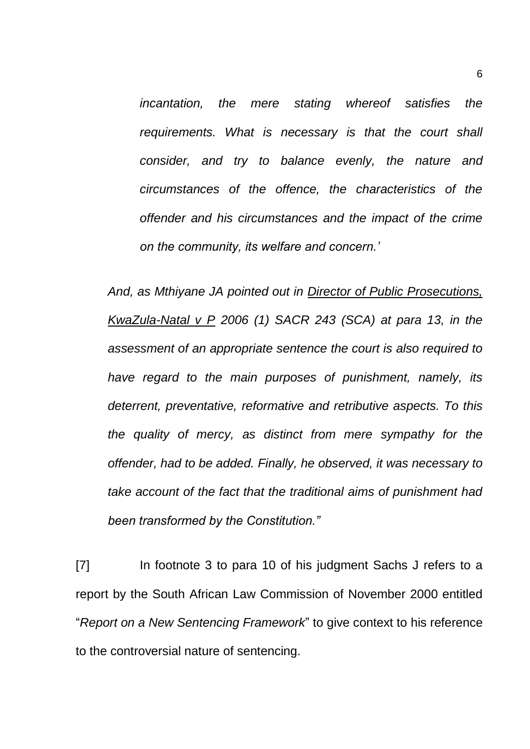*incantation, the mere stating whereof satisfies the requirements. What is necessary is that the court shall consider, and try to balance evenly, the nature and circumstances of the offence, the characteristics of the offender and his circumstances and the impact of the crime on the community, its welfare and concern.'*

*And, as Mthiyane JA pointed out in Director of Public Prosecutions, KwaZula-Natal v P 2006 (1) SACR 243 (SCA) at para 13, in the assessment of an appropriate sentence the court is also required to have regard to the main purposes of punishment, namely, its deterrent, preventative, reformative and retributive aspects. To this the quality of mercy, as distinct from mere sympathy for the offender, had to be added. Finally, he observed, it was necessary to take account of the fact that the traditional aims of punishment had been transformed by the Constitution."*

[7] In footnote 3 to para 10 of his judgment Sachs J refers to a report by the South African Law Commission of November 2000 entitled "*Report on a New Sentencing Framework*" to give context to his reference to the controversial nature of sentencing.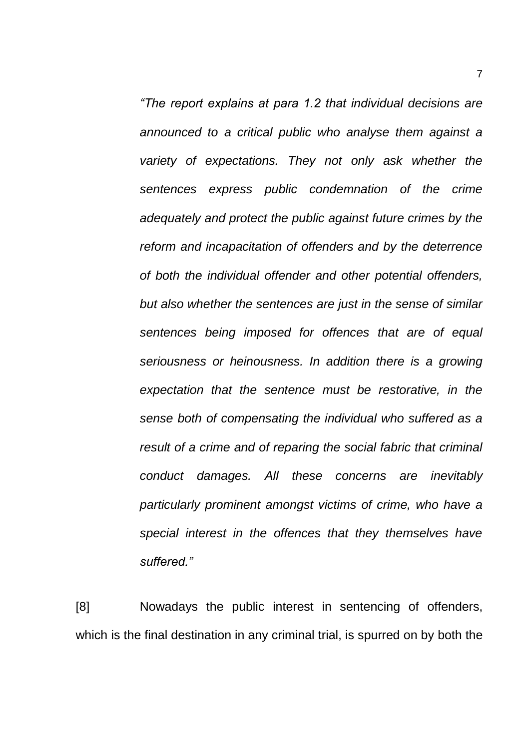*"The report explains at para 1.2 that individual decisions are announced to a critical public who analyse them against a variety of expectations. They not only ask whether the sentences express public condemnation of the crime adequately and protect the public against future crimes by the reform and incapacitation of offenders and by the deterrence of both the individual offender and other potential offenders, but also whether the sentences are just in the sense of similar sentences being imposed for offences that are of equal seriousness or heinousness. In addition there is a growing expectation that the sentence must be restorative, in the sense both of compensating the individual who suffered as a result of a crime and of reparing the social fabric that criminal conduct damages. All these concerns are inevitably particularly prominent amongst victims of crime, who have a special interest in the offences that they themselves have suffered."*

[8] Nowadays the public interest in sentencing of offenders, which is the final destination in any criminal trial, is spurred on by both the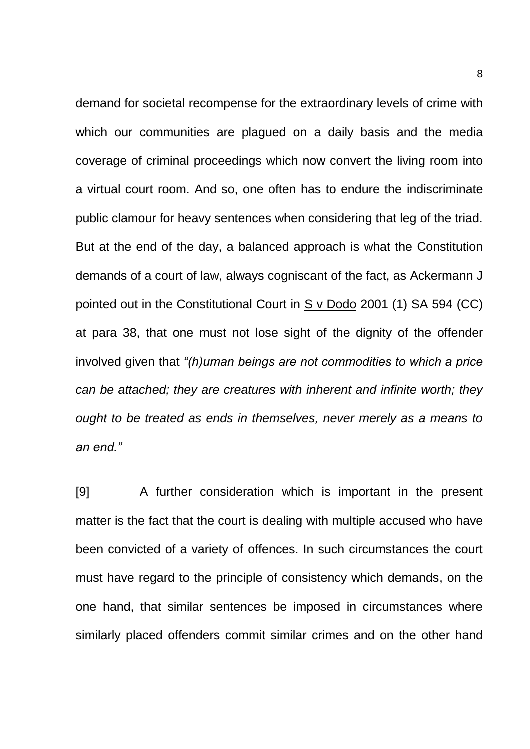demand for societal recompense for the extraordinary levels of crime with which our communities are plagued on a daily basis and the media coverage of criminal proceedings which now convert the living room into a virtual court room. And so, one often has to endure the indiscriminate public clamour for heavy sentences when considering that leg of the triad. But at the end of the day, a balanced approach is what the Constitution demands of a court of law, always cogniscant of the fact, as Ackermann J pointed out in the Constitutional Court in S v Dodo 2001 (1) SA 594 (CC) at para 38, that one must not lose sight of the dignity of the offender involved given that *"(h)uman beings are not commodities to which a price can be attached; they are creatures with inherent and infinite worth; they ought to be treated as ends in themselves, never merely as a means to an end."*

[9] A further consideration which is important in the present matter is the fact that the court is dealing with multiple accused who have been convicted of a variety of offences. In such circumstances the court must have regard to the principle of consistency which demands, on the one hand, that similar sentences be imposed in circumstances where similarly placed offenders commit similar crimes and on the other hand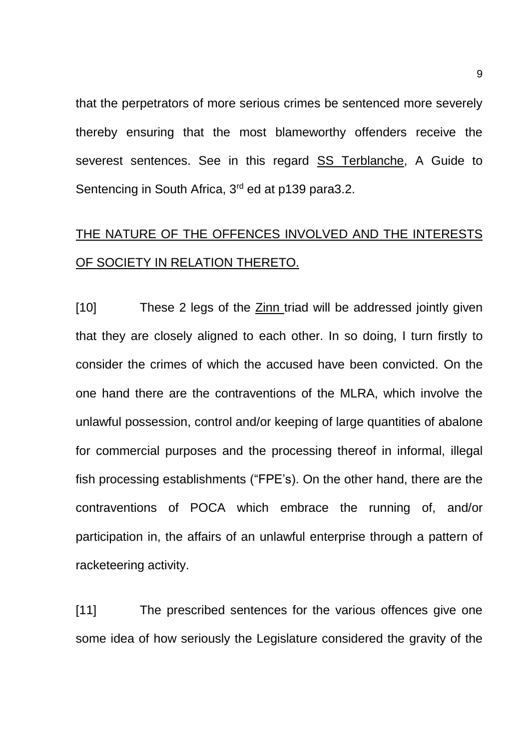that the perpetrators of more serious crimes be sentenced more severely thereby ensuring that the most blameworthy offenders receive the severest sentences. See in this regard SS Terblanche, A Guide to Sentencing in South Africa, 3<sup>rd</sup> ed at p139 para3.2.

# THE NATURE OF THE OFFENCES INVOLVED AND THE INTERESTS OF SOCIETY IN RELATION THERETO.

[10] These 2 legs of the **Zinn** triad will be addressed jointly given that they are closely aligned to each other. In so doing, I turn firstly to consider the crimes of which the accused have been convicted. On the one hand there are the contraventions of the MLRA, which involve the unlawful possession, control and/or keeping of large quantities of abalone for commercial purposes and the processing thereof in informal, illegal fish processing establishments ("FPE's). On the other hand, there are the contraventions of POCA which embrace the running of, and/or participation in, the affairs of an unlawful enterprise through a pattern of racketeering activity.

[11] The prescribed sentences for the various offences give one some idea of how seriously the Legislature considered the gravity of the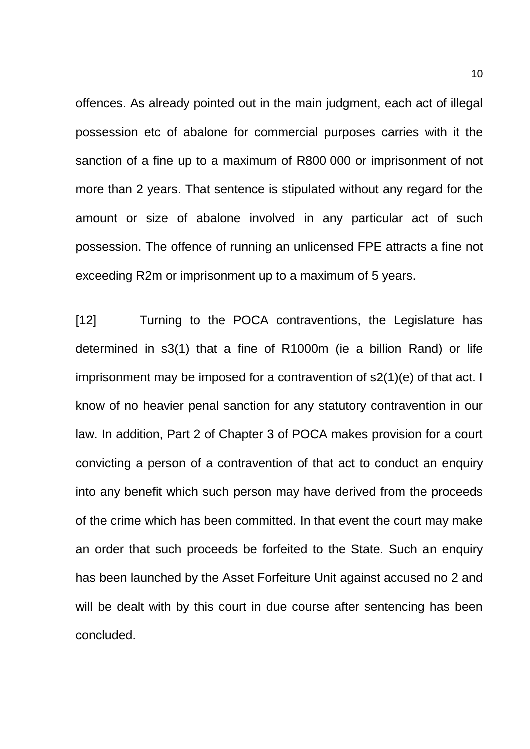offences. As already pointed out in the main judgment, each act of illegal possession etc of abalone for commercial purposes carries with it the sanction of a fine up to a maximum of R800 000 or imprisonment of not more than 2 years. That sentence is stipulated without any regard for the amount or size of abalone involved in any particular act of such possession. The offence of running an unlicensed FPE attracts a fine not exceeding R2m or imprisonment up to a maximum of 5 years.

[12] Turning to the POCA contraventions, the Legislature has determined in s3(1) that a fine of R1000m (ie a billion Rand) or life imprisonment may be imposed for a contravention of s2(1)(e) of that act. I know of no heavier penal sanction for any statutory contravention in our law. In addition, Part 2 of Chapter 3 of POCA makes provision for a court convicting a person of a contravention of that act to conduct an enquiry into any benefit which such person may have derived from the proceeds of the crime which has been committed. In that event the court may make an order that such proceeds be forfeited to the State. Such an enquiry has been launched by the Asset Forfeiture Unit against accused no 2 and will be dealt with by this court in due course after sentencing has been concluded.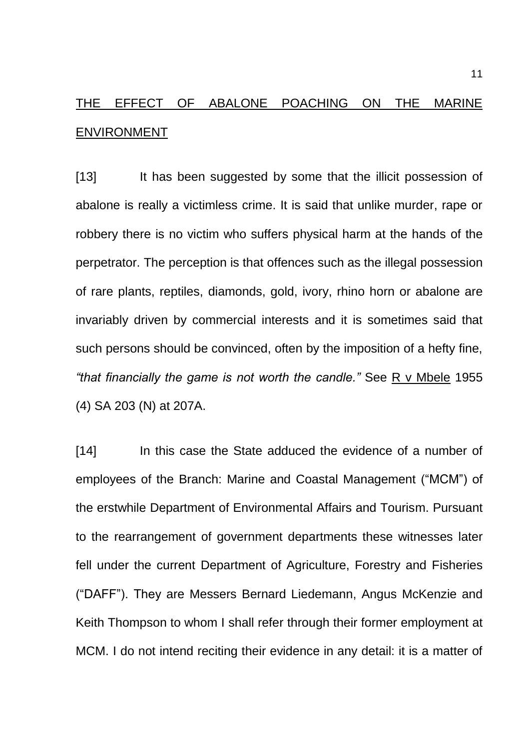# THE EFFECT OF ABALONE POACHING ON THE MARINE ENVIRONMENT

[13] It has been suggested by some that the illicit possession of abalone is really a victimless crime. It is said that unlike murder, rape or robbery there is no victim who suffers physical harm at the hands of the perpetrator. The perception is that offences such as the illegal possession of rare plants, reptiles, diamonds, gold, ivory, rhino horn or abalone are invariably driven by commercial interests and it is sometimes said that such persons should be convinced, often by the imposition of a hefty fine, *"that financially the game is not worth the candle."* See R v Mbele 1955 (4) SA 203 (N) at 207A.

[14] In this case the State adduced the evidence of a number of employees of the Branch: Marine and Coastal Management ("MCM") of the erstwhile Department of Environmental Affairs and Tourism. Pursuant to the rearrangement of government departments these witnesses later fell under the current Department of Agriculture, Forestry and Fisheries ("DAFF"). They are Messers Bernard Liedemann, Angus McKenzie and Keith Thompson to whom I shall refer through their former employment at MCM. I do not intend reciting their evidence in any detail: it is a matter of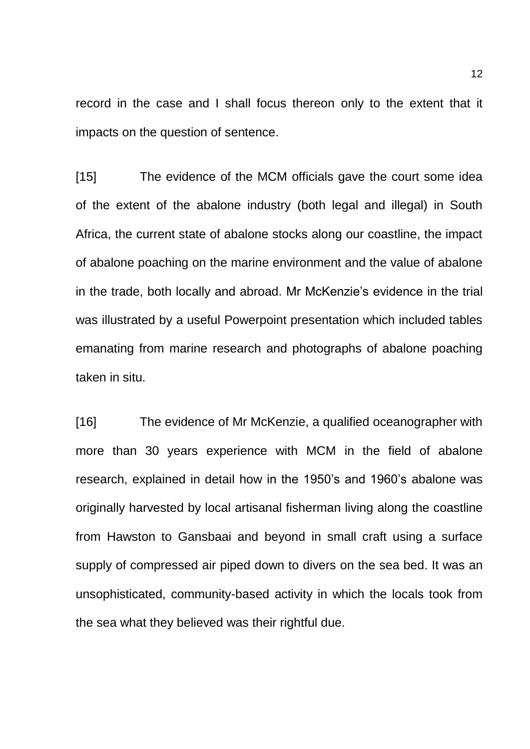record in the case and I shall focus thereon only to the extent that it impacts on the question of sentence.

[15] The evidence of the MCM officials gave the court some idea of the extent of the abalone industry (both legal and illegal) in South Africa, the current state of abalone stocks along our coastline, the impact of abalone poaching on the marine environment and the value of abalone in the trade, both locally and abroad. Mr McKenzie's evidence in the trial was illustrated by a useful Powerpoint presentation which included tables emanating from marine research and photographs of abalone poaching taken in situ.

[16] The evidence of Mr McKenzie, a qualified oceanographer with more than 30 years experience with MCM in the field of abalone research, explained in detail how in the 1950's and 1960's abalone was originally harvested by local artisanal fisherman living along the coastline from Hawston to Gansbaai and beyond in small craft using a surface supply of compressed air piped down to divers on the sea bed. It was an unsophisticated, community-based activity in which the locals took from the sea what they believed was their rightful due.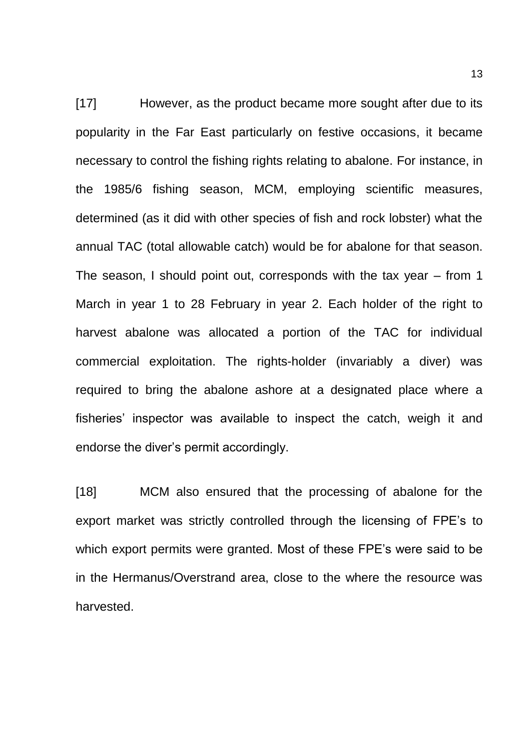[17] However, as the product became more sought after due to its popularity in the Far East particularly on festive occasions, it became necessary to control the fishing rights relating to abalone. For instance, in the 1985/6 fishing season, MCM, employing scientific measures, determined (as it did with other species of fish and rock lobster) what the annual TAC (total allowable catch) would be for abalone for that season. The season, I should point out, corresponds with the tax year – from 1 March in year 1 to 28 February in year 2. Each holder of the right to harvest abalone was allocated a portion of the TAC for individual commercial exploitation. The rights-holder (invariably a diver) was required to bring the abalone ashore at a designated place where a fisheries' inspector was available to inspect the catch, weigh it and endorse the diver's permit accordingly.

[18] MCM also ensured that the processing of abalone for the export market was strictly controlled through the licensing of FPE's to which export permits were granted. Most of these FPE's were said to be in the Hermanus/Overstrand area, close to the where the resource was harvested.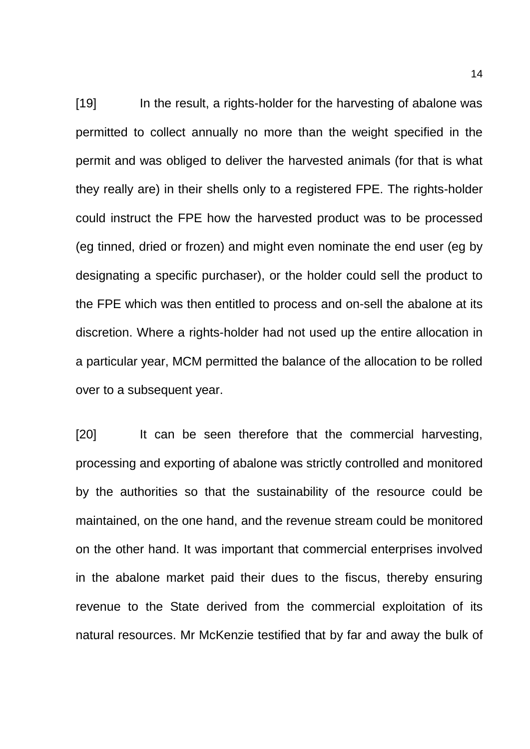[19] In the result, a rights-holder for the harvesting of abalone was permitted to collect annually no more than the weight specified in the permit and was obliged to deliver the harvested animals (for that is what they really are) in their shells only to a registered FPE. The rights-holder could instruct the FPE how the harvested product was to be processed (eg tinned, dried or frozen) and might even nominate the end user (eg by designating a specific purchaser), or the holder could sell the product to the FPE which was then entitled to process and on-sell the abalone at its discretion. Where a rights-holder had not used up the entire allocation in a particular year, MCM permitted the balance of the allocation to be rolled over to a subsequent year.

[20] It can be seen therefore that the commercial harvesting, processing and exporting of abalone was strictly controlled and monitored by the authorities so that the sustainability of the resource could be maintained, on the one hand, and the revenue stream could be monitored on the other hand. It was important that commercial enterprises involved in the abalone market paid their dues to the fiscus, thereby ensuring revenue to the State derived from the commercial exploitation of its natural resources. Mr McKenzie testified that by far and away the bulk of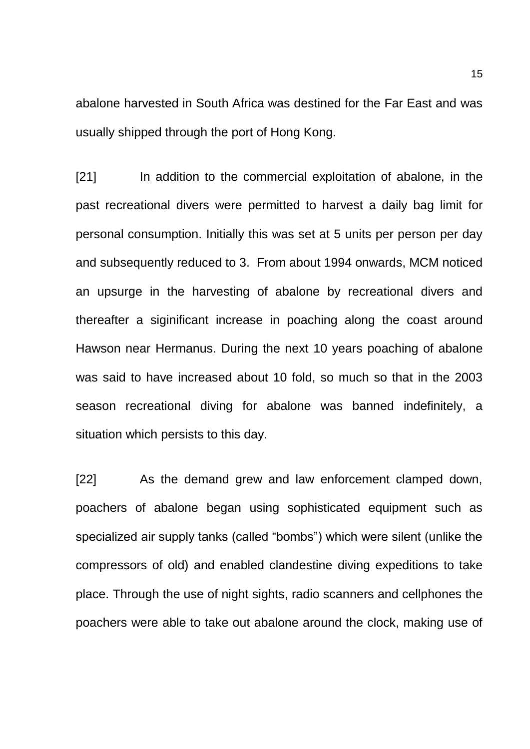abalone harvested in South Africa was destined for the Far East and was usually shipped through the port of Hong Kong.

[21] In addition to the commercial exploitation of abalone, in the past recreational divers were permitted to harvest a daily bag limit for personal consumption. Initially this was set at 5 units per person per day and subsequently reduced to 3. From about 1994 onwards, MCM noticed an upsurge in the harvesting of abalone by recreational divers and thereafter a siginificant increase in poaching along the coast around Hawson near Hermanus. During the next 10 years poaching of abalone was said to have increased about 10 fold, so much so that in the 2003 season recreational diving for abalone was banned indefinitely, a situation which persists to this day.

[22] As the demand grew and law enforcement clamped down, poachers of abalone began using sophisticated equipment such as specialized air supply tanks (called "bombs") which were silent (unlike the compressors of old) and enabled clandestine diving expeditions to take place. Through the use of night sights, radio scanners and cellphones the poachers were able to take out abalone around the clock, making use of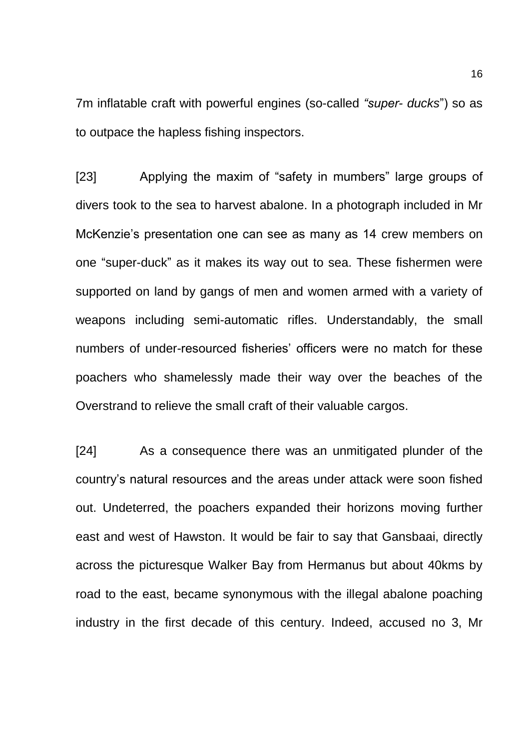7m inflatable craft with powerful engines (so-called *"super- ducks*") so as to outpace the hapless fishing inspectors.

[23] Applying the maxim of "safety in mumbers" large groups of divers took to the sea to harvest abalone. In a photograph included in Mr McKenzie's presentation one can see as many as 14 crew members on one "super-duck" as it makes its way out to sea. These fishermen were supported on land by gangs of men and women armed with a variety of weapons including semi-automatic rifles. Understandably, the small numbers of under-resourced fisheries' officers were no match for these poachers who shamelessly made their way over the beaches of the Overstrand to relieve the small craft of their valuable cargos.

[24] As a consequence there was an unmitigated plunder of the country's natural resources and the areas under attack were soon fished out. Undeterred, the poachers expanded their horizons moving further east and west of Hawston. It would be fair to say that Gansbaai, directly across the picturesque Walker Bay from Hermanus but about 40kms by road to the east, became synonymous with the illegal abalone poaching industry in the first decade of this century. Indeed, accused no 3, Mr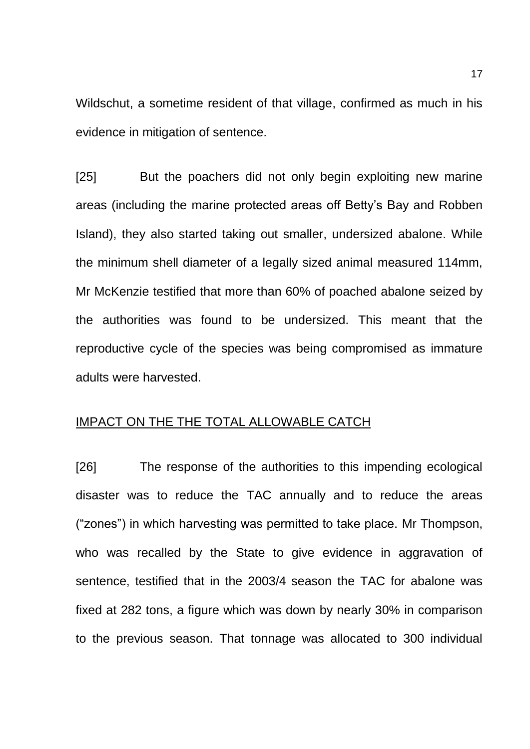Wildschut, a sometime resident of that village, confirmed as much in his evidence in mitigation of sentence.

[25] But the poachers did not only begin exploiting new marine areas (including the marine protected areas off Betty's Bay and Robben Island), they also started taking out smaller, undersized abalone. While the minimum shell diameter of a legally sized animal measured 114mm, Mr McKenzie testified that more than 60% of poached abalone seized by the authorities was found to be undersized. This meant that the reproductive cycle of the species was being compromised as immature adults were harvested.

## IMPACT ON THE THE TOTAL ALLOWABLE CATCH

[26] The response of the authorities to this impending ecological disaster was to reduce the TAC annually and to reduce the areas ("zones") in which harvesting was permitted to take place. Mr Thompson, who was recalled by the State to give evidence in aggravation of sentence, testified that in the 2003/4 season the TAC for abalone was fixed at 282 tons, a figure which was down by nearly 30% in comparison to the previous season. That tonnage was allocated to 300 individual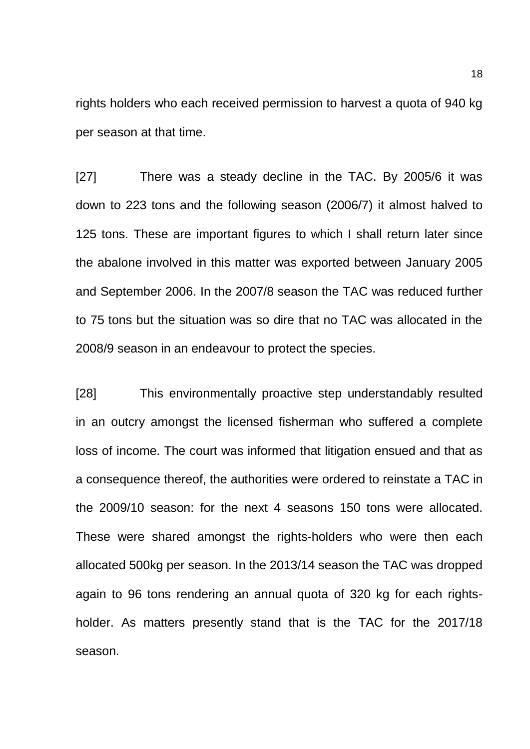rights holders who each received permission to harvest a quota of 940 kg per season at that time.

[27] There was a steady decline in the TAC. By 2005/6 it was down to 223 tons and the following season (2006/7) it almost halved to 125 tons. These are important figures to which I shall return later since the abalone involved in this matter was exported between January 2005 and September 2006. In the 2007/8 season the TAC was reduced further to 75 tons but the situation was so dire that no TAC was allocated in the 2008/9 season in an endeavour to protect the species.

[28] This environmentally proactive step understandably resulted in an outcry amongst the licensed fisherman who suffered a complete loss of income. The court was informed that litigation ensued and that as a consequence thereof, the authorities were ordered to reinstate a TAC in the 2009/10 season: for the next 4 seasons 150 tons were allocated. These were shared amongst the rights-holders who were then each allocated 500kg per season. In the 2013/14 season the TAC was dropped again to 96 tons rendering an annual quota of 320 kg for each rightsholder. As matters presently stand that is the TAC for the 2017/18 season.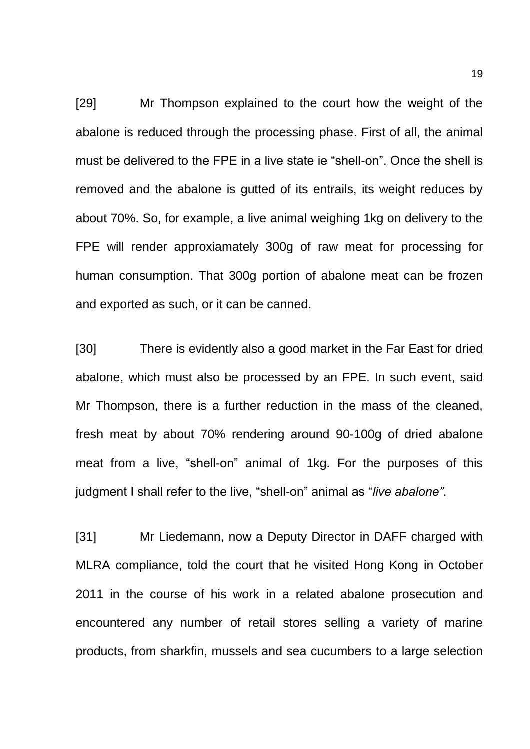[29] Mr Thompson explained to the court how the weight of the abalone is reduced through the processing phase. First of all, the animal must be delivered to the FPE in a live state ie "shell-on". Once the shell is removed and the abalone is gutted of its entrails, its weight reduces by about 70%. So, for example, a live animal weighing 1kg on delivery to the FPE will render approxiamately 300g of raw meat for processing for human consumption. That 300g portion of abalone meat can be frozen and exported as such, or it can be canned.

[30] There is evidently also a good market in the Far East for dried abalone, which must also be processed by an FPE. In such event, said Mr Thompson, there is a further reduction in the mass of the cleaned, fresh meat by about 70% rendering around 90-100g of dried abalone meat from a live, "shell-on" animal of 1kg. For the purposes of this judgment I shall refer to the live, "shell-on" animal as "*live abalone"*.

[31] Mr Liedemann, now a Deputy Director in DAFF charged with MLRA compliance, told the court that he visited Hong Kong in October 2011 in the course of his work in a related abalone prosecution and encountered any number of retail stores selling a variety of marine products, from sharkfin, mussels and sea cucumbers to a large selection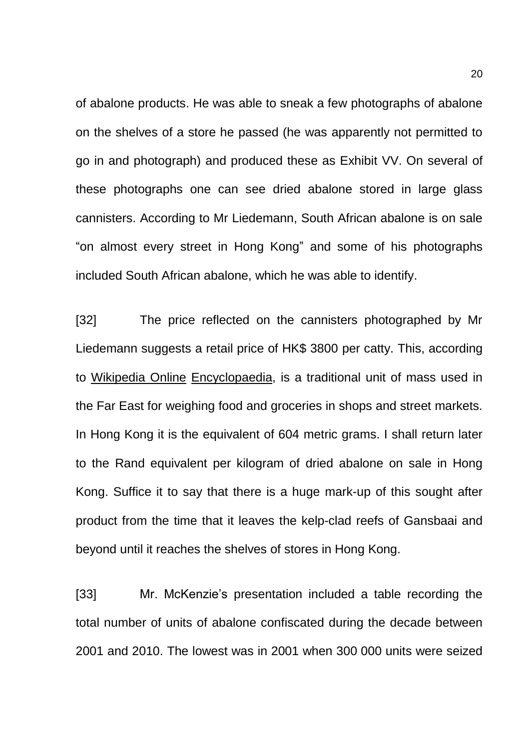of abalone products. He was able to sneak a few photographs of abalone on the shelves of a store he passed (he was apparently not permitted to go in and photograph) and produced these as Exhibit VV. On several of these photographs one can see dried abalone stored in large glass cannisters. According to Mr Liedemann, South African abalone is on sale "on almost every street in Hong Kong" and some of his photographs included South African abalone, which he was able to identify.

[32] The price reflected on the cannisters photographed by Mr Liedemann suggests a retail price of HK\$ 3800 per catty. This, according to Wikipedia Online Encyclopaedia, is a traditional unit of mass used in the Far East for weighing food and groceries in shops and street markets. In Hong Kong it is the equivalent of 604 metric grams. I shall return later to the Rand equivalent per kilogram of dried abalone on sale in Hong Kong. Suffice it to say that there is a huge mark-up of this sought after product from the time that it leaves the kelp-clad reefs of Gansbaai and beyond until it reaches the shelves of stores in Hong Kong.

[33] Mr. McKenzie's presentation included a table recording the total number of units of abalone confiscated during the decade between 2001 and 2010. The lowest was in 2001 when 300 000 units were seized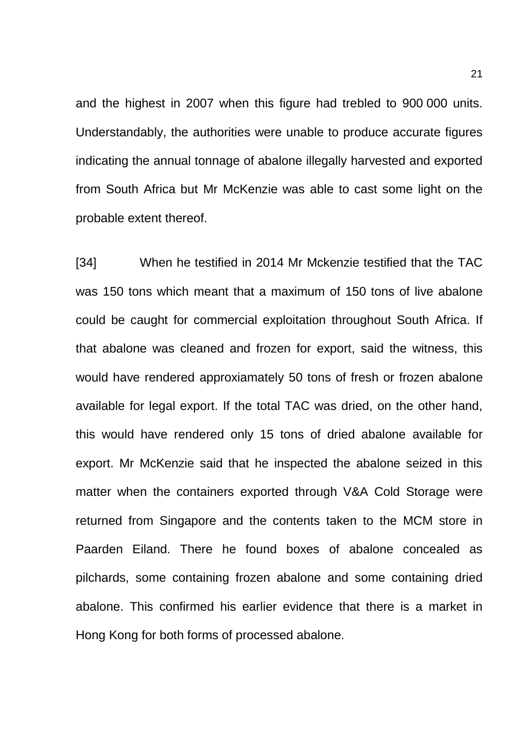and the highest in 2007 when this figure had trebled to 900 000 units. Understandably, the authorities were unable to produce accurate figures indicating the annual tonnage of abalone illegally harvested and exported from South Africa but Mr McKenzie was able to cast some light on the probable extent thereof.

[34] When he testified in 2014 Mr Mckenzie testified that the TAC was 150 tons which meant that a maximum of 150 tons of live abalone could be caught for commercial exploitation throughout South Africa. If that abalone was cleaned and frozen for export, said the witness, this would have rendered approxiamately 50 tons of fresh or frozen abalone available for legal export. If the total TAC was dried, on the other hand, this would have rendered only 15 tons of dried abalone available for export. Mr McKenzie said that he inspected the abalone seized in this matter when the containers exported through V&A Cold Storage were returned from Singapore and the contents taken to the MCM store in Paarden Eiland. There he found boxes of abalone concealed as pilchards, some containing frozen abalone and some containing dried abalone. This confirmed his earlier evidence that there is a market in Hong Kong for both forms of processed abalone.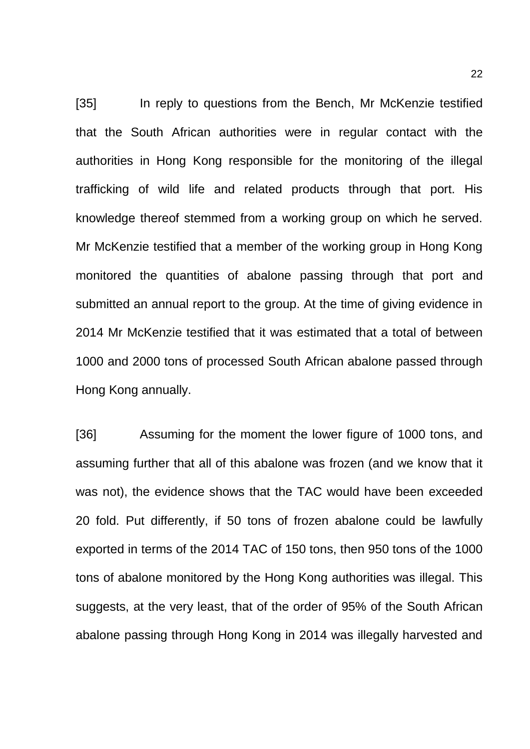[35] In reply to questions from the Bench, Mr McKenzie testified that the South African authorities were in regular contact with the authorities in Hong Kong responsible for the monitoring of the illegal trafficking of wild life and related products through that port. His knowledge thereof stemmed from a working group on which he served. Mr McKenzie testified that a member of the working group in Hong Kong monitored the quantities of abalone passing through that port and submitted an annual report to the group. At the time of giving evidence in 2014 Mr McKenzie testified that it was estimated that a total of between 1000 and 2000 tons of processed South African abalone passed through Hong Kong annually.

[36] Assuming for the moment the lower figure of 1000 tons, and assuming further that all of this abalone was frozen (and we know that it was not), the evidence shows that the TAC would have been exceeded 20 fold. Put differently, if 50 tons of frozen abalone could be lawfully exported in terms of the 2014 TAC of 150 tons, then 950 tons of the 1000 tons of abalone monitored by the Hong Kong authorities was illegal. This suggests, at the very least, that of the order of 95% of the South African abalone passing through Hong Kong in 2014 was illegally harvested and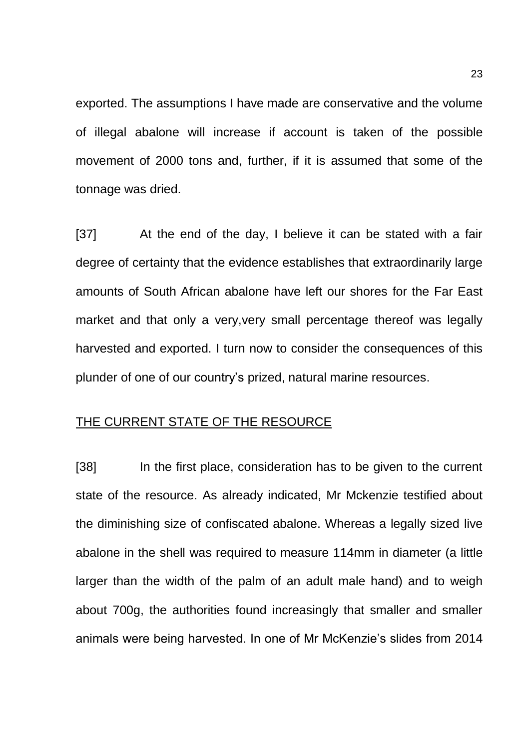exported. The assumptions I have made are conservative and the volume of illegal abalone will increase if account is taken of the possible movement of 2000 tons and, further, if it is assumed that some of the tonnage was dried.

[37] At the end of the day, I believe it can be stated with a fair degree of certainty that the evidence establishes that extraordinarily large amounts of South African abalone have left our shores for the Far East market and that only a very,very small percentage thereof was legally harvested and exported. I turn now to consider the consequences of this plunder of one of our country's prized, natural marine resources.

## THE CURRENT STATE OF THE RESOURCE

[38] In the first place, consideration has to be given to the current state of the resource. As already indicated, Mr Mckenzie testified about the diminishing size of confiscated abalone. Whereas a legally sized live abalone in the shell was required to measure 114mm in diameter (a little larger than the width of the palm of an adult male hand) and to weigh about 700g, the authorities found increasingly that smaller and smaller animals were being harvested. In one of Mr McKenzie's slides from 2014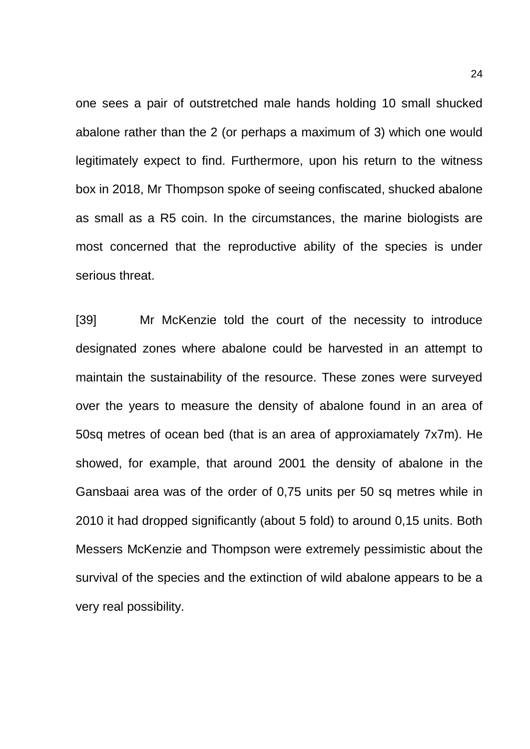one sees a pair of outstretched male hands holding 10 small shucked abalone rather than the 2 (or perhaps a maximum of 3) which one would legitimately expect to find. Furthermore, upon his return to the witness box in 2018, Mr Thompson spoke of seeing confiscated, shucked abalone as small as a R5 coin. In the circumstances, the marine biologists are most concerned that the reproductive ability of the species is under serious threat.

[39] Mr McKenzie told the court of the necessity to introduce designated zones where abalone could be harvested in an attempt to maintain the sustainability of the resource. These zones were surveyed over the years to measure the density of abalone found in an area of 50sq metres of ocean bed (that is an area of approxiamately 7x7m). He showed, for example, that around 2001 the density of abalone in the Gansbaai area was of the order of 0,75 units per 50 sq metres while in 2010 it had dropped significantly (about 5 fold) to around 0,15 units. Both Messers McKenzie and Thompson were extremely pessimistic about the survival of the species and the extinction of wild abalone appears to be a very real possibility.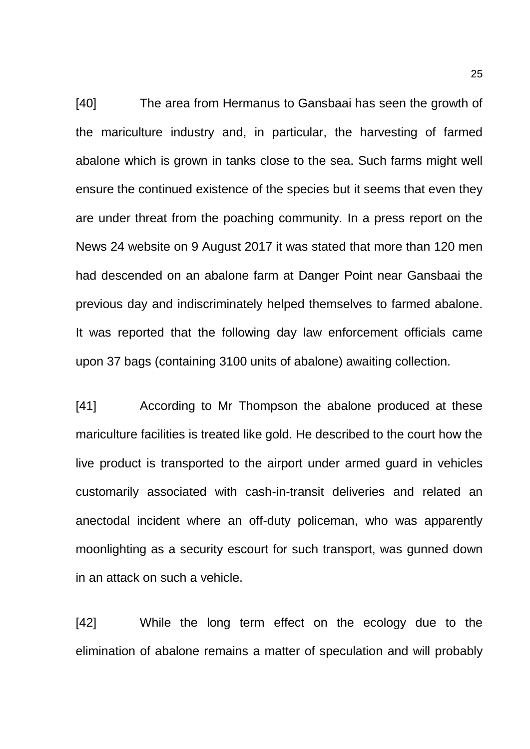[40] The area from Hermanus to Gansbaai has seen the growth of the mariculture industry and, in particular, the harvesting of farmed abalone which is grown in tanks close to the sea. Such farms might well ensure the continued existence of the species but it seems that even they are under threat from the poaching community. In a press report on the News 24 website on 9 August 2017 it was stated that more than 120 men had descended on an abalone farm at Danger Point near Gansbaai the previous day and indiscriminately helped themselves to farmed abalone. It was reported that the following day law enforcement officials came upon 37 bags (containing 3100 units of abalone) awaiting collection.

[41] According to Mr Thompson the abalone produced at these mariculture facilities is treated like gold. He described to the court how the live product is transported to the airport under armed guard in vehicles customarily associated with cash-in-transit deliveries and related an anectodal incident where an off-duty policeman, who was apparently moonlighting as a security escourt for such transport, was gunned down in an attack on such a vehicle.

[42] While the long term effect on the ecology due to the elimination of abalone remains a matter of speculation and will probably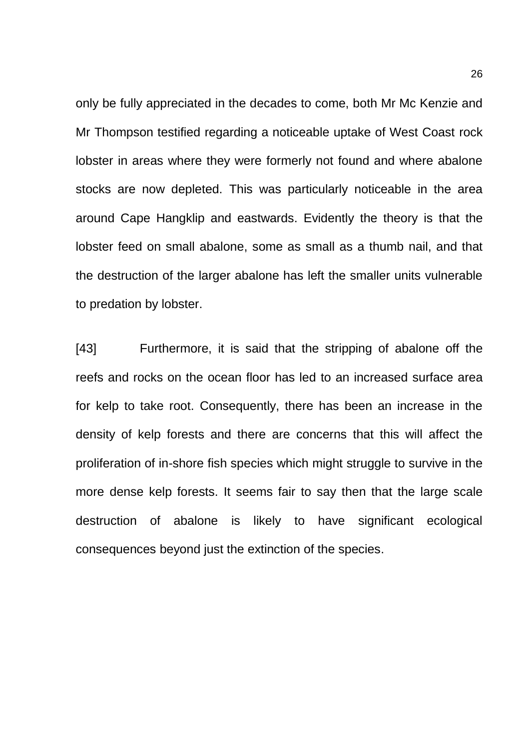only be fully appreciated in the decades to come, both Mr Mc Kenzie and Mr Thompson testified regarding a noticeable uptake of West Coast rock lobster in areas where they were formerly not found and where abalone stocks are now depleted. This was particularly noticeable in the area around Cape Hangklip and eastwards. Evidently the theory is that the lobster feed on small abalone, some as small as a thumb nail, and that the destruction of the larger abalone has left the smaller units vulnerable to predation by lobster.

[43] Furthermore, it is said that the stripping of abalone off the reefs and rocks on the ocean floor has led to an increased surface area for kelp to take root. Consequently, there has been an increase in the density of kelp forests and there are concerns that this will affect the proliferation of in-shore fish species which might struggle to survive in the more dense kelp forests. It seems fair to say then that the large scale destruction of abalone is likely to have significant ecological consequences beyond just the extinction of the species.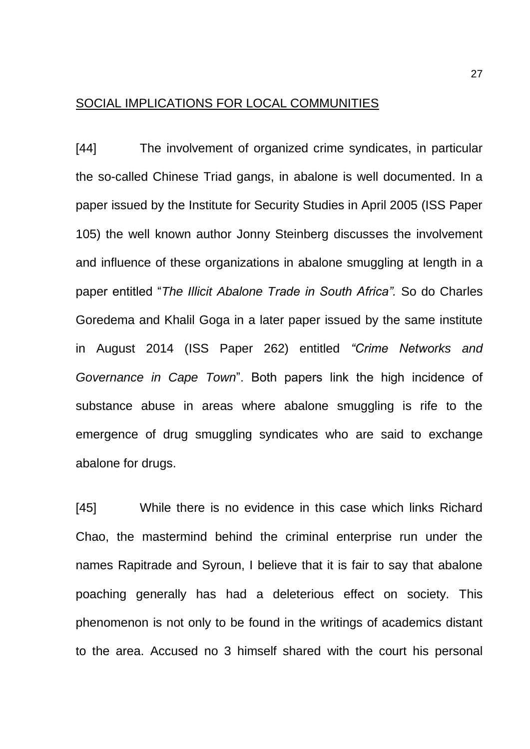## SOCIAL IMPLICATIONS FOR LOCAL COMMUNITIES

[44] The involvement of organized crime syndicates, in particular the so-called Chinese Triad gangs, in abalone is well documented. In a paper issued by the Institute for Security Studies in April 2005 (ISS Paper 105) the well known author Jonny Steinberg discusses the involvement and influence of these organizations in abalone smuggling at length in a paper entitled "*The Illicit Abalone Trade in South Africa".* So do Charles Goredema and Khalil Goga in a later paper issued by the same institute in August 2014 (ISS Paper 262) entitled *"Crime Networks and Governance in Cape Town*". Both papers link the high incidence of substance abuse in areas where abalone smuggling is rife to the emergence of drug smuggling syndicates who are said to exchange abalone for drugs.

[45] While there is no evidence in this case which links Richard Chao, the mastermind behind the criminal enterprise run under the names Rapitrade and Syroun, I believe that it is fair to say that abalone poaching generally has had a deleterious effect on society. This phenomenon is not only to be found in the writings of academics distant to the area. Accused no 3 himself shared with the court his personal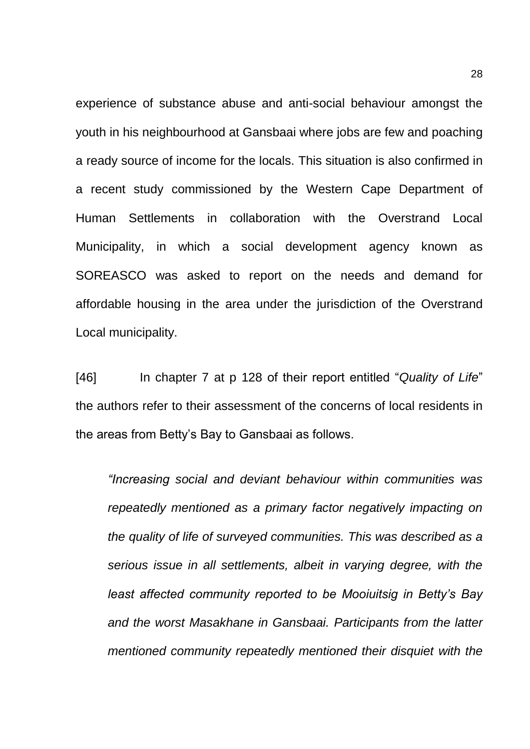experience of substance abuse and anti-social behaviour amongst the youth in his neighbourhood at Gansbaai where jobs are few and poaching a ready source of income for the locals. This situation is also confirmed in a recent study commissioned by the Western Cape Department of Human Settlements in collaboration with the Overstrand Local Municipality, in which a social development agency known as SOREASCO was asked to report on the needs and demand for affordable housing in the area under the jurisdiction of the Overstrand Local municipality.

[46] In chapter 7 at p 128 of their report entitled "*Quality of Life*" the authors refer to their assessment of the concerns of local residents in the areas from Betty's Bay to Gansbaai as follows.

*"Increasing social and deviant behaviour within communities was repeatedly mentioned as a primary factor negatively impacting on the quality of life of surveyed communities. This was described as a serious issue in all settlements, albeit in varying degree, with the least affected community reported to be Mooiuitsig in Betty's Bay and the worst Masakhane in Gansbaai. Participants from the latter mentioned community repeatedly mentioned their disquiet with the*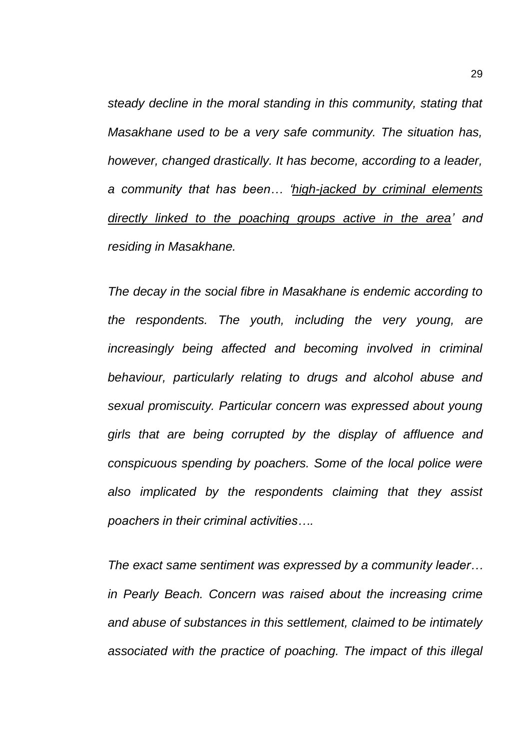*steady decline in the moral standing in this community, stating that Masakhane used to be a very safe community. The situation has, however, changed drastically. It has become, according to a leader, a community that has been… 'high-jacked by criminal elements directly linked to the poaching groups active in the area' and residing in Masakhane.*

*The decay in the social fibre in Masakhane is endemic according to the respondents. The youth, including the very young, are increasingly being affected and becoming involved in criminal behaviour, particularly relating to drugs and alcohol abuse and sexual promiscuity. Particular concern was expressed about young girls that are being corrupted by the display of affluence and conspicuous spending by poachers. Some of the local police were also implicated by the respondents claiming that they assist poachers in their criminal activities….*

*The exact same sentiment was expressed by a community leader… in Pearly Beach. Concern was raised about the increasing crime and abuse of substances in this settlement, claimed to be intimately associated with the practice of poaching. The impact of this illegal*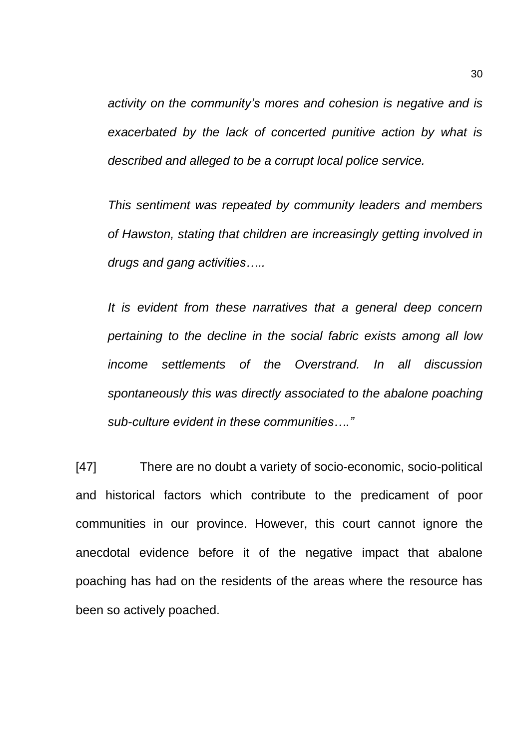*activity on the community's mores and cohesion is negative and is exacerbated by the lack of concerted punitive action by what is described and alleged to be a corrupt local police service.*

*This sentiment was repeated by community leaders and members of Hawston, stating that children are increasingly getting involved in drugs and gang activities…..*

*It is evident from these narratives that a general deep concern pertaining to the decline in the social fabric exists among all low income settlements of the Overstrand. In all discussion spontaneously this was directly associated to the abalone poaching sub-culture evident in these communities…."*

[47] There are no doubt a variety of socio-economic, socio-political and historical factors which contribute to the predicament of poor communities in our province. However, this court cannot ignore the anecdotal evidence before it of the negative impact that abalone poaching has had on the residents of the areas where the resource has been so actively poached.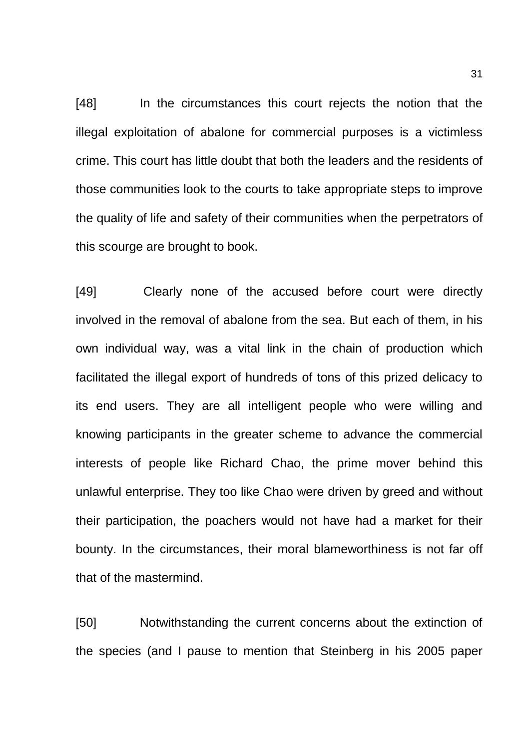[48] In the circumstances this court rejects the notion that the illegal exploitation of abalone for commercial purposes is a victimless crime. This court has little doubt that both the leaders and the residents of those communities look to the courts to take appropriate steps to improve the quality of life and safety of their communities when the perpetrators of this scourge are brought to book.

[49] Clearly none of the accused before court were directly involved in the removal of abalone from the sea. But each of them, in his own individual way, was a vital link in the chain of production which facilitated the illegal export of hundreds of tons of this prized delicacy to its end users. They are all intelligent people who were willing and knowing participants in the greater scheme to advance the commercial interests of people like Richard Chao, the prime mover behind this unlawful enterprise. They too like Chao were driven by greed and without their participation, the poachers would not have had a market for their bounty. In the circumstances, their moral blameworthiness is not far off that of the mastermind.

[50] Notwithstanding the current concerns about the extinction of the species (and I pause to mention that Steinberg in his 2005 paper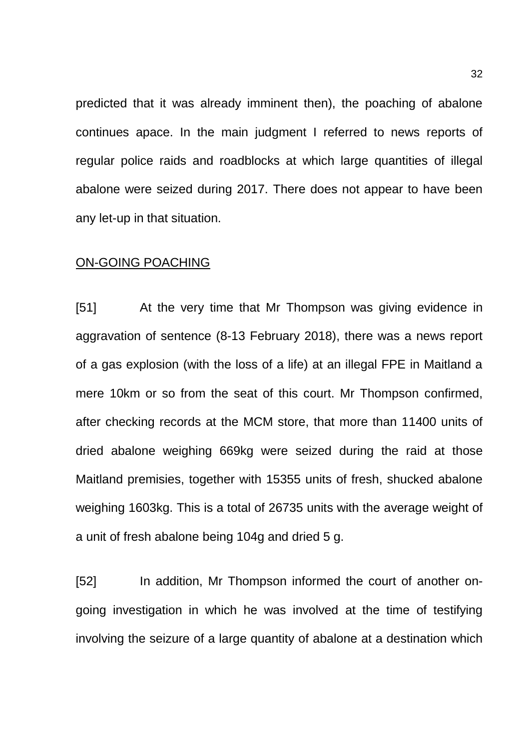predicted that it was already imminent then), the poaching of abalone continues apace. In the main judgment I referred to news reports of regular police raids and roadblocks at which large quantities of illegal abalone were seized during 2017. There does not appear to have been any let-up in that situation.

#### ON-GOING POACHING

[51] At the very time that Mr Thompson was giving evidence in aggravation of sentence (8-13 February 2018), there was a news report of a gas explosion (with the loss of a life) at an illegal FPE in Maitland a mere 10km or so from the seat of this court. Mr Thompson confirmed, after checking records at the MCM store, that more than 11400 units of dried abalone weighing 669kg were seized during the raid at those Maitland premisies, together with 15355 units of fresh, shucked abalone weighing 1603kg. This is a total of 26735 units with the average weight of a unit of fresh abalone being 104g and dried 5 g.

[52] In addition, Mr Thompson informed the court of another ongoing investigation in which he was involved at the time of testifying involving the seizure of a large quantity of abalone at a destination which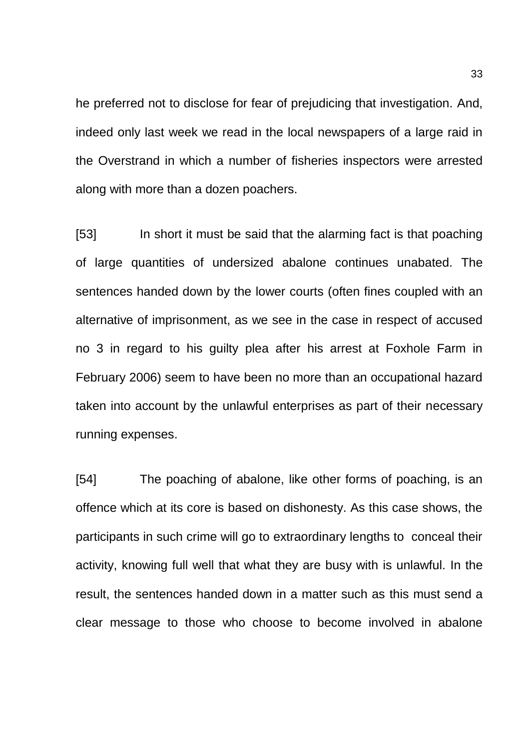he preferred not to disclose for fear of prejudicing that investigation. And, indeed only last week we read in the local newspapers of a large raid in the Overstrand in which a number of fisheries inspectors were arrested along with more than a dozen poachers.

[53] In short it must be said that the alarming fact is that poaching of large quantities of undersized abalone continues unabated. The sentences handed down by the lower courts (often fines coupled with an alternative of imprisonment, as we see in the case in respect of accused no 3 in regard to his guilty plea after his arrest at Foxhole Farm in February 2006) seem to have been no more than an occupational hazard taken into account by the unlawful enterprises as part of their necessary running expenses.

[54] The poaching of abalone, like other forms of poaching, is an offence which at its core is based on dishonesty. As this case shows, the participants in such crime will go to extraordinary lengths to conceal their activity, knowing full well that what they are busy with is unlawful. In the result, the sentences handed down in a matter such as this must send a clear message to those who choose to become involved in abalone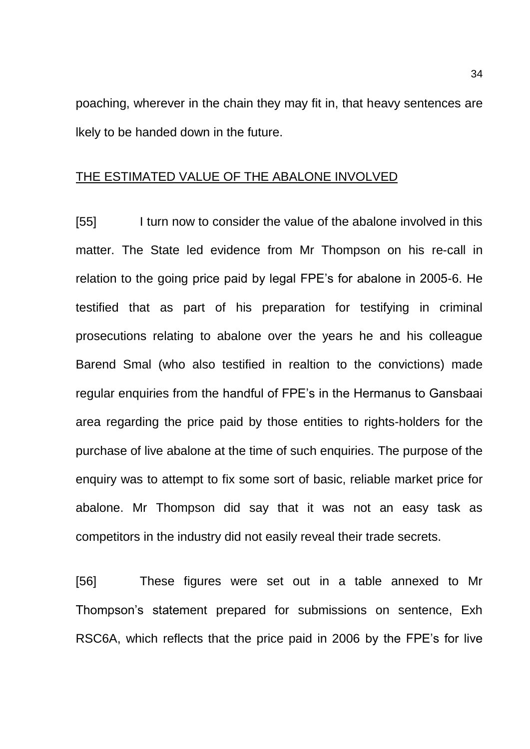poaching, wherever in the chain they may fit in, that heavy sentences are lkely to be handed down in the future.

### THE ESTIMATED VALUE OF THE ABALONE INVOLVED

[55] I turn now to consider the value of the abalone involved in this matter. The State led evidence from Mr Thompson on his re-call in relation to the going price paid by legal FPE's for abalone in 2005-6. He testified that as part of his preparation for testifying in criminal prosecutions relating to abalone over the years he and his colleague Barend Smal (who also testified in realtion to the convictions) made regular enquiries from the handful of FPE's in the Hermanus to Gansbaai area regarding the price paid by those entities to rights-holders for the purchase of live abalone at the time of such enquiries. The purpose of the enquiry was to attempt to fix some sort of basic, reliable market price for abalone. Mr Thompson did say that it was not an easy task as competitors in the industry did not easily reveal their trade secrets.

[56] These figures were set out in a table annexed to Mr Thompson's statement prepared for submissions on sentence, Exh RSC6A, which reflects that the price paid in 2006 by the FPE's for live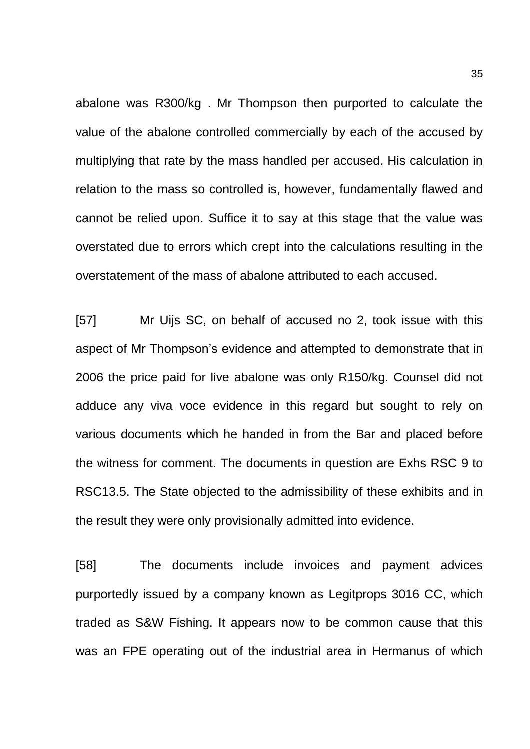abalone was R300/kg . Mr Thompson then purported to calculate the value of the abalone controlled commercially by each of the accused by multiplying that rate by the mass handled per accused. His calculation in relation to the mass so controlled is, however, fundamentally flawed and cannot be relied upon. Suffice it to say at this stage that the value was overstated due to errors which crept into the calculations resulting in the overstatement of the mass of abalone attributed to each accused.

[57] Mr Uijs SC, on behalf of accused no 2, took issue with this aspect of Mr Thompson's evidence and attempted to demonstrate that in 2006 the price paid for live abalone was only R150/kg. Counsel did not adduce any viva voce evidence in this regard but sought to rely on various documents which he handed in from the Bar and placed before the witness for comment. The documents in question are Exhs RSC 9 to RSC13.5. The State objected to the admissibility of these exhibits and in the result they were only provisionally admitted into evidence.

[58] The documents include invoices and payment advices purportedly issued by a company known as Legitprops 3016 CC, which traded as S&W Fishing. It appears now to be common cause that this was an FPE operating out of the industrial area in Hermanus of which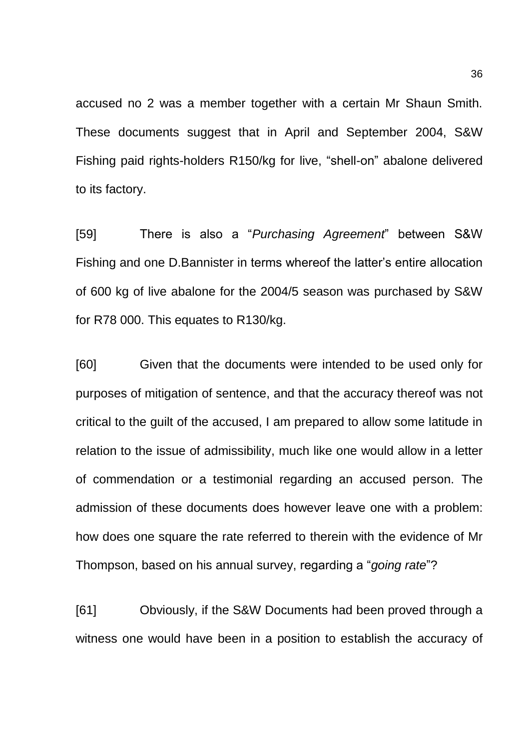accused no 2 was a member together with a certain Mr Shaun Smith. These documents suggest that in April and September 2004, S&W Fishing paid rights-holders R150/kg for live, "shell-on" abalone delivered to its factory.

[59] There is also a "*Purchasing Agreement*" between S&W Fishing and one D.Bannister in terms whereof the latter's entire allocation of 600 kg of live abalone for the 2004/5 season was purchased by S&W for R78 000. This equates to R130/kg.

[60] Given that the documents were intended to be used only for purposes of mitigation of sentence, and that the accuracy thereof was not critical to the guilt of the accused, I am prepared to allow some latitude in relation to the issue of admissibility, much like one would allow in a letter of commendation or a testimonial regarding an accused person. The admission of these documents does however leave one with a problem: how does one square the rate referred to therein with the evidence of Mr Thompson, based on his annual survey, regarding a "*going rate*"?

[61] Obviously, if the S&W Documents had been proved through a witness one would have been in a position to establish the accuracy of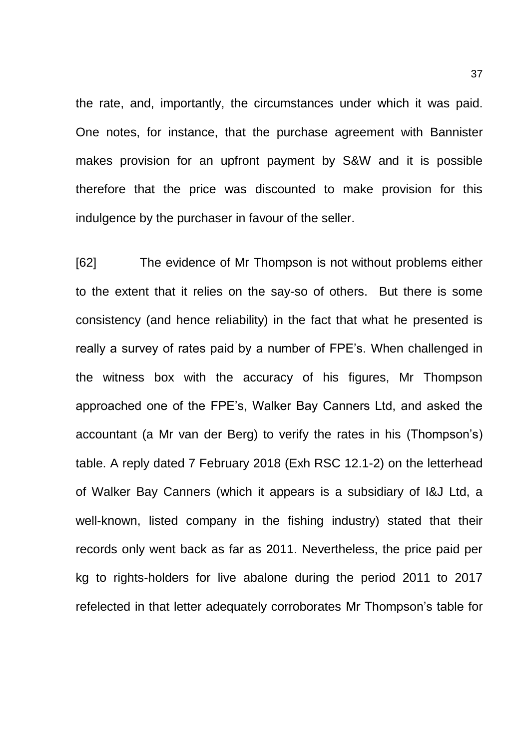the rate, and, importantly, the circumstances under which it was paid. One notes, for instance, that the purchase agreement with Bannister makes provision for an upfront payment by S&W and it is possible therefore that the price was discounted to make provision for this indulgence by the purchaser in favour of the seller.

[62] The evidence of Mr Thompson is not without problems either to the extent that it relies on the say-so of others. But there is some consistency (and hence reliability) in the fact that what he presented is really a survey of rates paid by a number of FPE's. When challenged in the witness box with the accuracy of his figures, Mr Thompson approached one of the FPE's, Walker Bay Canners Ltd, and asked the accountant (a Mr van der Berg) to verify the rates in his (Thompson's) table. A reply dated 7 February 2018 (Exh RSC 12.1-2) on the letterhead of Walker Bay Canners (which it appears is a subsidiary of I&J Ltd, a well-known, listed company in the fishing industry) stated that their records only went back as far as 2011. Nevertheless, the price paid per kg to rights-holders for live abalone during the period 2011 to 2017 refelected in that letter adequately corroborates Mr Thompson's table for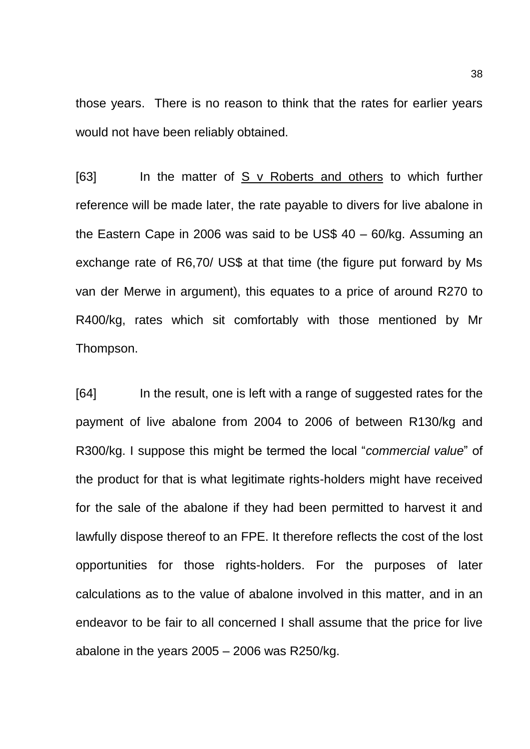those years. There is no reason to think that the rates for earlier years would not have been reliably obtained.

[63] In the matter of S v Roberts and others to which further reference will be made later, the rate payable to divers for live abalone in the Eastern Cape in 2006 was said to be US\$ 40 – 60/kg. Assuming an exchange rate of R6,70/ US\$ at that time (the figure put forward by Ms van der Merwe in argument), this equates to a price of around R270 to R400/kg, rates which sit comfortably with those mentioned by Mr Thompson.

[64] In the result, one is left with a range of suggested rates for the payment of live abalone from 2004 to 2006 of between R130/kg and R300/kg. I suppose this might be termed the local "*commercial value*" of the product for that is what legitimate rights-holders might have received for the sale of the abalone if they had been permitted to harvest it and lawfully dispose thereof to an FPE. It therefore reflects the cost of the lost opportunities for those rights-holders. For the purposes of later calculations as to the value of abalone involved in this matter, and in an endeavor to be fair to all concerned I shall assume that the price for live abalone in the years  $2005 - 2006$  was R250/kg.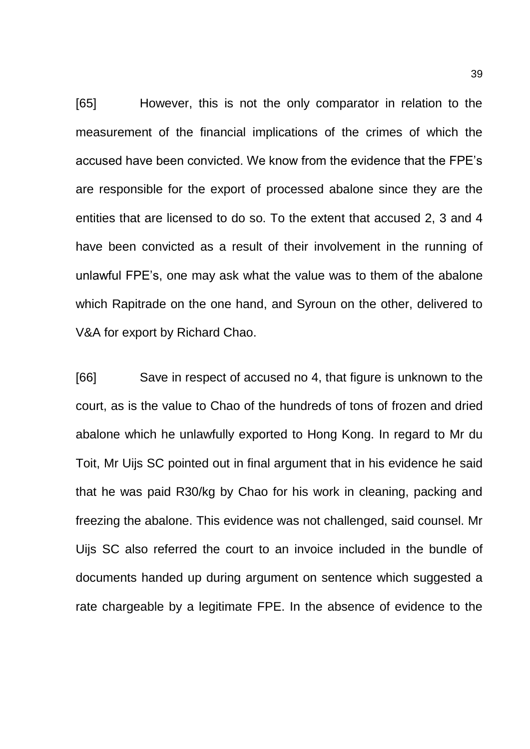[65] However, this is not the only comparator in relation to the measurement of the financial implications of the crimes of which the accused have been convicted. We know from the evidence that the FPE's are responsible for the export of processed abalone since they are the entities that are licensed to do so. To the extent that accused 2, 3 and 4 have been convicted as a result of their involvement in the running of unlawful FPE's, one may ask what the value was to them of the abalone which Rapitrade on the one hand, and Syroun on the other, delivered to V&A for export by Richard Chao.

[66] Save in respect of accused no 4, that figure is unknown to the court, as is the value to Chao of the hundreds of tons of frozen and dried abalone which he unlawfully exported to Hong Kong. In regard to Mr du Toit, Mr Uijs SC pointed out in final argument that in his evidence he said that he was paid R30/kg by Chao for his work in cleaning, packing and freezing the abalone. This evidence was not challenged, said counsel. Mr Uijs SC also referred the court to an invoice included in the bundle of documents handed up during argument on sentence which suggested a rate chargeable by a legitimate FPE. In the absence of evidence to the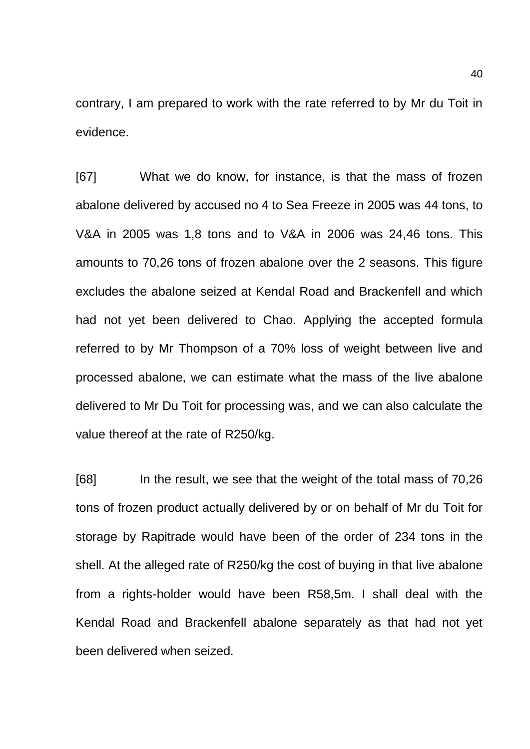contrary, I am prepared to work with the rate referred to by Mr du Toit in evidence.

[67] What we do know, for instance, is that the mass of frozen abalone delivered by accused no 4 to Sea Freeze in 2005 was 44 tons, to V&A in 2005 was 1,8 tons and to V&A in 2006 was 24,46 tons. This amounts to 70,26 tons of frozen abalone over the 2 seasons. This figure excludes the abalone seized at Kendal Road and Brackenfell and which had not yet been delivered to Chao. Applying the accepted formula referred to by Mr Thompson of a 70% loss of weight between live and processed abalone, we can estimate what the mass of the live abalone delivered to Mr Du Toit for processing was, and we can also calculate the value thereof at the rate of R250/kg.

[68] In the result, we see that the weight of the total mass of 70,26 tons of frozen product actually delivered by or on behalf of Mr du Toit for storage by Rapitrade would have been of the order of 234 tons in the shell. At the alleged rate of R250/kg the cost of buying in that live abalone from a rights-holder would have been R58,5m. I shall deal with the Kendal Road and Brackenfell abalone separately as that had not yet been delivered when seized.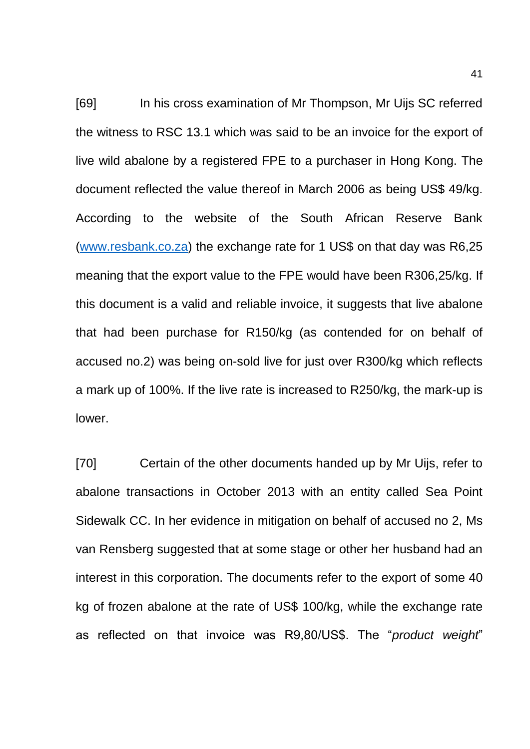[69] In his cross examination of Mr Thompson, Mr Uijs SC referred the witness to RSC 13.1 which was said to be an invoice for the export of live wild abalone by a registered FPE to a purchaser in Hong Kong. The document reflected the value thereof in March 2006 as being US\$ 49/kg. According to the website of the South African Reserve Bank [\(www.resbank.co.za\)](http://www.resbank.co.za/) the exchange rate for 1 US\$ on that day was R6,25 meaning that the export value to the FPE would have been R306,25/kg. If this document is a valid and reliable invoice, it suggests that live abalone that had been purchase for R150/kg (as contended for on behalf of accused no.2) was being on-sold live for just over R300/kg which reflects a mark up of 100%. If the live rate is increased to R250/kg, the mark-up is lower.

[70] Certain of the other documents handed up by Mr Uijs, refer to abalone transactions in October 2013 with an entity called Sea Point Sidewalk CC. In her evidence in mitigation on behalf of accused no 2, Ms van Rensberg suggested that at some stage or other her husband had an interest in this corporation. The documents refer to the export of some 40 kg of frozen abalone at the rate of US\$ 100/kg, while the exchange rate as reflected on that invoice was R9,80/US\$. The "*product weight*"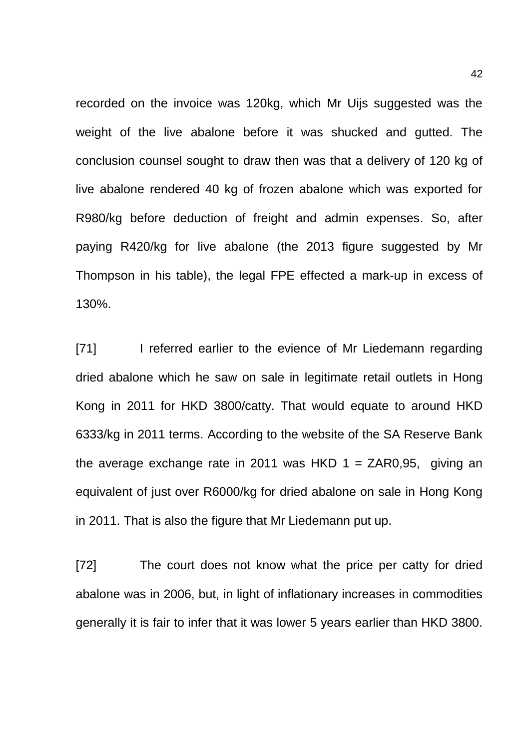recorded on the invoice was 120kg, which Mr Uijs suggested was the weight of the live abalone before it was shucked and gutted. The conclusion counsel sought to draw then was that a delivery of 120 kg of live abalone rendered 40 kg of frozen abalone which was exported for R980/kg before deduction of freight and admin expenses. So, after paying R420/kg for live abalone (the 2013 figure suggested by Mr Thompson in his table), the legal FPE effected a mark-up in excess of 130%.

[71] I referred earlier to the evience of Mr Liedemann regarding dried abalone which he saw on sale in legitimate retail outlets in Hong Kong in 2011 for HKD 3800/catty. That would equate to around HKD 6333/kg in 2011 terms. According to the website of the SA Reserve Bank the average exchange rate in 2011 was HKD  $1 = ZAR0.95$ , giving an equivalent of just over R6000/kg for dried abalone on sale in Hong Kong in 2011. That is also the figure that Mr Liedemann put up.

[72] The court does not know what the price per catty for dried abalone was in 2006, but, in light of inflationary increases in commodities generally it is fair to infer that it was lower 5 years earlier than HKD 3800.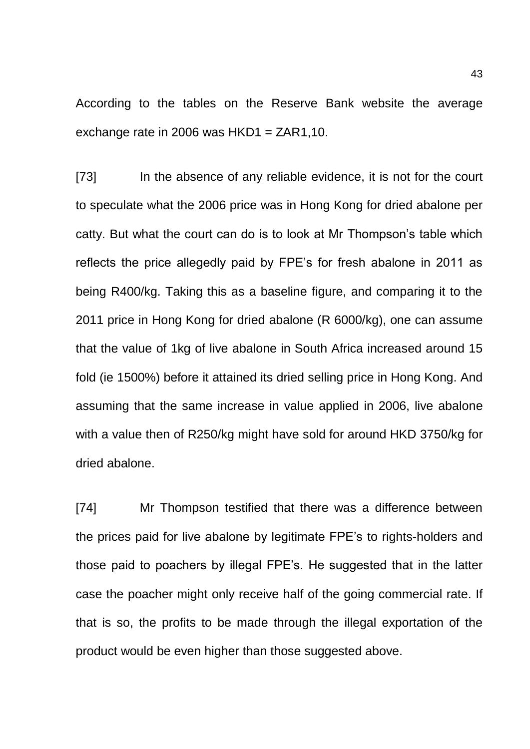According to the tables on the Reserve Bank website the average exchange rate in 2006 was  $HKD1 = ZAR1.10$ .

[73] In the absence of any reliable evidence, it is not for the court to speculate what the 2006 price was in Hong Kong for dried abalone per catty. But what the court can do is to look at Mr Thompson's table which reflects the price allegedly paid by FPE's for fresh abalone in 2011 as being R400/kg. Taking this as a baseline figure, and comparing it to the 2011 price in Hong Kong for dried abalone (R 6000/kg), one can assume that the value of 1kg of live abalone in South Africa increased around 15 fold (ie 1500%) before it attained its dried selling price in Hong Kong. And assuming that the same increase in value applied in 2006, live abalone with a value then of R250/kg might have sold for around HKD 3750/kg for dried abalone.

[74] Mr Thompson testified that there was a difference between the prices paid for live abalone by legitimate FPE's to rights-holders and those paid to poachers by illegal FPE's. He suggested that in the latter case the poacher might only receive half of the going commercial rate. If that is so, the profits to be made through the illegal exportation of the product would be even higher than those suggested above.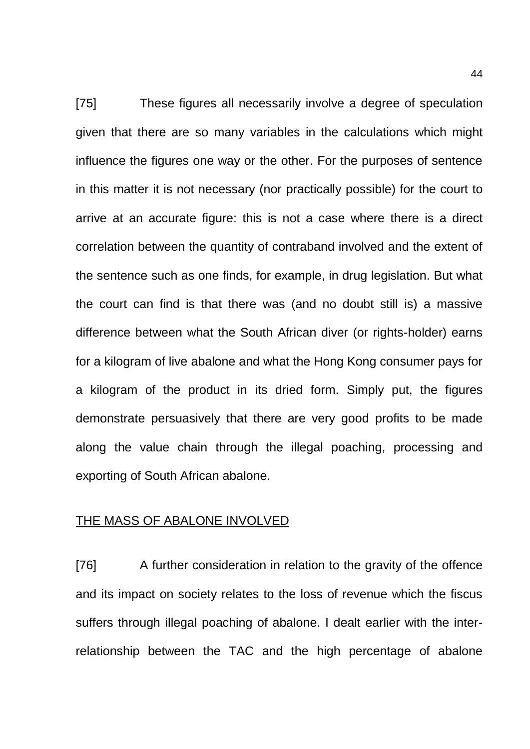[75] These figures all necessarily involve a degree of speculation given that there are so many variables in the calculations which might influence the figures one way or the other. For the purposes of sentence in this matter it is not necessary (nor practically possible) for the court to arrive at an accurate figure: this is not a case where there is a direct correlation between the quantity of contraband involved and the extent of the sentence such as one finds, for example, in drug legislation. But what the court can find is that there was (and no doubt still is) a massive difference between what the South African diver (or rights-holder) earns for a kilogram of live abalone and what the Hong Kong consumer pays for a kilogram of the product in its dried form. Simply put, the figures demonstrate persuasively that there are very good profits to be made along the value chain through the illegal poaching, processing and exporting of South African abalone.

# THE MASS OF ABALONE INVOLVED

[76] A further consideration in relation to the gravity of the offence and its impact on society relates to the loss of revenue which the fiscus suffers through illegal poaching of abalone. I dealt earlier with the interrelationship between the TAC and the high percentage of abalone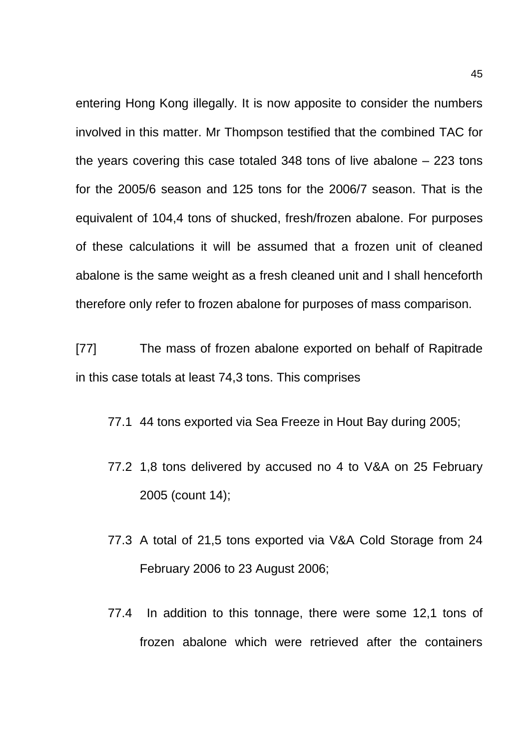entering Hong Kong illegally. It is now apposite to consider the numbers involved in this matter. Mr Thompson testified that the combined TAC for the years covering this case totaled 348 tons of live abalone – 223 tons for the 2005/6 season and 125 tons for the 2006/7 season. That is the equivalent of 104,4 tons of shucked, fresh/frozen abalone. For purposes of these calculations it will be assumed that a frozen unit of cleaned abalone is the same weight as a fresh cleaned unit and I shall henceforth therefore only refer to frozen abalone for purposes of mass comparison.

[77] The mass of frozen abalone exported on behalf of Rapitrade in this case totals at least 74,3 tons. This comprises

77.1 44 tons exported via Sea Freeze in Hout Bay during 2005;

- 77.2 1,8 tons delivered by accused no 4 to V&A on 25 February 2005 (count 14);
- 77.3 A total of 21,5 tons exported via V&A Cold Storage from 24 February 2006 to 23 August 2006;
- 77.4 In addition to this tonnage, there were some 12,1 tons of frozen abalone which were retrieved after the containers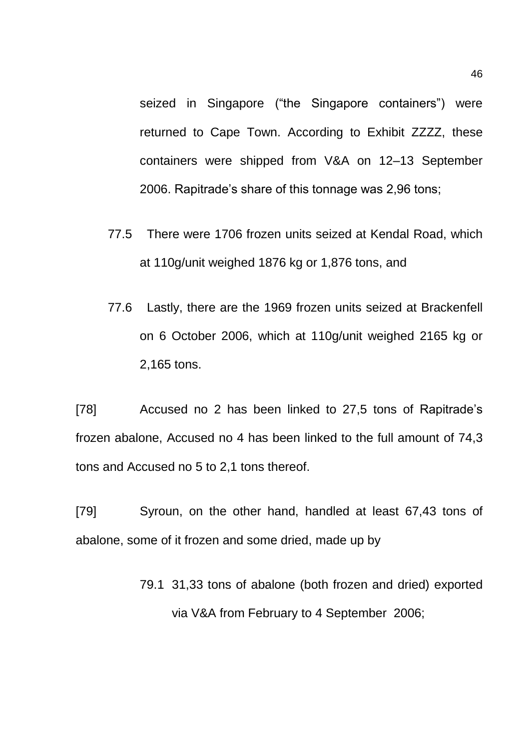seized in Singapore ("the Singapore containers") were returned to Cape Town. According to Exhibit ZZZZ, these containers were shipped from V&A on 12–13 September 2006. Rapitrade's share of this tonnage was 2,96 tons;

- 77.5 There were 1706 frozen units seized at Kendal Road, which at 110g/unit weighed 1876 kg or 1,876 tons, and
- 77.6 Lastly, there are the 1969 frozen units seized at Brackenfell on 6 October 2006, which at 110g/unit weighed 2165 kg or 2,165 tons.

[78] Accused no 2 has been linked to 27,5 tons of Rapitrade's frozen abalone, Accused no 4 has been linked to the full amount of 74,3 tons and Accused no 5 to 2,1 tons thereof.

[79] Syroun, on the other hand, handled at least 67,43 tons of abalone, some of it frozen and some dried, made up by

> 79.1 31,33 tons of abalone (both frozen and dried) exported via V&A from February to 4 September 2006;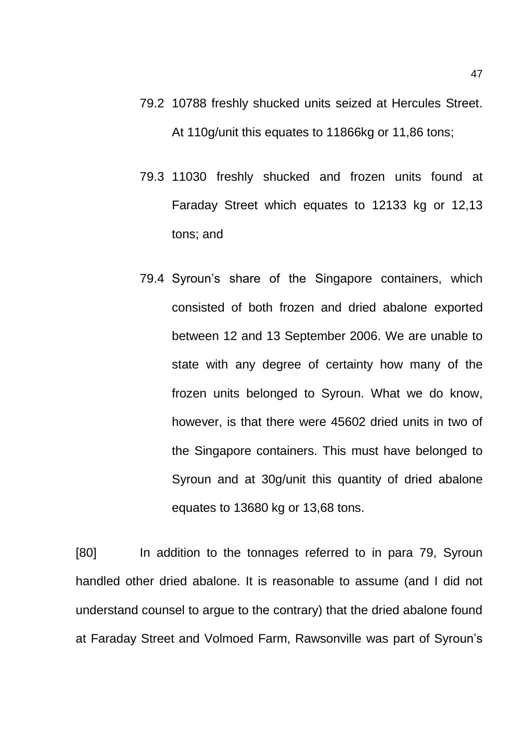- 79.2 10788 freshly shucked units seized at Hercules Street. At 110g/unit this equates to 11866kg or 11,86 tons;
- 79.3 11030 freshly shucked and frozen units found at Faraday Street which equates to 12133 kg or 12,13 tons; and
- 79.4 Syroun's share of the Singapore containers, which consisted of both frozen and dried abalone exported between 12 and 13 September 2006. We are unable to state with any degree of certainty how many of the frozen units belonged to Syroun. What we do know, however, is that there were 45602 dried units in two of the Singapore containers. This must have belonged to Syroun and at 30g/unit this quantity of dried abalone equates to 13680 kg or 13,68 tons.

[80] In addition to the tonnages referred to in para 79, Syroun handled other dried abalone. It is reasonable to assume (and I did not understand counsel to argue to the contrary) that the dried abalone found at Faraday Street and Volmoed Farm, Rawsonville was part of Syroun's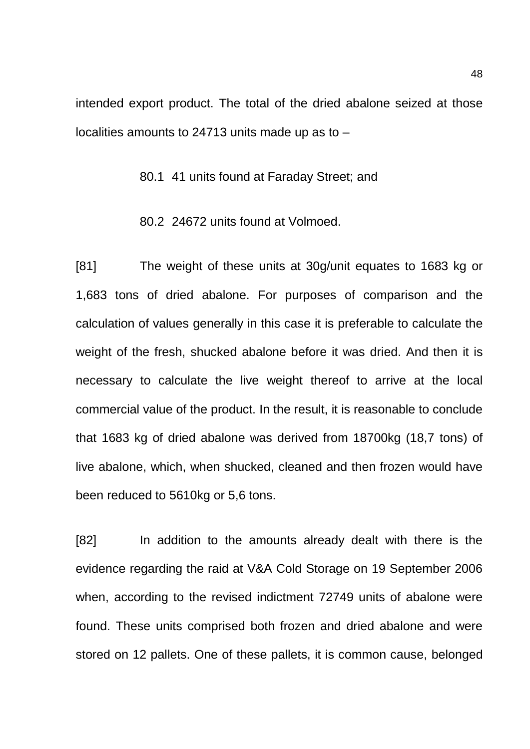intended export product. The total of the dried abalone seized at those localities amounts to 24713 units made up as to –

80.1 41 units found at Faraday Street; and

80.2 24672 units found at Volmoed.

[81] The weight of these units at 30g/unit equates to 1683 kg or 1,683 tons of dried abalone. For purposes of comparison and the calculation of values generally in this case it is preferable to calculate the weight of the fresh, shucked abalone before it was dried. And then it is necessary to calculate the live weight thereof to arrive at the local commercial value of the product. In the result, it is reasonable to conclude that 1683 kg of dried abalone was derived from 18700kg (18,7 tons) of live abalone, which, when shucked, cleaned and then frozen would have been reduced to 5610kg or 5,6 tons.

[82] In addition to the amounts already dealt with there is the evidence regarding the raid at V&A Cold Storage on 19 September 2006 when, according to the revised indictment 72749 units of abalone were found. These units comprised both frozen and dried abalone and were stored on 12 pallets. One of these pallets, it is common cause, belonged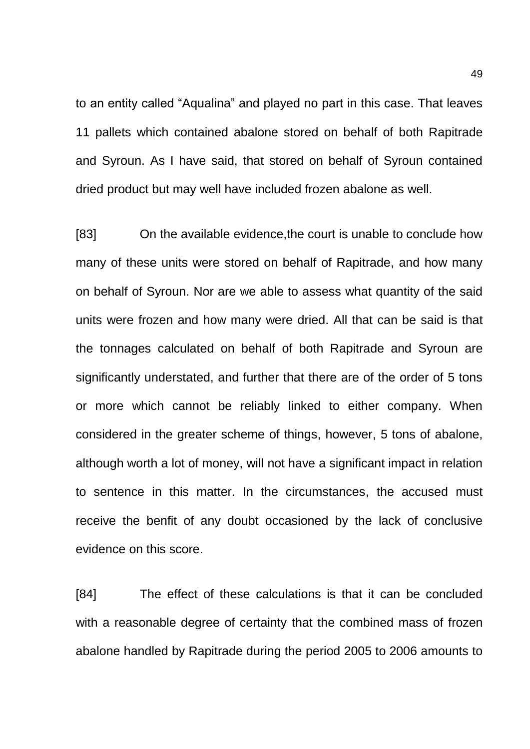to an entity called "Aqualina" and played no part in this case. That leaves 11 pallets which contained abalone stored on behalf of both Rapitrade and Syroun. As I have said, that stored on behalf of Syroun contained dried product but may well have included frozen abalone as well.

[83] On the available evidence,the court is unable to conclude how many of these units were stored on behalf of Rapitrade, and how many on behalf of Syroun. Nor are we able to assess what quantity of the said units were frozen and how many were dried. All that can be said is that the tonnages calculated on behalf of both Rapitrade and Syroun are significantly understated, and further that there are of the order of 5 tons or more which cannot be reliably linked to either company. When considered in the greater scheme of things, however, 5 tons of abalone, although worth a lot of money, will not have a significant impact in relation to sentence in this matter. In the circumstances, the accused must receive the benfit of any doubt occasioned by the lack of conclusive evidence on this score.

[84] The effect of these calculations is that it can be concluded with a reasonable degree of certainty that the combined mass of frozen abalone handled by Rapitrade during the period 2005 to 2006 amounts to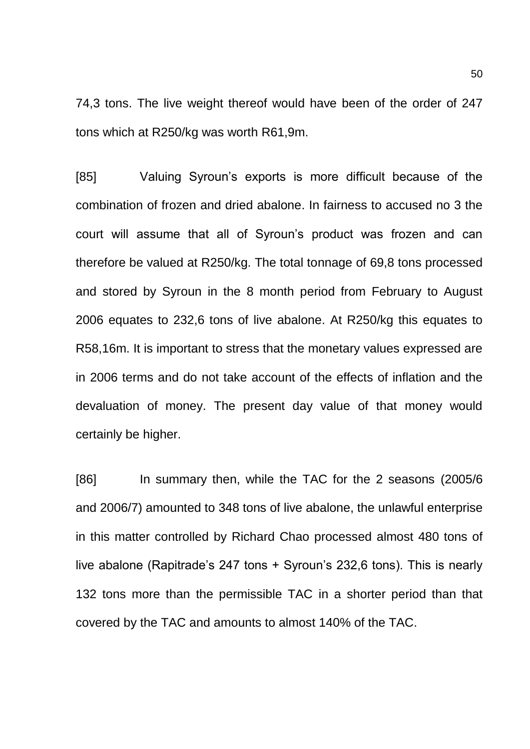74,3 tons. The live weight thereof would have been of the order of 247 tons which at R250/kg was worth R61,9m.

[85] Valuing Syroun's exports is more difficult because of the combination of frozen and dried abalone. In fairness to accused no 3 the court will assume that all of Syroun's product was frozen and can therefore be valued at R250/kg. The total tonnage of 69,8 tons processed and stored by Syroun in the 8 month period from February to August 2006 equates to 232,6 tons of live abalone. At R250/kg this equates to R58,16m. It is important to stress that the monetary values expressed are in 2006 terms and do not take account of the effects of inflation and the devaluation of money. The present day value of that money would certainly be higher.

[86] In summary then, while the TAC for the 2 seasons (2005/6 and 2006/7) amounted to 348 tons of live abalone, the unlawful enterprise in this matter controlled by Richard Chao processed almost 480 tons of live abalone (Rapitrade's 247 tons + Syroun's 232,6 tons). This is nearly 132 tons more than the permissible TAC in a shorter period than that covered by the TAC and amounts to almost 140% of the TAC.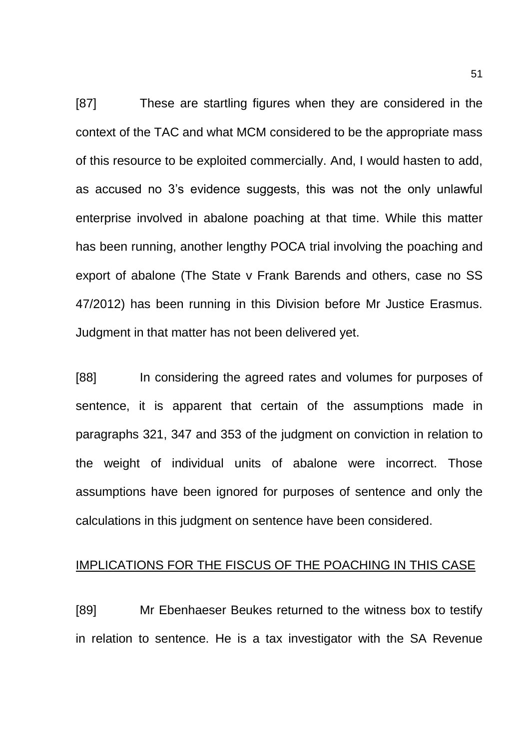[87] These are startling figures when they are considered in the context of the TAC and what MCM considered to be the appropriate mass of this resource to be exploited commercially. And, I would hasten to add, as accused no 3's evidence suggests, this was not the only unlawful enterprise involved in abalone poaching at that time. While this matter has been running, another lengthy POCA trial involving the poaching and export of abalone (The State v Frank Barends and others, case no SS 47/2012) has been running in this Division before Mr Justice Erasmus. Judgment in that matter has not been delivered yet.

[88] In considering the agreed rates and volumes for purposes of sentence, it is apparent that certain of the assumptions made in paragraphs 321, 347 and 353 of the judgment on conviction in relation to the weight of individual units of abalone were incorrect. Those assumptions have been ignored for purposes of sentence and only the calculations in this judgment on sentence have been considered.

# IMPLICATIONS FOR THE FISCUS OF THE POACHING IN THIS CASE

[89] Mr Ebenhaeser Beukes returned to the witness box to testify in relation to sentence. He is a tax investigator with the SA Revenue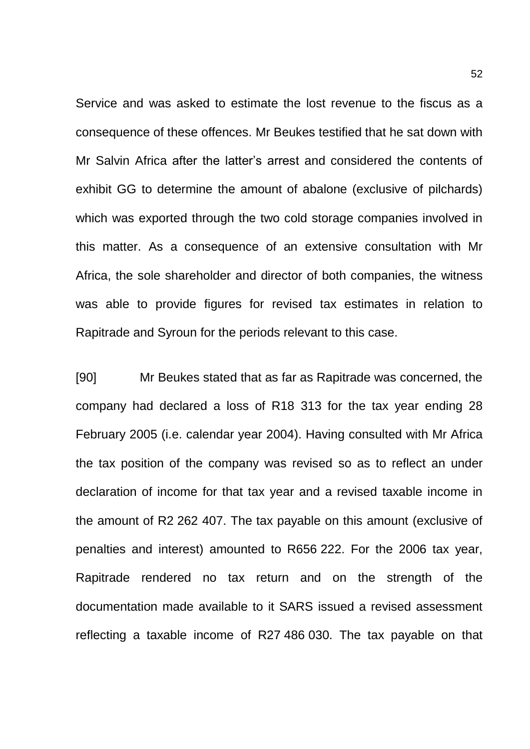Service and was asked to estimate the lost revenue to the fiscus as a consequence of these offences. Mr Beukes testified that he sat down with Mr Salvin Africa after the latter's arrest and considered the contents of exhibit GG to determine the amount of abalone (exclusive of pilchards) which was exported through the two cold storage companies involved in this matter. As a consequence of an extensive consultation with Mr Africa, the sole shareholder and director of both companies, the witness was able to provide figures for revised tax estimates in relation to Rapitrade and Syroun for the periods relevant to this case.

[90] Mr Beukes stated that as far as Rapitrade was concerned, the company had declared a loss of R18 313 for the tax year ending 28 February 2005 (i.e. calendar year 2004). Having consulted with Mr Africa the tax position of the company was revised so as to reflect an under declaration of income for that tax year and a revised taxable income in the amount of R2 262 407. The tax payable on this amount (exclusive of penalties and interest) amounted to R656 222. For the 2006 tax year, Rapitrade rendered no tax return and on the strength of the documentation made available to it SARS issued a revised assessment reflecting a taxable income of R27 486 030. The tax payable on that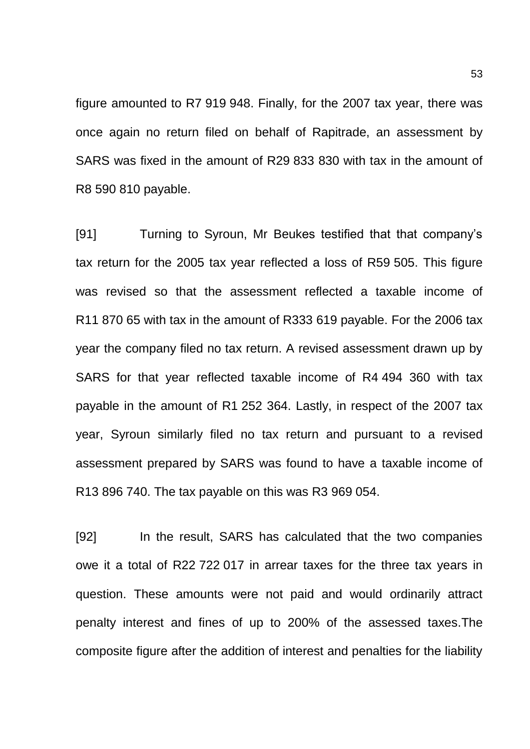figure amounted to R7 919 948. Finally, for the 2007 tax year, there was once again no return filed on behalf of Rapitrade, an assessment by SARS was fixed in the amount of R29 833 830 with tax in the amount of R8 590 810 payable.

[91] Turning to Syroun, Mr Beukes testified that that company's tax return for the 2005 tax year reflected a loss of R59 505. This figure was revised so that the assessment reflected a taxable income of R11 870 65 with tax in the amount of R333 619 payable. For the 2006 tax year the company filed no tax return. A revised assessment drawn up by SARS for that year reflected taxable income of R4 494 360 with tax payable in the amount of R1 252 364. Lastly, in respect of the 2007 tax year, Syroun similarly filed no tax return and pursuant to a revised assessment prepared by SARS was found to have a taxable income of R13 896 740. The tax payable on this was R3 969 054.

[92] In the result, SARS has calculated that the two companies owe it a total of R22 722 017 in arrear taxes for the three tax years in question. These amounts were not paid and would ordinarily attract penalty interest and fines of up to 200% of the assessed taxes.The composite figure after the addition of interest and penalties for the liability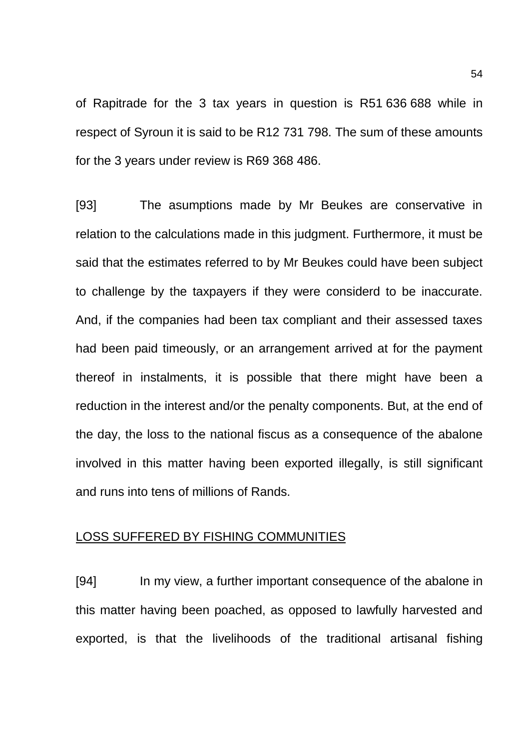of Rapitrade for the 3 tax years in question is R51 636 688 while in respect of Syroun it is said to be R12 731 798. The sum of these amounts for the 3 years under review is R69 368 486.

[93] The asumptions made by Mr Beukes are conservative in relation to the calculations made in this judgment. Furthermore, it must be said that the estimates referred to by Mr Beukes could have been subject to challenge by the taxpayers if they were considerd to be inaccurate. And, if the companies had been tax compliant and their assessed taxes had been paid timeously, or an arrangement arrived at for the payment thereof in instalments, it is possible that there might have been a reduction in the interest and/or the penalty components. But, at the end of the day, the loss to the national fiscus as a consequence of the abalone involved in this matter having been exported illegally, is still significant and runs into tens of millions of Rands.

### LOSS SUFFERED BY FISHING COMMUNITIES

[94] In my view, a further important consequence of the abalone in this matter having been poached, as opposed to lawfully harvested and exported, is that the livelihoods of the traditional artisanal fishing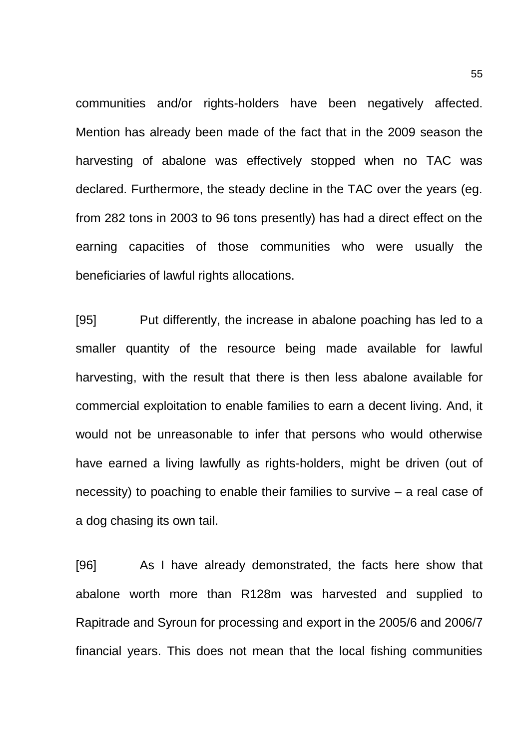communities and/or rights-holders have been negatively affected. Mention has already been made of the fact that in the 2009 season the harvesting of abalone was effectively stopped when no TAC was declared. Furthermore, the steady decline in the TAC over the years (eg. from 282 tons in 2003 to 96 tons presently) has had a direct effect on the earning capacities of those communities who were usually the beneficiaries of lawful rights allocations.

[95] Put differently, the increase in abalone poaching has led to a smaller quantity of the resource being made available for lawful harvesting, with the result that there is then less abalone available for commercial exploitation to enable families to earn a decent living. And, it would not be unreasonable to infer that persons who would otherwise have earned a living lawfully as rights-holders, might be driven (out of necessity) to poaching to enable their families to survive – a real case of a dog chasing its own tail.

[96] As I have already demonstrated, the facts here show that abalone worth more than R128m was harvested and supplied to Rapitrade and Syroun for processing and export in the 2005/6 and 2006/7 financial years. This does not mean that the local fishing communities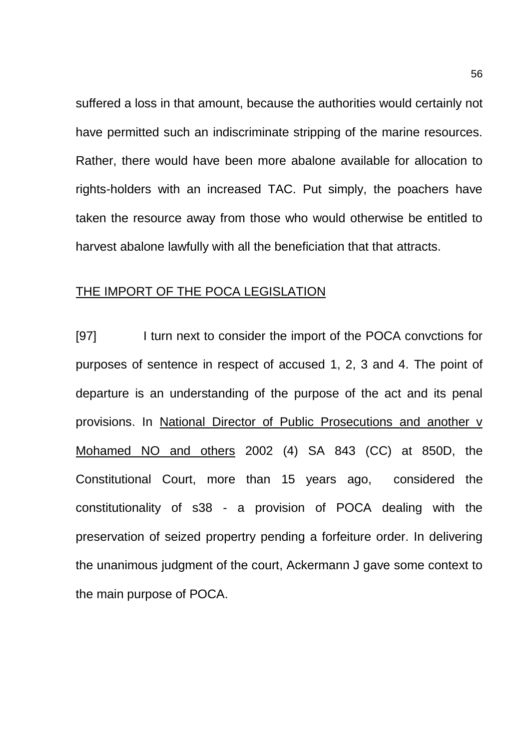suffered a loss in that amount, because the authorities would certainly not have permitted such an indiscriminate stripping of the marine resources. Rather, there would have been more abalone available for allocation to rights-holders with an increased TAC. Put simply, the poachers have taken the resource away from those who would otherwise be entitled to harvest abalone lawfully with all the beneficiation that that attracts.

# THE IMPORT OF THE POCA LEGISLATION

[97] I turn next to consider the import of the POCA convctions for purposes of sentence in respect of accused 1, 2, 3 and 4. The point of departure is an understanding of the purpose of the act and its penal provisions. In National Director of Public Prosecutions and another v Mohamed NO and others 2002 (4) SA 843 (CC) at 850D, the Constitutional Court, more than 15 years ago, considered the constitutionality of s38 - a provision of POCA dealing with the preservation of seized propertry pending a forfeiture order. In delivering the unanimous judgment of the court, Ackermann J gave some context to the main purpose of POCA.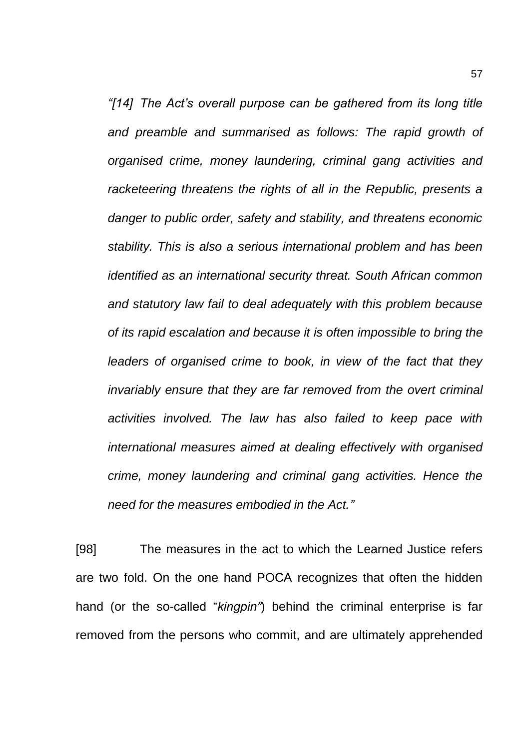*"[14] The Act's overall purpose can be gathered from its long title and preamble and summarised as follows: The rapid growth of organised crime, money laundering, criminal gang activities and racketeering threatens the rights of all in the Republic, presents a danger to public order, safety and stability, and threatens economic stability. This is also a serious international problem and has been identified as an international security threat. South African common and statutory law fail to deal adequately with this problem because of its rapid escalation and because it is often impossible to bring the leaders of organised crime to book, in view of the fact that they invariably ensure that they are far removed from the overt criminal activities involved. The law has also failed to keep pace with international measures aimed at dealing effectively with organised crime, money laundering and criminal gang activities. Hence the need for the measures embodied in the Act."*

[98] The measures in the act to which the Learned Justice refers are two fold. On the one hand POCA recognizes that often the hidden hand (or the so-called "*kingpin"*) behind the criminal enterprise is far removed from the persons who commit, and are ultimately apprehended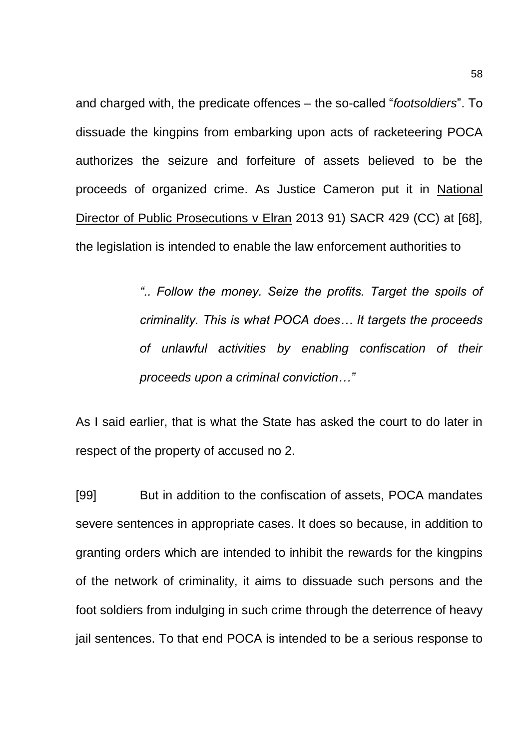and charged with, the predicate offences – the so-called "*footsoldiers*". To dissuade the kingpins from embarking upon acts of racketeering POCA authorizes the seizure and forfeiture of assets believed to be the proceeds of organized crime. As Justice Cameron put it in National Director of Public Prosecutions v Elran 2013 91) SACR 429 (CC) at [68], the legislation is intended to enable the law enforcement authorities to

> *".. Follow the money. Seize the profits. Target the spoils of criminality. This is what POCA does… It targets the proceeds of unlawful activities by enabling confiscation of their proceeds upon a criminal conviction…"*

As I said earlier, that is what the State has asked the court to do later in respect of the property of accused no 2.

[99] But in addition to the confiscation of assets, POCA mandates severe sentences in appropriate cases. It does so because, in addition to granting orders which are intended to inhibit the rewards for the kingpins of the network of criminality, it aims to dissuade such persons and the foot soldiers from indulging in such crime through the deterrence of heavy jail sentences. To that end POCA is intended to be a serious response to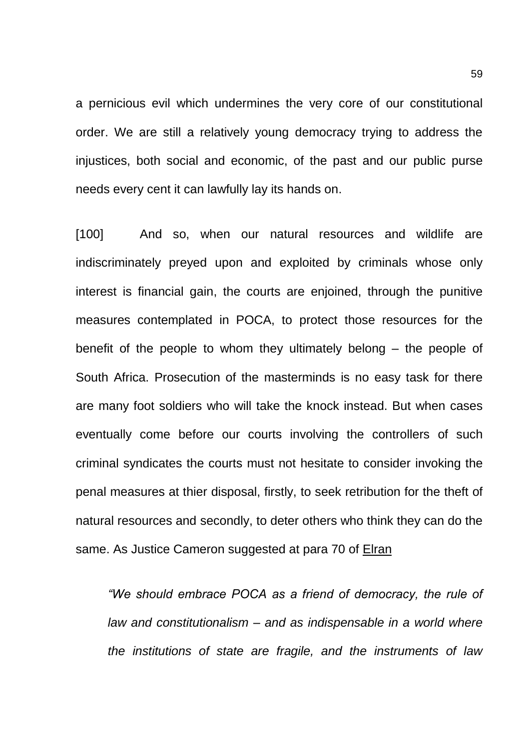a pernicious evil which undermines the very core of our constitutional order. We are still a relatively young democracy trying to address the injustices, both social and economic, of the past and our public purse needs every cent it can lawfully lay its hands on.

[100] And so, when our natural resources and wildlife are indiscriminately preyed upon and exploited by criminals whose only interest is financial gain, the courts are enjoined, through the punitive measures contemplated in POCA, to protect those resources for the benefit of the people to whom they ultimately belong – the people of South Africa. Prosecution of the masterminds is no easy task for there are many foot soldiers who will take the knock instead. But when cases eventually come before our courts involving the controllers of such criminal syndicates the courts must not hesitate to consider invoking the penal measures at thier disposal, firstly, to seek retribution for the theft of natural resources and secondly, to deter others who think they can do the same. As Justice Cameron suggested at para 70 of Elran

*"We should embrace POCA as a friend of democracy, the rule of law and constitutionalism – and as indispensable in a world where the institutions of state are fragile, and the instruments of law*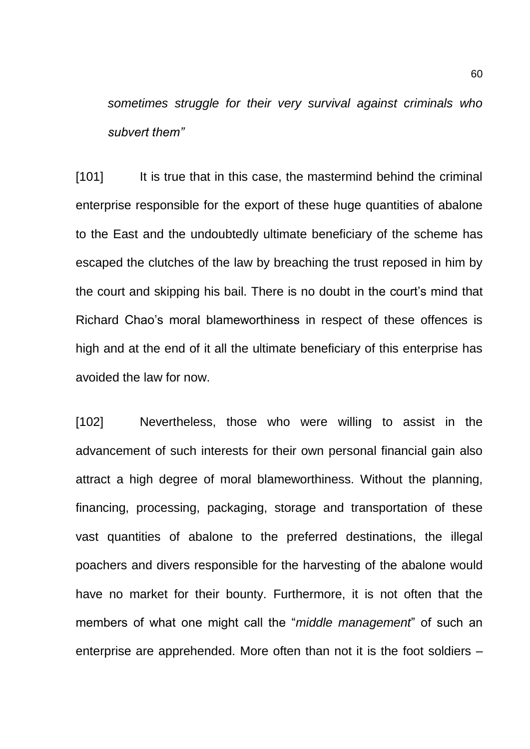*sometimes struggle for their very survival against criminals who subvert them"*

[101] It is true that in this case, the mastermind behind the criminal enterprise responsible for the export of these huge quantities of abalone to the East and the undoubtedly ultimate beneficiary of the scheme has escaped the clutches of the law by breaching the trust reposed in him by the court and skipping his bail. There is no doubt in the court's mind that Richard Chao's moral blameworthiness in respect of these offences is high and at the end of it all the ultimate beneficiary of this enterprise has avoided the law for now.

[102] Nevertheless, those who were willing to assist in the advancement of such interests for their own personal financial gain also attract a high degree of moral blameworthiness. Without the planning, financing, processing, packaging, storage and transportation of these vast quantities of abalone to the preferred destinations, the illegal poachers and divers responsible for the harvesting of the abalone would have no market for their bounty. Furthermore, it is not often that the members of what one might call the "*middle management*" of such an enterprise are apprehended. More often than not it is the foot soldiers –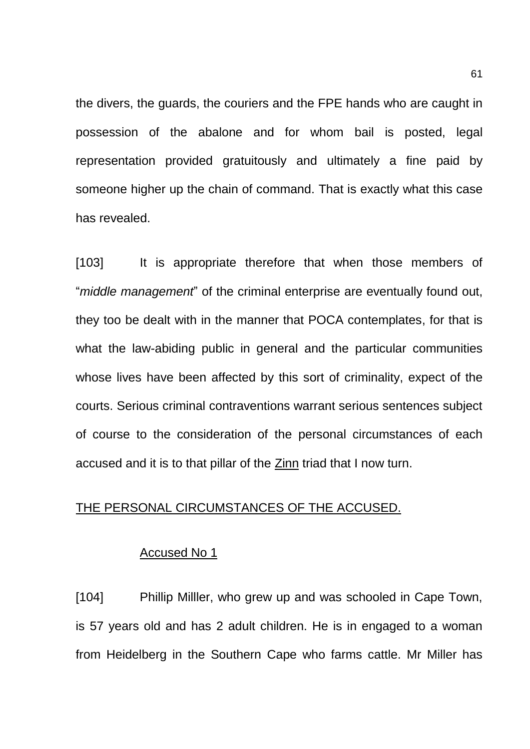the divers, the guards, the couriers and the FPE hands who are caught in possession of the abalone and for whom bail is posted, legal representation provided gratuitously and ultimately a fine paid by someone higher up the chain of command. That is exactly what this case has revealed.

[103] It is appropriate therefore that when those members of "*middle management*" of the criminal enterprise are eventually found out, they too be dealt with in the manner that POCA contemplates, for that is what the law-abiding public in general and the particular communities whose lives have been affected by this sort of criminality, expect of the courts. Serious criminal contraventions warrant serious sentences subject of course to the consideration of the personal circumstances of each accused and it is to that pillar of the Zinn triad that I now turn.

# THE PERSONAL CIRCUMSTANCES OF THE ACCUSED.

#### Accused No 1

[104] Phillip Milller, who grew up and was schooled in Cape Town, is 57 years old and has 2 adult children. He is in engaged to a woman from Heidelberg in the Southern Cape who farms cattle. Mr Miller has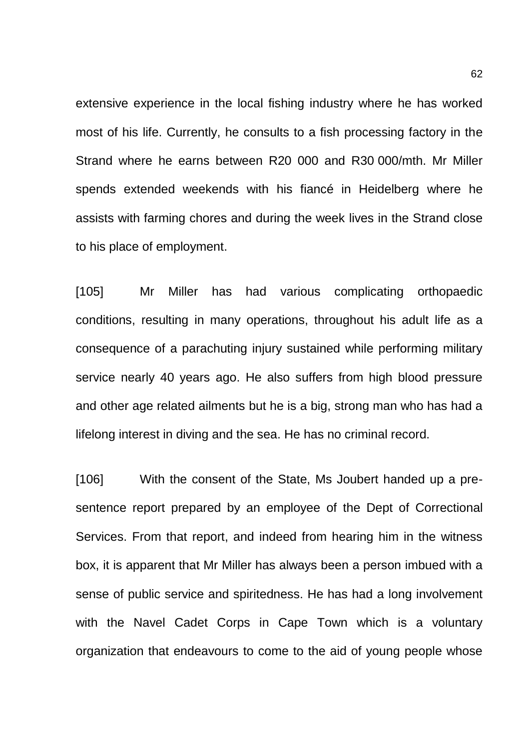extensive experience in the local fishing industry where he has worked most of his life. Currently, he consults to a fish processing factory in the Strand where he earns between R20 000 and R30 000/mth. Mr Miller spends extended weekends with his fiancé in Heidelberg where he assists with farming chores and during the week lives in the Strand close to his place of employment.

[105] Mr Miller has had various complicating orthopaedic conditions, resulting in many operations, throughout his adult life as a consequence of a parachuting injury sustained while performing military service nearly 40 years ago. He also suffers from high blood pressure and other age related ailments but he is a big, strong man who has had a lifelong interest in diving and the sea. He has no criminal record.

[106] With the consent of the State, Ms Joubert handed up a presentence report prepared by an employee of the Dept of Correctional Services. From that report, and indeed from hearing him in the witness box, it is apparent that Mr Miller has always been a person imbued with a sense of public service and spiritedness. He has had a long involvement with the Navel Cadet Corps in Cape Town which is a voluntary organization that endeavours to come to the aid of young people whose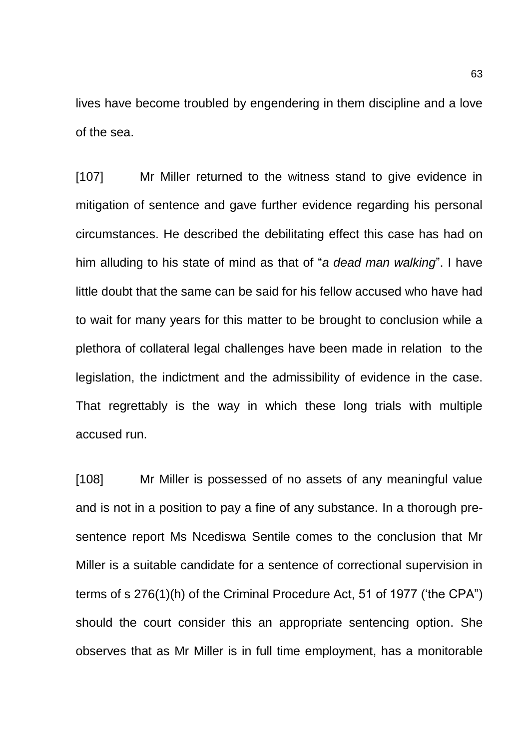lives have become troubled by engendering in them discipline and a love of the sea.

[107] Mr Miller returned to the witness stand to give evidence in mitigation of sentence and gave further evidence regarding his personal circumstances. He described the debilitating effect this case has had on him alluding to his state of mind as that of "*a dead man walking*". I have little doubt that the same can be said for his fellow accused who have had to wait for many years for this matter to be brought to conclusion while a plethora of collateral legal challenges have been made in relation to the legislation, the indictment and the admissibility of evidence in the case. That regrettably is the way in which these long trials with multiple accused run.

[108] Mr Miller is possessed of no assets of any meaningful value and is not in a position to pay a fine of any substance. In a thorough presentence report Ms Ncediswa Sentile comes to the conclusion that Mr Miller is a suitable candidate for a sentence of correctional supervision in terms of s 276(1)(h) of the Criminal Procedure Act, 51 of 1977 ('the CPA") should the court consider this an appropriate sentencing option. She observes that as Mr Miller is in full time employment, has a monitorable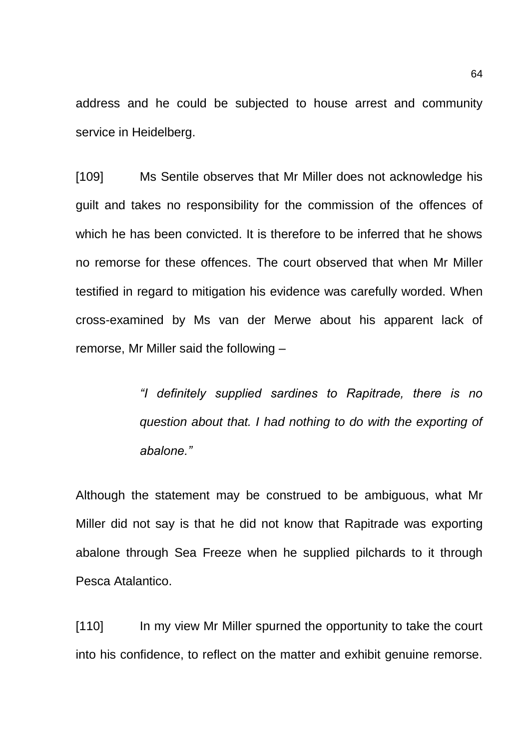address and he could be subjected to house arrest and community service in Heidelberg.

[109] Ms Sentile observes that Mr Miller does not acknowledge his guilt and takes no responsibility for the commission of the offences of which he has been convicted. It is therefore to be inferred that he shows no remorse for these offences. The court observed that when Mr Miller testified in regard to mitigation his evidence was carefully worded. When cross-examined by Ms van der Merwe about his apparent lack of remorse, Mr Miller said the following –

> *"I definitely supplied sardines to Rapitrade, there is no question about that. I had nothing to do with the exporting of abalone."*

Although the statement may be construed to be ambiguous, what Mr Miller did not say is that he did not know that Rapitrade was exporting abalone through Sea Freeze when he supplied pilchards to it through Pesca Atalantico.

[110] In my view Mr Miller spurned the opportunity to take the court into his confidence, to reflect on the matter and exhibit genuine remorse.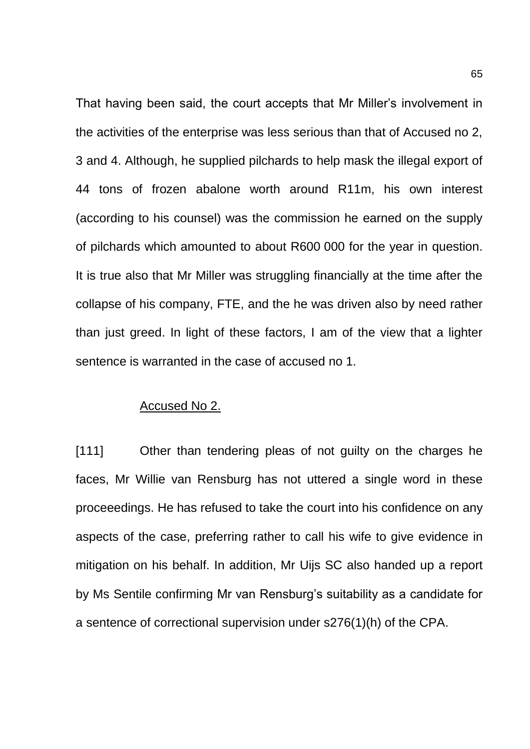That having been said, the court accepts that Mr Miller's involvement in the activities of the enterprise was less serious than that of Accused no 2, 3 and 4. Although, he supplied pilchards to help mask the illegal export of 44 tons of frozen abalone worth around R11m, his own interest (according to his counsel) was the commission he earned on the supply of pilchards which amounted to about R600 000 for the year in question. It is true also that Mr Miller was struggling financially at the time after the collapse of his company, FTE, and the he was driven also by need rather than just greed. In light of these factors, I am of the view that a lighter sentence is warranted in the case of accused no 1.

# Accused No 2.

[111] Other than tendering pleas of not guilty on the charges he faces, Mr Willie van Rensburg has not uttered a single word in these proceeedings. He has refused to take the court into his confidence on any aspects of the case, preferring rather to call his wife to give evidence in mitigation on his behalf. In addition, Mr Uijs SC also handed up a report by Ms Sentile confirming Mr van Rensburg's suitability as a candidate for a sentence of correctional supervision under s276(1)(h) of the CPA.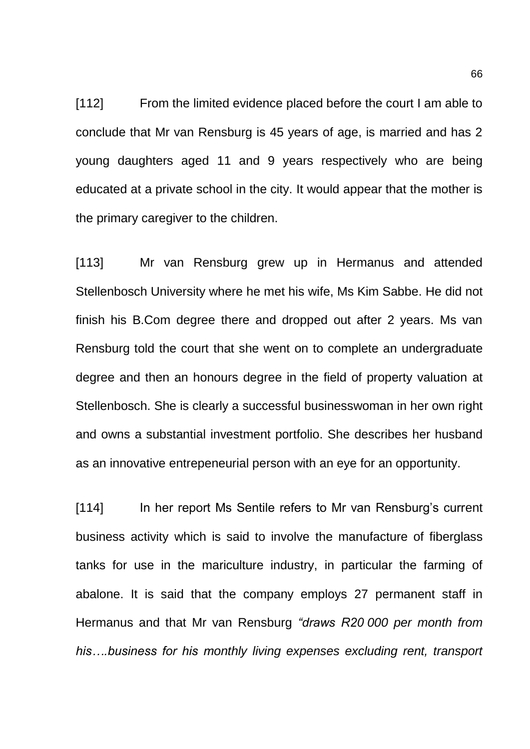[112] From the limited evidence placed before the court I am able to conclude that Mr van Rensburg is 45 years of age, is married and has 2 young daughters aged 11 and 9 years respectively who are being educated at a private school in the city. It would appear that the mother is the primary caregiver to the children.

[113] Mr van Rensburg grew up in Hermanus and attended Stellenbosch University where he met his wife, Ms Kim Sabbe. He did not finish his B.Com degree there and dropped out after 2 years. Ms van Rensburg told the court that she went on to complete an undergraduate degree and then an honours degree in the field of property valuation at Stellenbosch. She is clearly a successful businesswoman in her own right and owns a substantial investment portfolio. She describes her husband as an innovative entrepeneurial person with an eye for an opportunity.

[114] In her report Ms Sentile refers to Mr van Rensburg's current business activity which is said to involve the manufacture of fiberglass tanks for use in the mariculture industry, in particular the farming of abalone. It is said that the company employs 27 permanent staff in Hermanus and that Mr van Rensburg *"draws R20 000 per month from his….business for his monthly living expenses excluding rent, transport*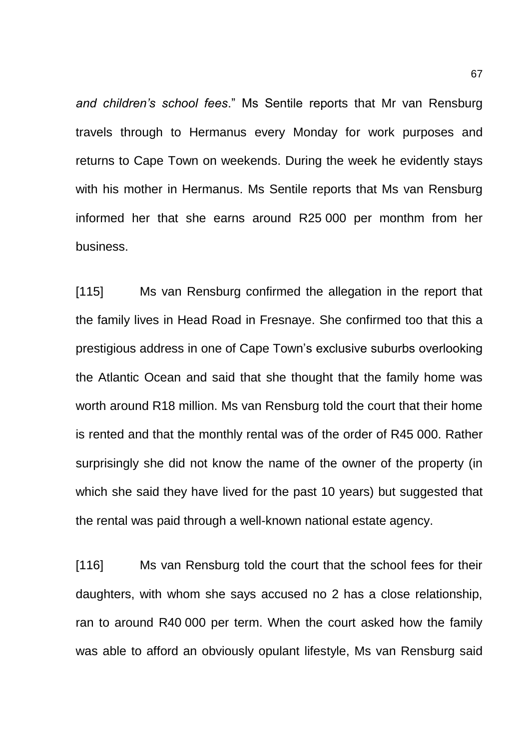*and children's school fees*." Ms Sentile reports that Mr van Rensburg travels through to Hermanus every Monday for work purposes and returns to Cape Town on weekends. During the week he evidently stays with his mother in Hermanus. Ms Sentile reports that Ms van Rensburg informed her that she earns around R25 000 per monthm from her business.

[115] Ms van Rensburg confirmed the allegation in the report that the family lives in Head Road in Fresnaye. She confirmed too that this a prestigious address in one of Cape Town's exclusive suburbs overlooking the Atlantic Ocean and said that she thought that the family home was worth around R18 million. Ms van Rensburg told the court that their home is rented and that the monthly rental was of the order of R45 000. Rather surprisingly she did not know the name of the owner of the property (in which she said they have lived for the past 10 years) but suggested that the rental was paid through a well-known national estate agency.

[116] Ms van Rensburg told the court that the school fees for their daughters, with whom she says accused no 2 has a close relationship, ran to around R40 000 per term. When the court asked how the family was able to afford an obviously opulant lifestyle, Ms van Rensburg said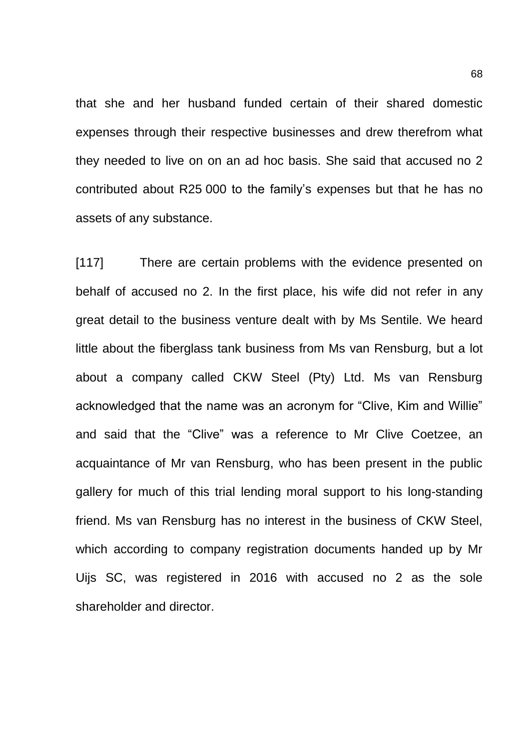that she and her husband funded certain of their shared domestic expenses through their respective businesses and drew therefrom what they needed to live on on an ad hoc basis. She said that accused no 2 contributed about R25 000 to the family's expenses but that he has no assets of any substance.

[117] There are certain problems with the evidence presented on behalf of accused no 2. In the first place, his wife did not refer in any great detail to the business venture dealt with by Ms Sentile. We heard little about the fiberglass tank business from Ms van Rensburg, but a lot about a company called CKW Steel (Pty) Ltd. Ms van Rensburg acknowledged that the name was an acronym for "Clive, Kim and Willie" and said that the "Clive" was a reference to Mr Clive Coetzee, an acquaintance of Mr van Rensburg, who has been present in the public gallery for much of this trial lending moral support to his long-standing friend. Ms van Rensburg has no interest in the business of CKW Steel, which according to company registration documents handed up by Mr Uijs SC, was registered in 2016 with accused no 2 as the sole shareholder and director.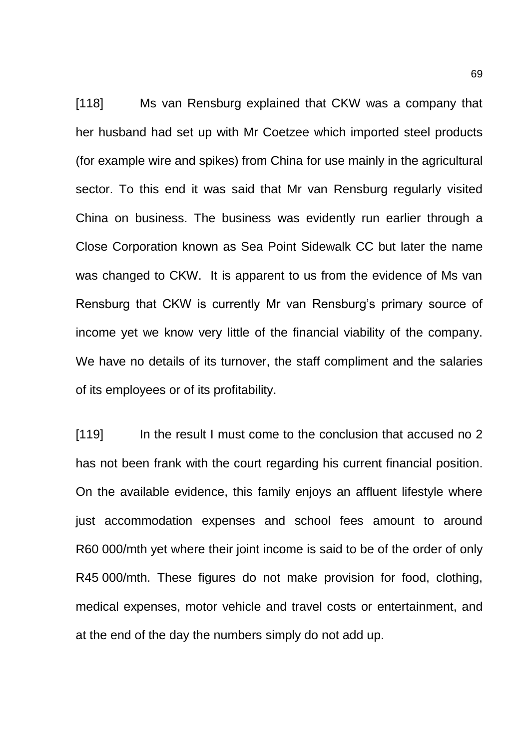[118] Ms van Rensburg explained that CKW was a company that her husband had set up with Mr Coetzee which imported steel products (for example wire and spikes) from China for use mainly in the agricultural sector. To this end it was said that Mr van Rensburg regularly visited China on business. The business was evidently run earlier through a Close Corporation known as Sea Point Sidewalk CC but later the name was changed to CKW. It is apparent to us from the evidence of Ms van Rensburg that CKW is currently Mr van Rensburg's primary source of income yet we know very little of the financial viability of the company. We have no details of its turnover, the staff compliment and the salaries of its employees or of its profitability.

[119] In the result I must come to the conclusion that accused no 2 has not been frank with the court regarding his current financial position. On the available evidence, this family enjoys an affluent lifestyle where just accommodation expenses and school fees amount to around R60 000/mth yet where their joint income is said to be of the order of only R45 000/mth. These figures do not make provision for food, clothing, medical expenses, motor vehicle and travel costs or entertainment, and at the end of the day the numbers simply do not add up.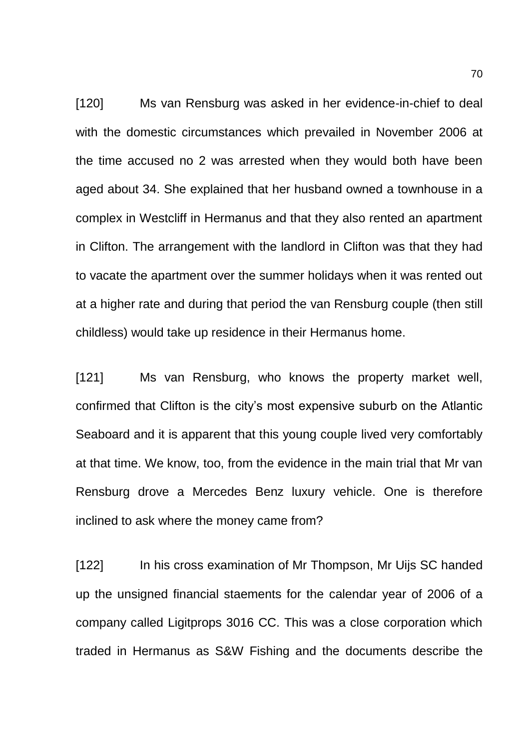[120] Ms van Rensburg was asked in her evidence-in-chief to deal with the domestic circumstances which prevailed in November 2006 at the time accused no 2 was arrested when they would both have been aged about 34. She explained that her husband owned a townhouse in a complex in Westcliff in Hermanus and that they also rented an apartment in Clifton. The arrangement with the landlord in Clifton was that they had to vacate the apartment over the summer holidays when it was rented out at a higher rate and during that period the van Rensburg couple (then still childless) would take up residence in their Hermanus home.

[121] Ms van Rensburg, who knows the property market well, confirmed that Clifton is the city's most expensive suburb on the Atlantic Seaboard and it is apparent that this young couple lived very comfortably at that time. We know, too, from the evidence in the main trial that Mr van Rensburg drove a Mercedes Benz luxury vehicle. One is therefore inclined to ask where the money came from?

[122] In his cross examination of Mr Thompson, Mr Uijs SC handed up the unsigned financial staements for the calendar year of 2006 of a company called Ligitprops 3016 CC. This was a close corporation which traded in Hermanus as S&W Fishing and the documents describe the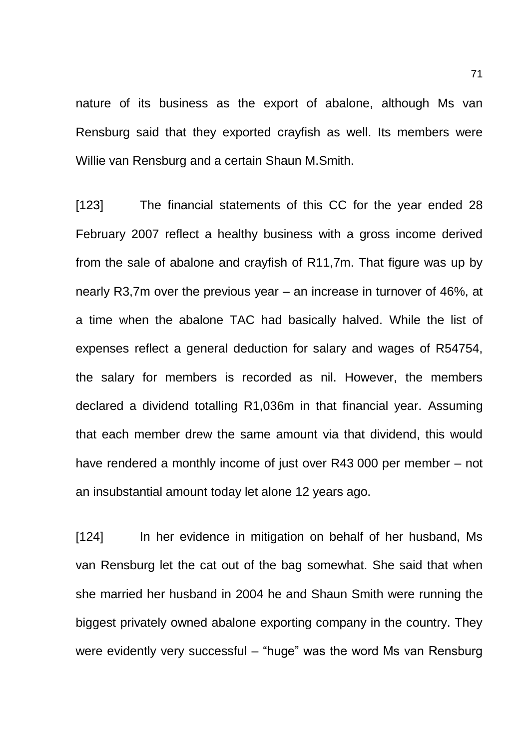nature of its business as the export of abalone, although Ms van Rensburg said that they exported crayfish as well. Its members were Willie van Rensburg and a certain Shaun M.Smith.

[123] The financial statements of this CC for the year ended 28 February 2007 reflect a healthy business with a gross income derived from the sale of abalone and crayfish of R11,7m. That figure was up by nearly R3,7m over the previous year – an increase in turnover of 46%, at a time when the abalone TAC had basically halved. While the list of expenses reflect a general deduction for salary and wages of R54754, the salary for members is recorded as nil. However, the members declared a dividend totalling R1,036m in that financial year. Assuming that each member drew the same amount via that dividend, this would have rendered a monthly income of just over R43 000 per member – not an insubstantial amount today let alone 12 years ago.

[124] In her evidence in mitigation on behalf of her husband, Ms van Rensburg let the cat out of the bag somewhat. She said that when she married her husband in 2004 he and Shaun Smith were running the biggest privately owned abalone exporting company in the country. They were evidently very successful – "huge" was the word Ms van Rensburg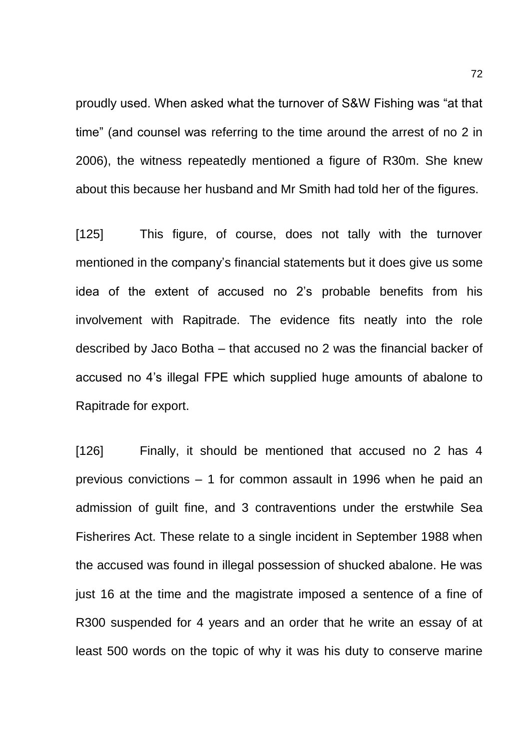proudly used. When asked what the turnover of S&W Fishing was "at that time" (and counsel was referring to the time around the arrest of no 2 in 2006), the witness repeatedly mentioned a figure of R30m. She knew about this because her husband and Mr Smith had told her of the figures.

[125] This figure, of course, does not tally with the turnover mentioned in the company's financial statements but it does give us some idea of the extent of accused no 2's probable benefits from his involvement with Rapitrade. The evidence fits neatly into the role described by Jaco Botha – that accused no 2 was the financial backer of accused no 4's illegal FPE which supplied huge amounts of abalone to Rapitrade for export.

[126] Finally, it should be mentioned that accused no 2 has 4 previous convictions – 1 for common assault in 1996 when he paid an admission of guilt fine, and 3 contraventions under the erstwhile Sea Fisherires Act. These relate to a single incident in September 1988 when the accused was found in illegal possession of shucked abalone. He was just 16 at the time and the magistrate imposed a sentence of a fine of R300 suspended for 4 years and an order that he write an essay of at least 500 words on the topic of why it was his duty to conserve marine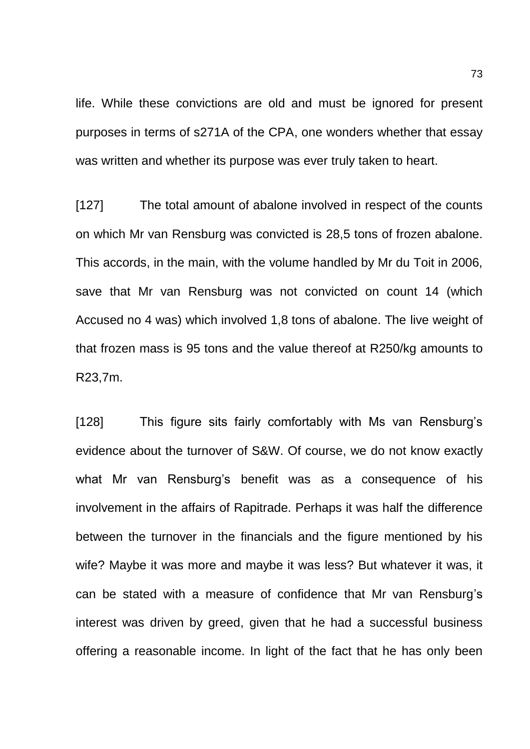life. While these convictions are old and must be ignored for present purposes in terms of s271A of the CPA, one wonders whether that essay was written and whether its purpose was ever truly taken to heart.

[127] The total amount of abalone involved in respect of the counts on which Mr van Rensburg was convicted is 28,5 tons of frozen abalone. This accords, in the main, with the volume handled by Mr du Toit in 2006, save that Mr van Rensburg was not convicted on count 14 (which Accused no 4 was) which involved 1,8 tons of abalone. The live weight of that frozen mass is 95 tons and the value thereof at R250/kg amounts to R23,7m.

[128] This figure sits fairly comfortably with Ms van Rensburg's evidence about the turnover of S&W. Of course, we do not know exactly what Mr van Rensburg's benefit was as a consequence of his involvement in the affairs of Rapitrade. Perhaps it was half the difference between the turnover in the financials and the figure mentioned by his wife? Maybe it was more and maybe it was less? But whatever it was, it can be stated with a measure of confidence that Mr van Rensburg's interest was driven by greed, given that he had a successful business offering a reasonable income. In light of the fact that he has only been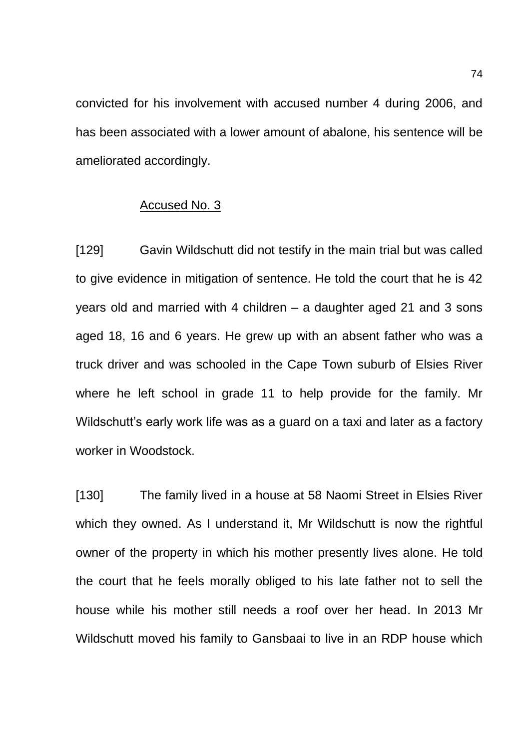convicted for his involvement with accused number 4 during 2006, and has been associated with a lower amount of abalone, his sentence will be ameliorated accordingly.

## Accused No. 3

[129] Gavin Wildschutt did not testify in the main trial but was called to give evidence in mitigation of sentence. He told the court that he is 42 years old and married with 4 children – a daughter aged 21 and 3 sons aged 18, 16 and 6 years. He grew up with an absent father who was a truck driver and was schooled in the Cape Town suburb of Elsies River where he left school in grade 11 to help provide for the family. Mr Wildschutt's early work life was as a guard on a taxi and later as a factory worker in Woodstock.

[130] The family lived in a house at 58 Naomi Street in Elsies River which they owned. As I understand it, Mr Wildschutt is now the rightful owner of the property in which his mother presently lives alone. He told the court that he feels morally obliged to his late father not to sell the house while his mother still needs a roof over her head. In 2013 Mr Wildschutt moved his family to Gansbaai to live in an RDP house which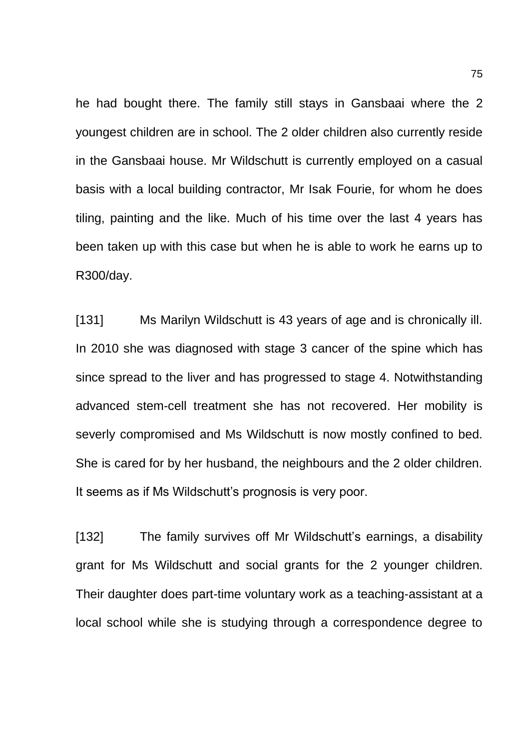he had bought there. The family still stays in Gansbaai where the 2 youngest children are in school. The 2 older children also currently reside in the Gansbaai house. Mr Wildschutt is currently employed on a casual basis with a local building contractor, Mr Isak Fourie, for whom he does tiling, painting and the like. Much of his time over the last 4 years has been taken up with this case but when he is able to work he earns up to R300/day.

[131] Ms Marilyn Wildschutt is 43 years of age and is chronically ill. In 2010 she was diagnosed with stage 3 cancer of the spine which has since spread to the liver and has progressed to stage 4. Notwithstanding advanced stem-cell treatment she has not recovered. Her mobility is severly compromised and Ms Wildschutt is now mostly confined to bed. She is cared for by her husband, the neighbours and the 2 older children. It seems as if Ms Wildschutt's prognosis is very poor.

[132] The family survives off Mr Wildschutt's earnings, a disability grant for Ms Wildschutt and social grants for the 2 younger children. Their daughter does part-time voluntary work as a teaching-assistant at a local school while she is studying through a correspondence degree to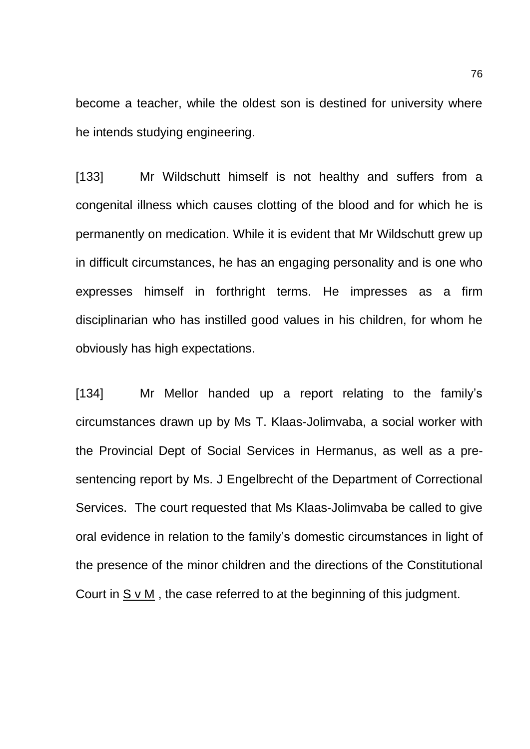become a teacher, while the oldest son is destined for university where he intends studying engineering.

[133] Mr Wildschutt himself is not healthy and suffers from a congenital illness which causes clotting of the blood and for which he is permanently on medication. While it is evident that Mr Wildschutt grew up in difficult circumstances, he has an engaging personality and is one who expresses himself in forthright terms. He impresses as a firm disciplinarian who has instilled good values in his children, for whom he obviously has high expectations.

[134] Mr Mellor handed up a report relating to the family's circumstances drawn up by Ms T. Klaas-Jolimvaba, a social worker with the Provincial Dept of Social Services in Hermanus, as well as a presentencing report by Ms. J Engelbrecht of the Department of Correctional Services. The court requested that Ms Klaas-Jolimvaba be called to give oral evidence in relation to the family's domestic circumstances in light of the presence of the minor children and the directions of the Constitutional Court in S v M , the case referred to at the beginning of this judgment.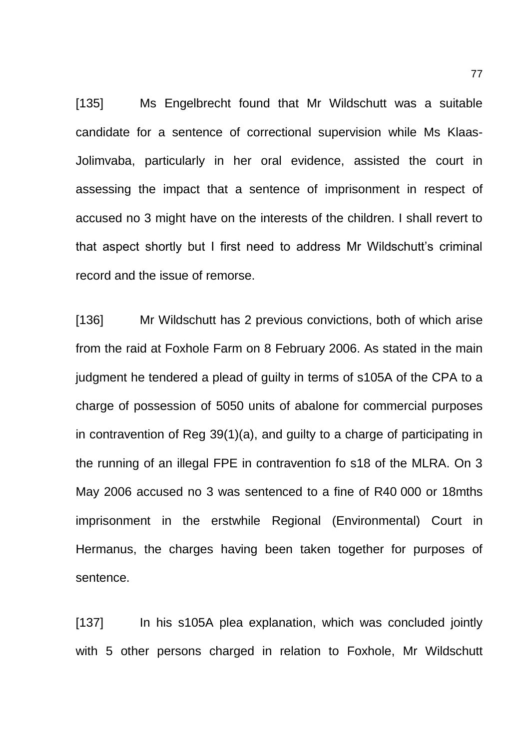[135] Ms Engelbrecht found that Mr Wildschutt was a suitable candidate for a sentence of correctional supervision while Ms Klaas-Jolimvaba, particularly in her oral evidence, assisted the court in assessing the impact that a sentence of imprisonment in respect of accused no 3 might have on the interests of the children. I shall revert to that aspect shortly but I first need to address Mr Wildschutt's criminal record and the issue of remorse.

[136] Mr Wildschutt has 2 previous convictions, both of which arise from the raid at Foxhole Farm on 8 February 2006. As stated in the main judgment he tendered a plead of guilty in terms of s105A of the CPA to a charge of possession of 5050 units of abalone for commercial purposes in contravention of Reg 39(1)(a), and guilty to a charge of participating in the running of an illegal FPE in contravention fo s18 of the MLRA. On 3 May 2006 accused no 3 was sentenced to a fine of R40 000 or 18mths imprisonment in the erstwhile Regional (Environmental) Court in Hermanus, the charges having been taken together for purposes of sentence.

[137] In his s105A plea explanation, which was concluded jointly with 5 other persons charged in relation to Foxhole, Mr Wildschutt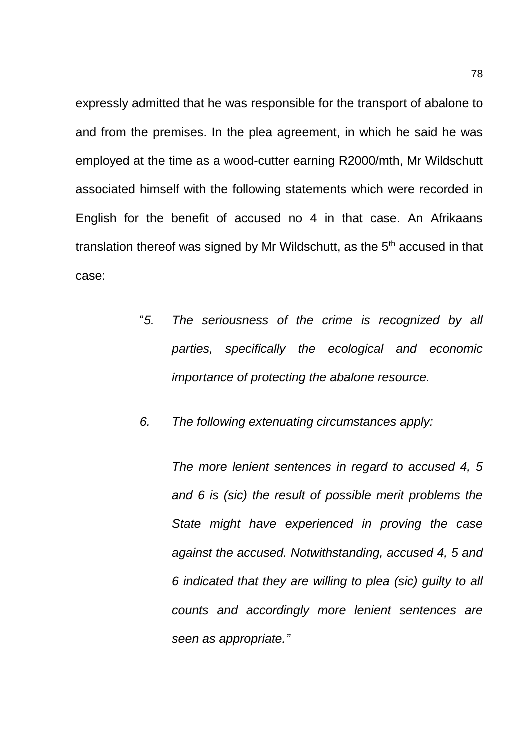expressly admitted that he was responsible for the transport of abalone to and from the premises. In the plea agreement, in which he said he was employed at the time as a wood-cutter earning R2000/mth, Mr Wildschutt associated himself with the following statements which were recorded in English for the benefit of accused no 4 in that case. An Afrikaans translation thereof was signed by Mr Wildschutt, as the  $5<sup>th</sup>$  accused in that case:

- "*5. The seriousness of the crime is recognized by all parties, specifically the ecological and economic importance of protecting the abalone resource.*
- *6. The following extenuating circumstances apply:*

*The more lenient sentences in regard to accused 4, 5 and 6 is (sic) the result of possible merit problems the State might have experienced in proving the case against the accused. Notwithstanding, accused 4, 5 and 6 indicated that they are willing to plea (sic) guilty to all counts and accordingly more lenient sentences are seen as appropriate."*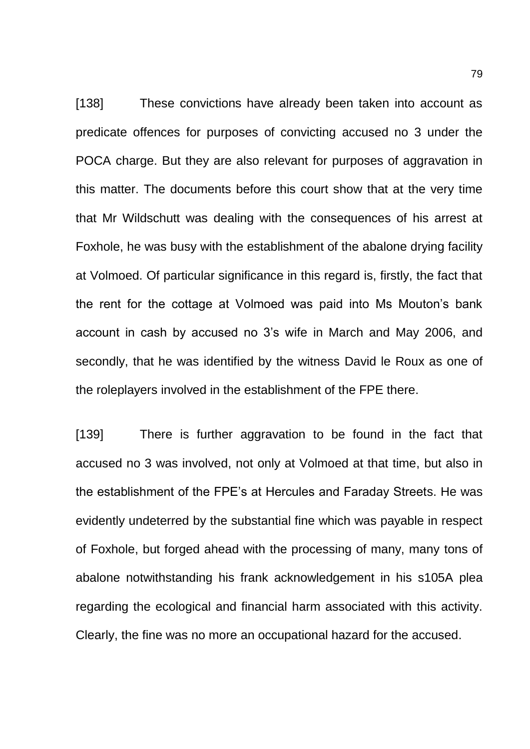[138] These convictions have already been taken into account as predicate offences for purposes of convicting accused no 3 under the POCA charge. But they are also relevant for purposes of aggravation in this matter. The documents before this court show that at the very time that Mr Wildschutt was dealing with the consequences of his arrest at Foxhole, he was busy with the establishment of the abalone drying facility at Volmoed. Of particular significance in this regard is, firstly, the fact that the rent for the cottage at Volmoed was paid into Ms Mouton's bank account in cash by accused no 3's wife in March and May 2006, and secondly, that he was identified by the witness David le Roux as one of the roleplayers involved in the establishment of the FPE there.

[139] There is further aggravation to be found in the fact that accused no 3 was involved, not only at Volmoed at that time, but also in the establishment of the FPE's at Hercules and Faraday Streets. He was evidently undeterred by the substantial fine which was payable in respect of Foxhole, but forged ahead with the processing of many, many tons of abalone notwithstanding his frank acknowledgement in his s105A plea regarding the ecological and financial harm associated with this activity. Clearly, the fine was no more an occupational hazard for the accused.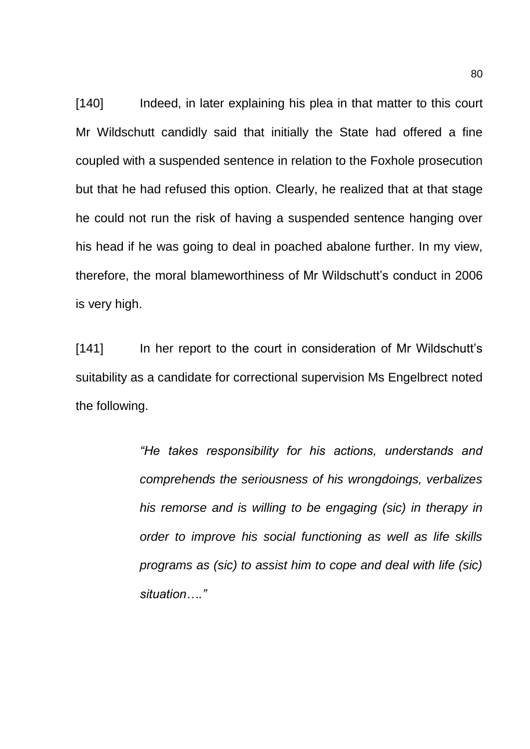[140] Indeed, in later explaining his plea in that matter to this court Mr Wildschutt candidly said that initially the State had offered a fine coupled with a suspended sentence in relation to the Foxhole prosecution but that he had refused this option. Clearly, he realized that at that stage he could not run the risk of having a suspended sentence hanging over his head if he was going to deal in poached abalone further. In my view, therefore, the moral blameworthiness of Mr Wildschutt's conduct in 2006 is very high.

[141] In her report to the court in consideration of Mr Wildschutt's suitability as a candidate for correctional supervision Ms Engelbrect noted the following.

> *"He takes responsibility for his actions, understands and comprehends the seriousness of his wrongdoings, verbalizes his remorse and is willing to be engaging (sic) in therapy in order to improve his social functioning as well as life skills programs as (sic) to assist him to cope and deal with life (sic) situation…."*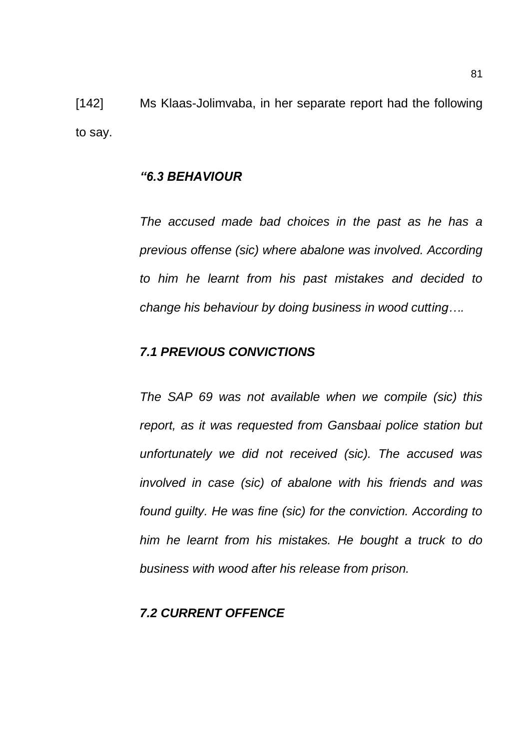[142] Ms Klaas-Jolimvaba, in her separate report had the following to say.

## *"6.3 BEHAVIOUR*

*The accused made bad choices in the past as he has a previous offense (sic) where abalone was involved. According to him he learnt from his past mistakes and decided to change his behaviour by doing business in wood cutting….*

## *7.1 PREVIOUS CONVICTIONS*

*The SAP 69 was not available when we compile (sic) this report, as it was requested from Gansbaai police station but unfortunately we did not received (sic). The accused was involved in case (sic) of abalone with his friends and was found guilty. He was fine (sic) for the conviction. According to him he learnt from his mistakes. He bought a truck to do business with wood after his release from prison.*

## *7.2 CURRENT OFFENCE*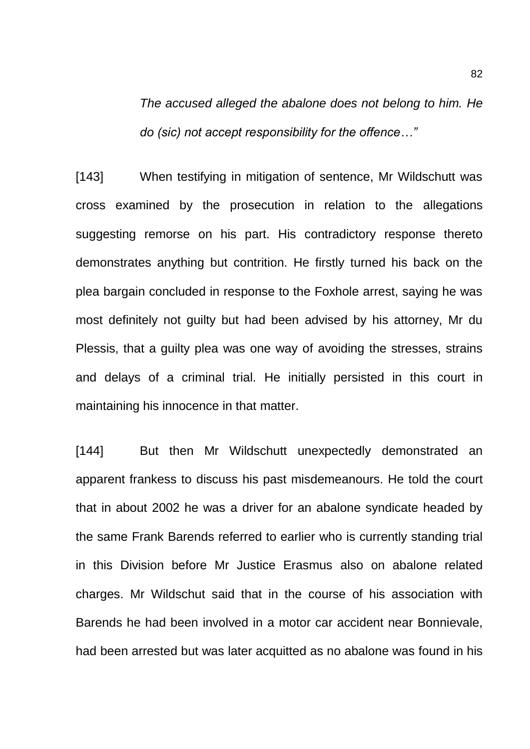*The accused alleged the abalone does not belong to him. He do (sic) not accept responsibility for the offence…"*

[143] When testifying in mitigation of sentence, Mr Wildschutt was cross examined by the prosecution in relation to the allegations suggesting remorse on his part. His contradictory response thereto demonstrates anything but contrition. He firstly turned his back on the plea bargain concluded in response to the Foxhole arrest, saying he was most definitely not guilty but had been advised by his attorney, Mr du Plessis, that a guilty plea was one way of avoiding the stresses, strains and delays of a criminal trial. He initially persisted in this court in maintaining his innocence in that matter.

[144] But then Mr Wildschutt unexpectedly demonstrated an apparent frankess to discuss his past misdemeanours. He told the court that in about 2002 he was a driver for an abalone syndicate headed by the same Frank Barends referred to earlier who is currently standing trial in this Division before Mr Justice Erasmus also on abalone related charges. Mr Wildschut said that in the course of his association with Barends he had been involved in a motor car accident near Bonnievale, had been arrested but was later acquitted as no abalone was found in his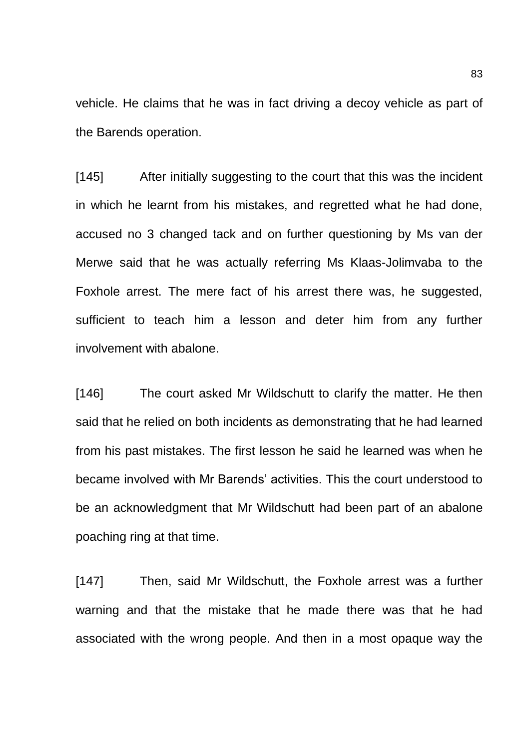vehicle. He claims that he was in fact driving a decoy vehicle as part of the Barends operation.

[145] After initially suggesting to the court that this was the incident in which he learnt from his mistakes, and regretted what he had done, accused no 3 changed tack and on further questioning by Ms van der Merwe said that he was actually referring Ms Klaas-Jolimvaba to the Foxhole arrest. The mere fact of his arrest there was, he suggested, sufficient to teach him a lesson and deter him from any further involvement with abalone.

[146] The court asked Mr Wildschutt to clarify the matter. He then said that he relied on both incidents as demonstrating that he had learned from his past mistakes. The first lesson he said he learned was when he became involved with Mr Barends' activities. This the court understood to be an acknowledgment that Mr Wildschutt had been part of an abalone poaching ring at that time.

[147] Then, said Mr Wildschutt, the Foxhole arrest was a further warning and that the mistake that he made there was that he had associated with the wrong people. And then in a most opaque way the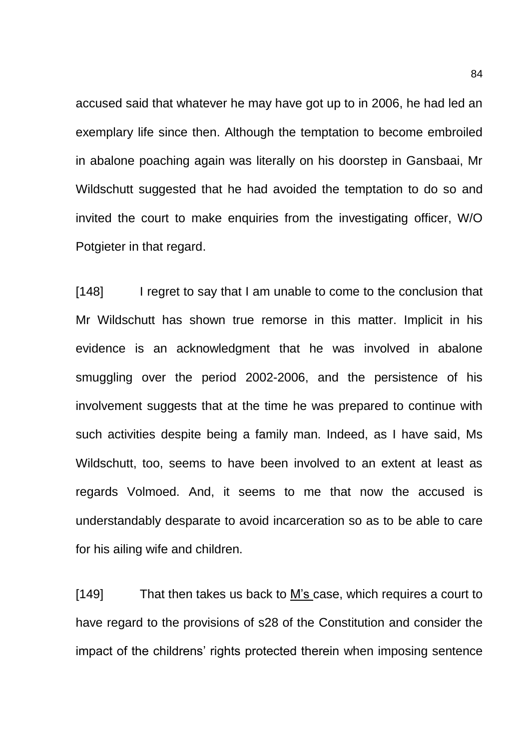accused said that whatever he may have got up to in 2006, he had led an exemplary life since then. Although the temptation to become embroiled in abalone poaching again was literally on his doorstep in Gansbaai, Mr Wildschutt suggested that he had avoided the temptation to do so and invited the court to make enquiries from the investigating officer, W/O Potgieter in that regard.

[148] I regret to say that I am unable to come to the conclusion that Mr Wildschutt has shown true remorse in this matter. Implicit in his evidence is an acknowledgment that he was involved in abalone smuggling over the period 2002-2006, and the persistence of his involvement suggests that at the time he was prepared to continue with such activities despite being a family man. Indeed, as I have said, Ms Wildschutt, too, seems to have been involved to an extent at least as regards Volmoed. And, it seems to me that now the accused is understandably desparate to avoid incarceration so as to be able to care for his ailing wife and children.

[149] That then takes us back to M's case, which requires a court to have regard to the provisions of s28 of the Constitution and consider the impact of the childrens' rights protected therein when imposing sentence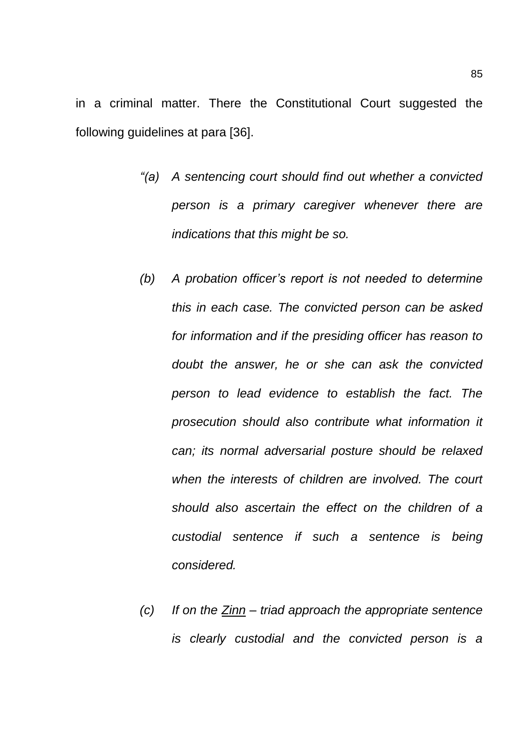in a criminal matter. There the Constitutional Court suggested the following guidelines at para [36].

- *"(a) A sentencing court should find out whether a convicted person is a primary caregiver whenever there are indications that this might be so.*
- *(b) A probation officer's report is not needed to determine this in each case. The convicted person can be asked for information and if the presiding officer has reason to doubt the answer, he or she can ask the convicted person to lead evidence to establish the fact. The prosecution should also contribute what information it can; its normal adversarial posture should be relaxed when the interests of children are involved. The court should also ascertain the effect on the children of a custodial sentence if such a sentence is being considered.*
- *(c) If on the Zinn – triad approach the appropriate sentence is clearly custodial and the convicted person is a*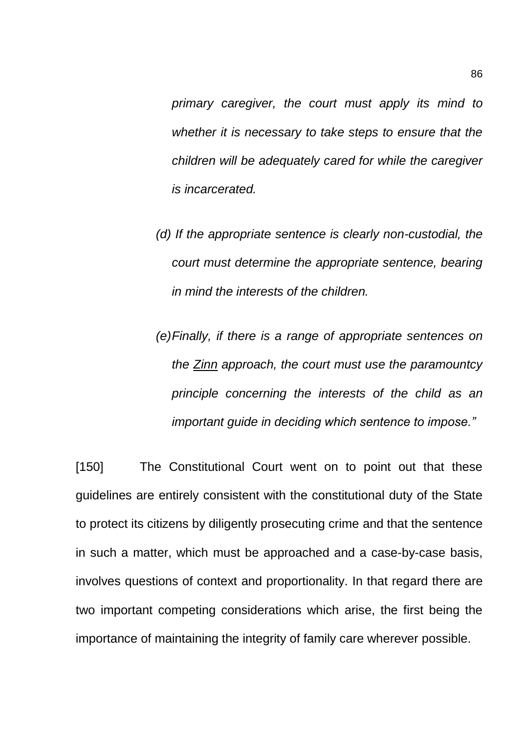*primary caregiver, the court must apply its mind to whether it is necessary to take steps to ensure that the children will be adequately cared for while the caregiver is incarcerated.*

- *(d) If the appropriate sentence is clearly non-custodial, the court must determine the appropriate sentence, bearing in mind the interests of the children.*
- *(e)Finally, if there is a range of appropriate sentences on the Zinn approach, the court must use the paramountcy principle concerning the interests of the child as an important guide in deciding which sentence to impose."*

[150] The Constitutional Court went on to point out that these guidelines are entirely consistent with the constitutional duty of the State to protect its citizens by diligently prosecuting crime and that the sentence in such a matter, which must be approached and a case-by-case basis, involves questions of context and proportionality. In that regard there are two important competing considerations which arise, the first being the importance of maintaining the integrity of family care wherever possible.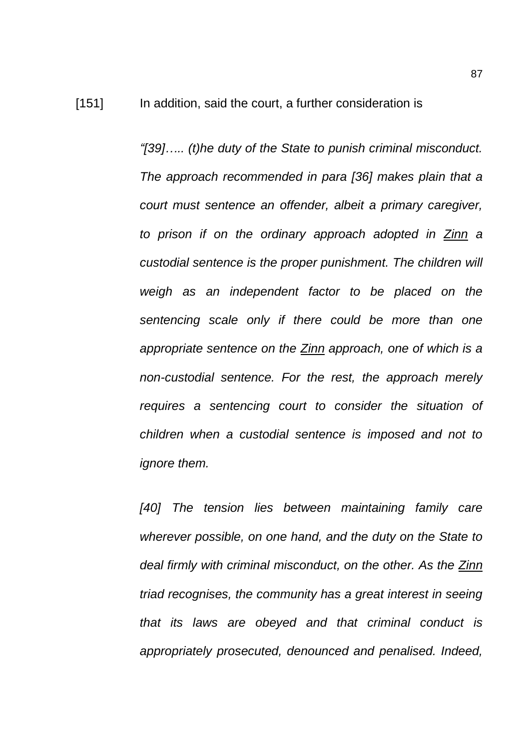*"[39]….. (t)he duty of the State to punish criminal misconduct. The approach recommended in para [36] makes plain that a court must sentence an offender, albeit a primary caregiver, to prison if on the ordinary approach adopted in Zinn a custodial sentence is the proper punishment. The children will weigh as an independent factor to be placed on the sentencing scale only if there could be more than one appropriate sentence on the Zinn approach, one of which is a non-custodial sentence. For the rest, the approach merely requires a sentencing court to consider the situation of children when a custodial sentence is imposed and not to ignore them.*

*[40] The tension lies between maintaining family care wherever possible, on one hand, and the duty on the State to deal firmly with criminal misconduct, on the other. As the Zinn triad recognises, the community has a great interest in seeing that its laws are obeyed and that criminal conduct is appropriately prosecuted, denounced and penalised. Indeed,*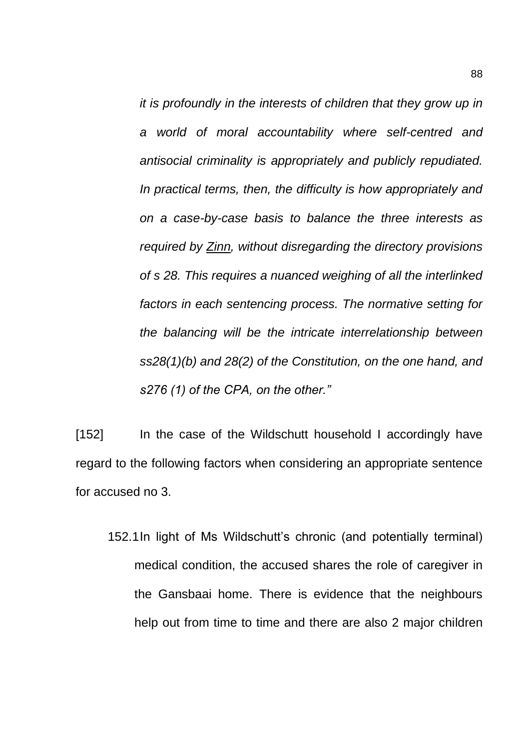*it is profoundly in the interests of children that they grow up in a world of moral accountability where self-centred and antisocial criminality is appropriately and publicly repudiated. In practical terms, then, the difficulty is how appropriately and on a case-by-case basis to balance the three interests as required by Zinn, without disregarding the directory provisions of s 28. This requires a nuanced weighing of all the interlinked factors in each sentencing process. The normative setting for the balancing will be the intricate interrelationship between ss28(1)(b) and 28(2) of the Constitution, on the one hand, and s276 (1) of the CPA, on the other."*

[152] In the case of the Wildschutt household I accordingly have regard to the following factors when considering an appropriate sentence for accused no 3.

152.1In light of Ms Wildschutt's chronic (and potentially terminal) medical condition, the accused shares the role of caregiver in the Gansbaai home. There is evidence that the neighbours help out from time to time and there are also 2 major children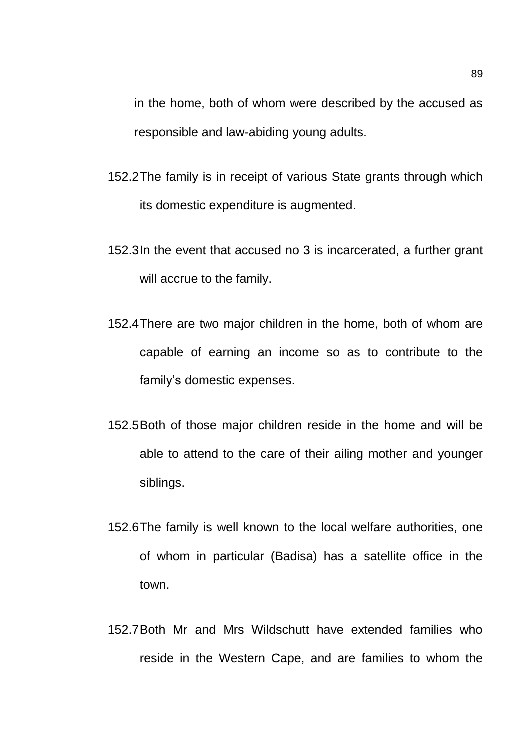in the home, both of whom were described by the accused as responsible and law-abiding young adults.

- 152.2The family is in receipt of various State grants through which its domestic expenditure is augmented.
- 152.3In the event that accused no 3 is incarcerated, a further grant will accrue to the family.
- 152.4There are two major children in the home, both of whom are capable of earning an income so as to contribute to the family's domestic expenses.
- 152.5Both of those major children reside in the home and will be able to attend to the care of their ailing mother and younger siblings.
- 152.6The family is well known to the local welfare authorities, one of whom in particular (Badisa) has a satellite office in the town.
- 152.7Both Mr and Mrs Wildschutt have extended families who reside in the Western Cape, and are families to whom the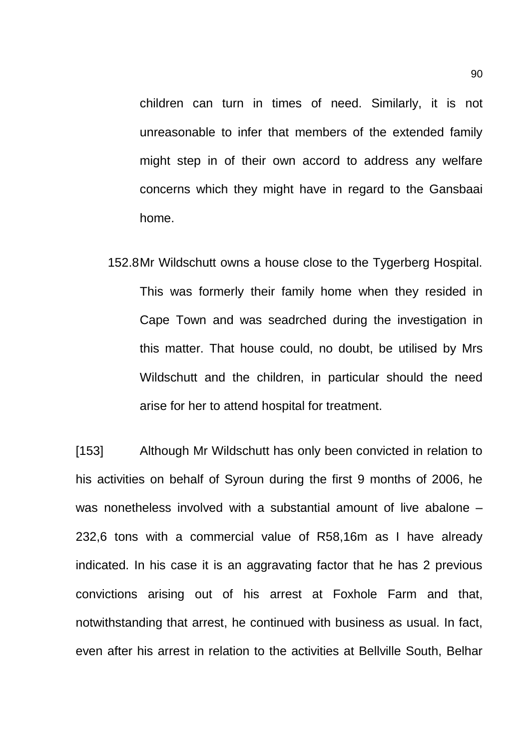children can turn in times of need. Similarly, it is not unreasonable to infer that members of the extended family might step in of their own accord to address any welfare concerns which they might have in regard to the Gansbaai home.

152.8Mr Wildschutt owns a house close to the Tygerberg Hospital. This was formerly their family home when they resided in Cape Town and was seadrched during the investigation in this matter. That house could, no doubt, be utilised by Mrs Wildschutt and the children, in particular should the need arise for her to attend hospital for treatment.

[153] Although Mr Wildschutt has only been convicted in relation to his activities on behalf of Syroun during the first 9 months of 2006, he was nonetheless involved with a substantial amount of live abalone – 232,6 tons with a commercial value of R58,16m as I have already indicated. In his case it is an aggravating factor that he has 2 previous convictions arising out of his arrest at Foxhole Farm and that, notwithstanding that arrest, he continued with business as usual. In fact, even after his arrest in relation to the activities at Bellville South, Belhar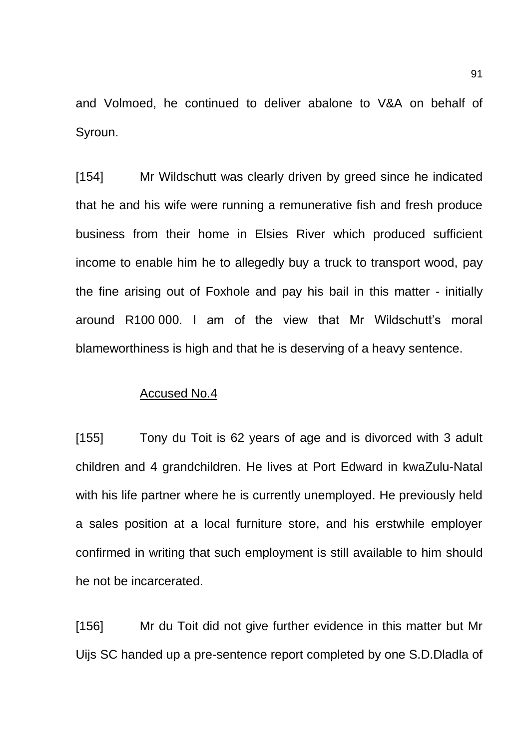and Volmoed, he continued to deliver abalone to V&A on behalf of Syroun.

[154] Mr Wildschutt was clearly driven by greed since he indicated that he and his wife were running a remunerative fish and fresh produce business from their home in Elsies River which produced sufficient income to enable him he to allegedly buy a truck to transport wood, pay the fine arising out of Foxhole and pay his bail in this matter - initially around R100 000. I am of the view that Mr Wildschutt's moral blameworthiness is high and that he is deserving of a heavy sentence.

#### Accused No.4

[155] Tony du Toit is 62 years of age and is divorced with 3 adult children and 4 grandchildren. He lives at Port Edward in kwaZulu-Natal with his life partner where he is currently unemployed. He previously held a sales position at a local furniture store, and his erstwhile employer confirmed in writing that such employment is still available to him should he not be incarcerated.

[156] Mr du Toit did not give further evidence in this matter but Mr Uijs SC handed up a pre-sentence report completed by one S.D.Dladla of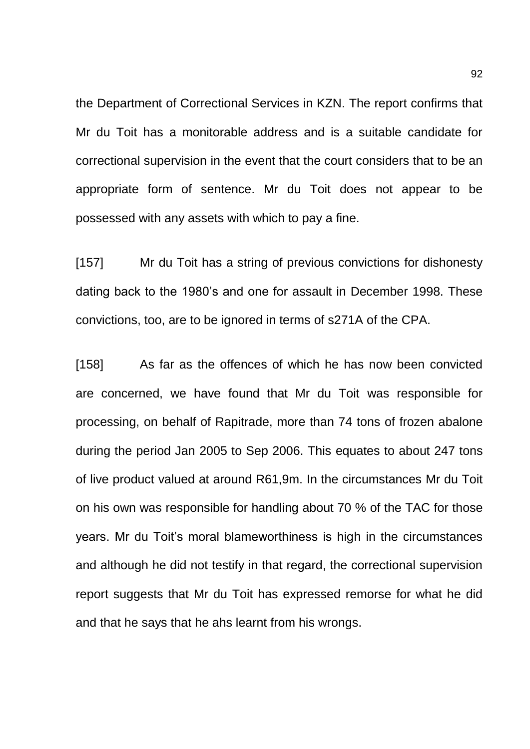the Department of Correctional Services in KZN. The report confirms that Mr du Toit has a monitorable address and is a suitable candidate for correctional supervision in the event that the court considers that to be an appropriate form of sentence. Mr du Toit does not appear to be possessed with any assets with which to pay a fine.

[157] Mr du Toit has a string of previous convictions for dishonesty dating back to the 1980's and one for assault in December 1998. These convictions, too, are to be ignored in terms of s271A of the CPA.

[158] As far as the offences of which he has now been convicted are concerned, we have found that Mr du Toit was responsible for processing, on behalf of Rapitrade, more than 74 tons of frozen abalone during the period Jan 2005 to Sep 2006. This equates to about 247 tons of live product valued at around R61,9m. In the circumstances Mr du Toit on his own was responsible for handling about 70 % of the TAC for those years. Mr du Toit's moral blameworthiness is high in the circumstances and although he did not testify in that regard, the correctional supervision report suggests that Mr du Toit has expressed remorse for what he did and that he says that he ahs learnt from his wrongs.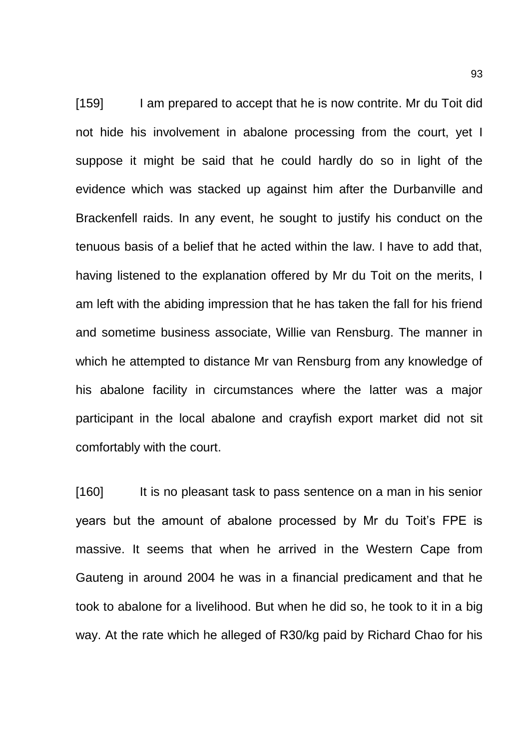[159] I am prepared to accept that he is now contrite. Mr du Toit did not hide his involvement in abalone processing from the court, yet I suppose it might be said that he could hardly do so in light of the evidence which was stacked up against him after the Durbanville and Brackenfell raids. In any event, he sought to justify his conduct on the tenuous basis of a belief that he acted within the law. I have to add that, having listened to the explanation offered by Mr du Toit on the merits, I am left with the abiding impression that he has taken the fall for his friend and sometime business associate, Willie van Rensburg. The manner in which he attempted to distance Mr van Rensburg from any knowledge of his abalone facility in circumstances where the latter was a major participant in the local abalone and crayfish export market did not sit comfortably with the court.

[160] It is no pleasant task to pass sentence on a man in his senior years but the amount of abalone processed by Mr du Toit's FPE is massive. It seems that when he arrived in the Western Cape from Gauteng in around 2004 he was in a financial predicament and that he took to abalone for a livelihood. But when he did so, he took to it in a big way. At the rate which he alleged of R30/kg paid by Richard Chao for his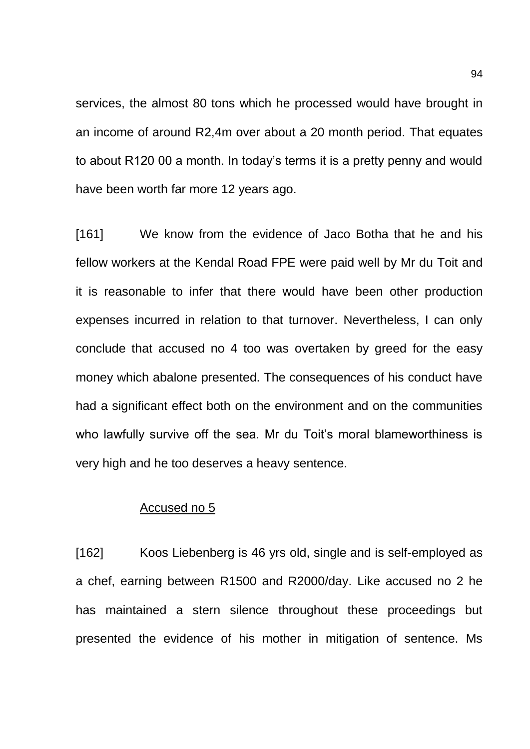services, the almost 80 tons which he processed would have brought in an income of around R2,4m over about a 20 month period. That equates to about R120 00 a month. In today's terms it is a pretty penny and would have been worth far more 12 years ago.

[161] We know from the evidence of Jaco Botha that he and his fellow workers at the Kendal Road FPE were paid well by Mr du Toit and it is reasonable to infer that there would have been other production expenses incurred in relation to that turnover. Nevertheless, I can only conclude that accused no 4 too was overtaken by greed for the easy money which abalone presented. The consequences of his conduct have had a significant effect both on the environment and on the communities who lawfully survive off the sea. Mr du Toit's moral blameworthiness is very high and he too deserves a heavy sentence.

### Accused no 5

[162] Koos Liebenberg is 46 yrs old, single and is self-employed as a chef, earning between R1500 and R2000/day. Like accused no 2 he has maintained a stern silence throughout these proceedings but presented the evidence of his mother in mitigation of sentence. Ms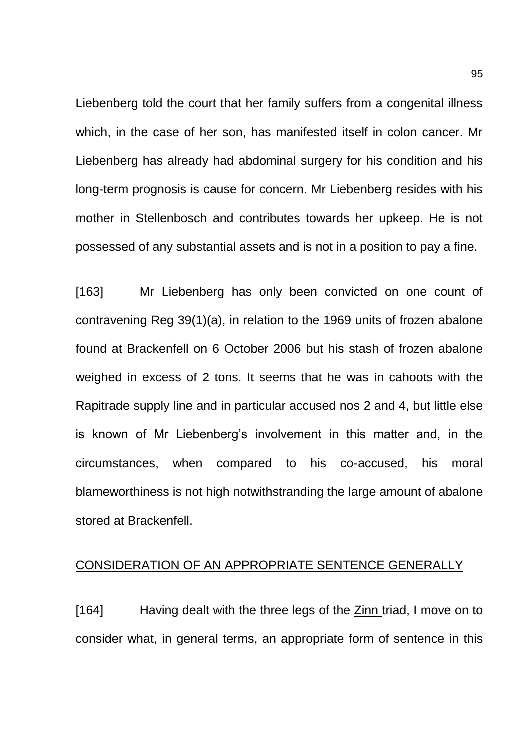Liebenberg told the court that her family suffers from a congenital illness which, in the case of her son, has manifested itself in colon cancer. Mr Liebenberg has already had abdominal surgery for his condition and his long-term prognosis is cause for concern. Mr Liebenberg resides with his mother in Stellenbosch and contributes towards her upkeep. He is not possessed of any substantial assets and is not in a position to pay a fine.

[163] Mr Liebenberg has only been convicted on one count of contravening Reg 39(1)(a), in relation to the 1969 units of frozen abalone found at Brackenfell on 6 October 2006 but his stash of frozen abalone weighed in excess of 2 tons. It seems that he was in cahoots with the Rapitrade supply line and in particular accused nos 2 and 4, but little else is known of Mr Liebenberg's involvement in this matter and, in the circumstances, when compared to his co-accused, his moral blameworthiness is not high notwithstranding the large amount of abalone stored at Brackenfell.

### CONSIDERATION OF AN APPROPRIATE SENTENCE GENERALLY

[164] Having dealt with the three legs of the Zinn triad, I move on to consider what, in general terms, an appropriate form of sentence in this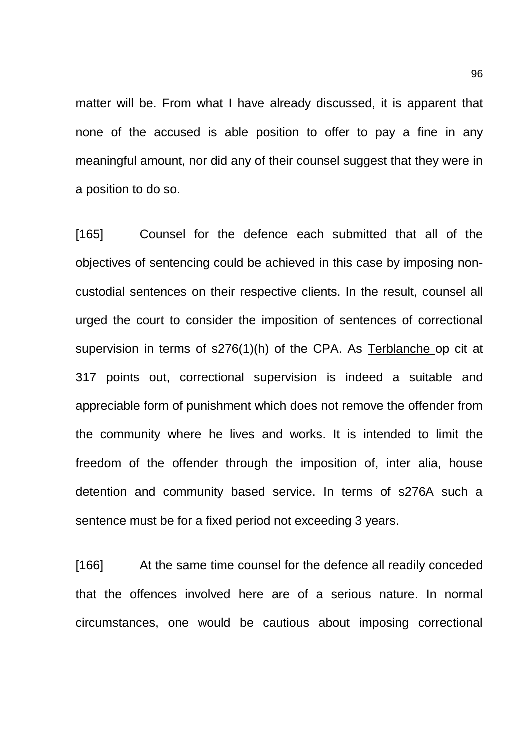matter will be. From what I have already discussed, it is apparent that none of the accused is able position to offer to pay a fine in any meaningful amount, nor did any of their counsel suggest that they were in a position to do so.

[165] Counsel for the defence each submitted that all of the objectives of sentencing could be achieved in this case by imposing noncustodial sentences on their respective clients. In the result, counsel all urged the court to consider the imposition of sentences of correctional supervision in terms of s276(1)(h) of the CPA. As Terblanche op cit at 317 points out, correctional supervision is indeed a suitable and appreciable form of punishment which does not remove the offender from the community where he lives and works. It is intended to limit the freedom of the offender through the imposition of, inter alia, house detention and community based service. In terms of s276A such a sentence must be for a fixed period not exceeding 3 years.

[166] At the same time counsel for the defence all readily conceded that the offences involved here are of a serious nature. In normal circumstances, one would be cautious about imposing correctional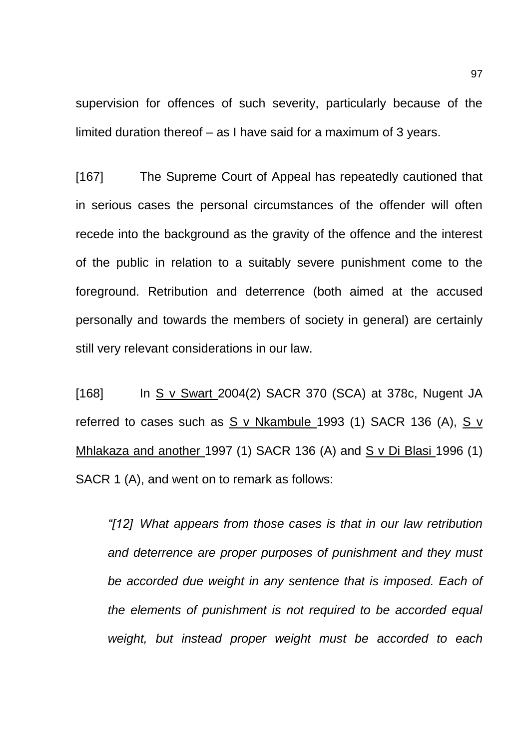supervision for offences of such severity, particularly because of the limited duration thereof – as I have said for a maximum of 3 years.

[167] The Supreme Court of Appeal has repeatedly cautioned that in serious cases the personal circumstances of the offender will often recede into the background as the gravity of the offence and the interest of the public in relation to a suitably severe punishment come to the foreground. Retribution and deterrence (both aimed at the accused personally and towards the members of society in general) are certainly still very relevant considerations in our law.

[168] In S v Swart 2004(2) SACR 370 (SCA) at 378c, Nugent JA referred to cases such as S v Nkambule 1993 (1) SACR 136 (A), S v Mhlakaza and another 1997 (1) SACR 136 (A) and S v Di Blasi 1996 (1) SACR 1 (A), and went on to remark as follows:

*"[12] What appears from those cases is that in our law retribution and deterrence are proper purposes of punishment and they must be accorded due weight in any sentence that is imposed. Each of the elements of punishment is not required to be accorded equal weight, but instead proper weight must be accorded to each*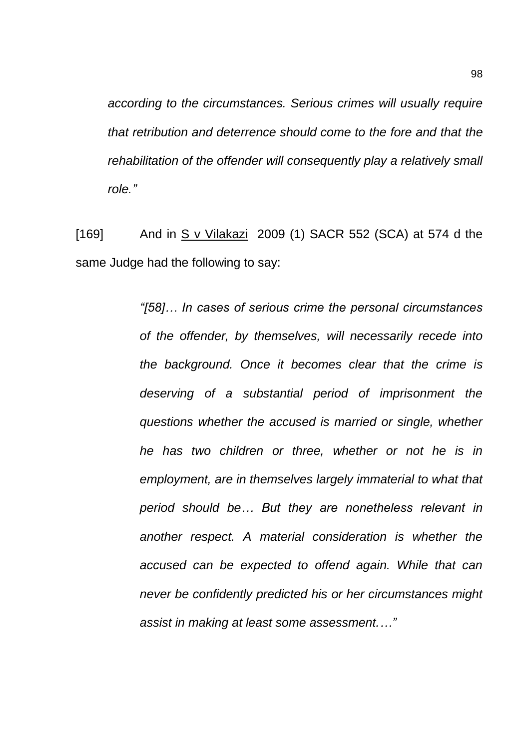*according to the circumstances. Serious crimes will usually require that retribution and deterrence should come to the fore and that the rehabilitation of the offender will consequently play a relatively small role."*

[169] And in S v Vilakazi 2009 (1) SACR 552 (SCA) at 574 d the same Judge had the following to say:

> *"[58]… In cases of serious crime the personal circumstances of the offender, by themselves, will necessarily recede into the background. Once it becomes clear that the crime is deserving of a substantial period of imprisonment the questions whether the accused is married or single, whether he has two children or three, whether or not he is in employment, are in themselves largely immaterial to what that period should be… But they are nonetheless relevant in another respect. A material consideration is whether the accused can be expected to offend again. While that can never be confidently predicted his or her circumstances might assist in making at least some assessment.…"*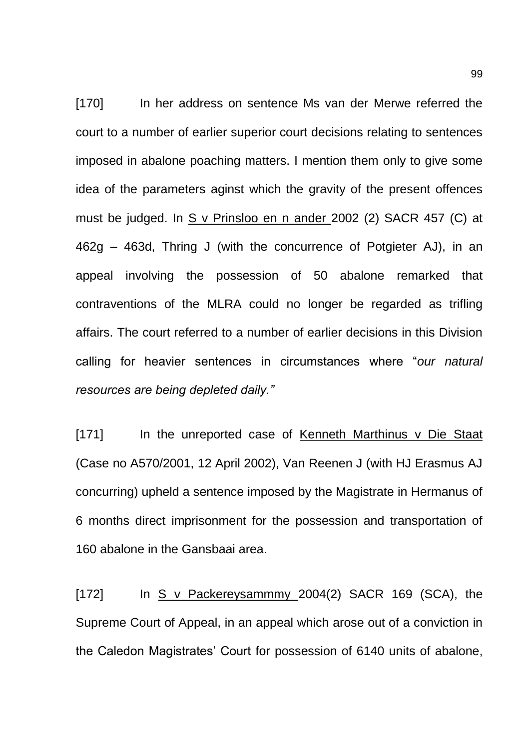[170] In her address on sentence Ms van der Merwe referred the court to a number of earlier superior court decisions relating to sentences imposed in abalone poaching matters. I mention them only to give some idea of the parameters aginst which the gravity of the present offences must be judged. In S v Prinsloo en n ander 2002 (2) SACR 457 (C) at 462g – 463d, Thring J (with the concurrence of Potgieter AJ), in an appeal involving the possession of 50 abalone remarked that contraventions of the MLRA could no longer be regarded as trifling affairs. The court referred to a number of earlier decisions in this Division calling for heavier sentences in circumstances where "*our natural resources are being depleted daily."*

[171] In the unreported case of Kenneth Marthinus v Die Staat (Case no A570/2001, 12 April 2002), Van Reenen J (with HJ Erasmus AJ concurring) upheld a sentence imposed by the Magistrate in Hermanus of 6 months direct imprisonment for the possession and transportation of 160 abalone in the Gansbaai area.

[172] In S v Packereysammmy 2004(2) SACR 169 (SCA), the Supreme Court of Appeal, in an appeal which arose out of a conviction in the Caledon Magistrates' Court for possession of 6140 units of abalone,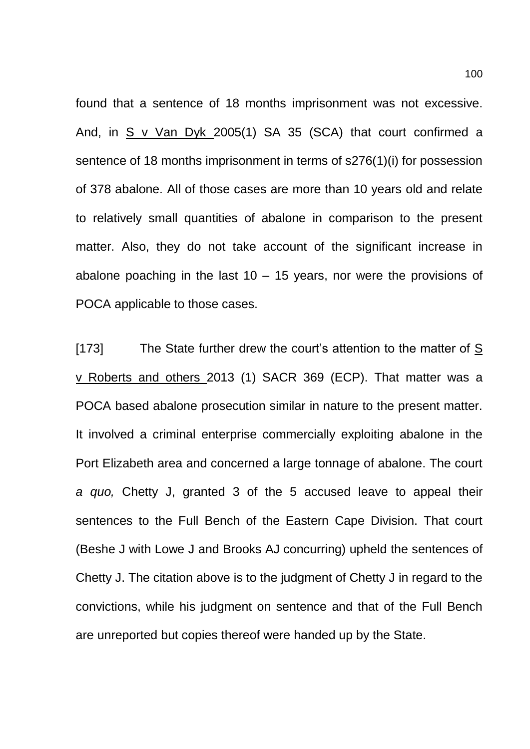found that a sentence of 18 months imprisonment was not excessive. And, in S v Van Dyk 2005(1) SA 35 (SCA) that court confirmed a sentence of 18 months imprisonment in terms of s276(1)(i) for possession of 378 abalone. All of those cases are more than 10 years old and relate to relatively small quantities of abalone in comparison to the present matter. Also, they do not take account of the significant increase in abalone poaching in the last  $10 - 15$  years, nor were the provisions of POCA applicable to those cases.

[173] The State further drew the court's attention to the matter of S v Roberts and others 2013 (1) SACR 369 (ECP). That matter was a POCA based abalone prosecution similar in nature to the present matter. It involved a criminal enterprise commercially exploiting abalone in the Port Elizabeth area and concerned a large tonnage of abalone. The court *a quo,* Chetty J, granted 3 of the 5 accused leave to appeal their sentences to the Full Bench of the Eastern Cape Division. That court (Beshe J with Lowe J and Brooks AJ concurring) upheld the sentences of Chetty J. The citation above is to the judgment of Chetty J in regard to the convictions, while his judgment on sentence and that of the Full Bench are unreported but copies thereof were handed up by the State.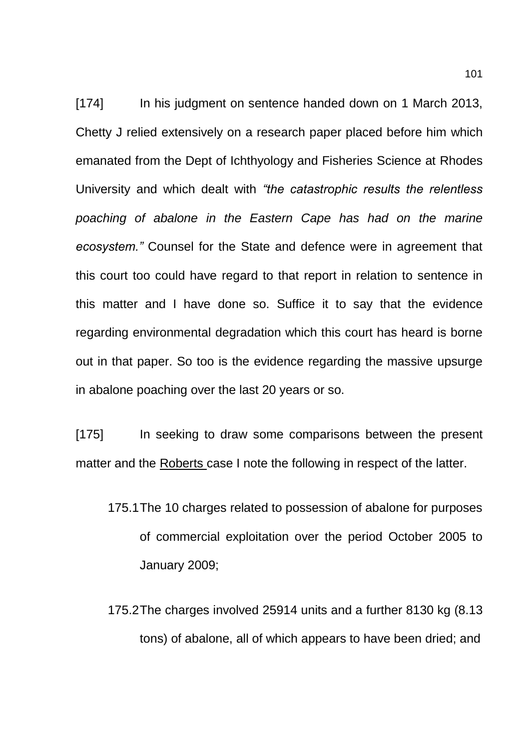[174] In his judgment on sentence handed down on 1 March 2013, Chetty J relied extensively on a research paper placed before him which emanated from the Dept of Ichthyology and Fisheries Science at Rhodes University and which dealt with *"the catastrophic results the relentless poaching of abalone in the Eastern Cape has had on the marine ecosystem."* Counsel for the State and defence were in agreement that this court too could have regard to that report in relation to sentence in this matter and I have done so. Suffice it to say that the evidence regarding environmental degradation which this court has heard is borne out in that paper. So too is the evidence regarding the massive upsurge in abalone poaching over the last 20 years or so.

[175] In seeking to draw some comparisons between the present matter and the Roberts case I note the following in respect of the latter.

- 175.1The 10 charges related to possession of abalone for purposes of commercial exploitation over the period October 2005 to January 2009;
- 175.2The charges involved 25914 units and a further 8130 kg (8.13 tons) of abalone, all of which appears to have been dried; and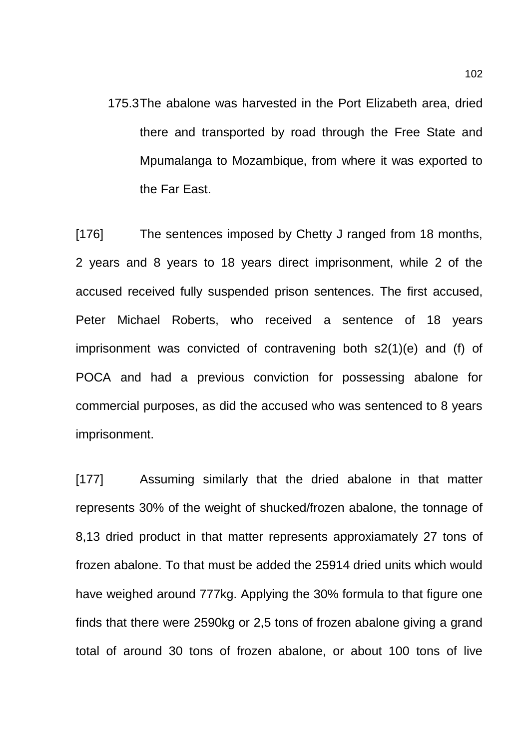175.3The abalone was harvested in the Port Elizabeth area, dried there and transported by road through the Free State and Mpumalanga to Mozambique, from where it was exported to the Far East.

[176] The sentences imposed by Chetty J ranged from 18 months, 2 years and 8 years to 18 years direct imprisonment, while 2 of the accused received fully suspended prison sentences. The first accused, Peter Michael Roberts, who received a sentence of 18 years imprisonment was convicted of contravening both s2(1)(e) and (f) of POCA and had a previous conviction for possessing abalone for commercial purposes, as did the accused who was sentenced to 8 years imprisonment.

[177] Assuming similarly that the dried abalone in that matter represents 30% of the weight of shucked/frozen abalone, the tonnage of 8,13 dried product in that matter represents approxiamately 27 tons of frozen abalone. To that must be added the 25914 dried units which would have weighed around 777kg. Applying the 30% formula to that figure one finds that there were 2590kg or 2,5 tons of frozen abalone giving a grand total of around 30 tons of frozen abalone, or about 100 tons of live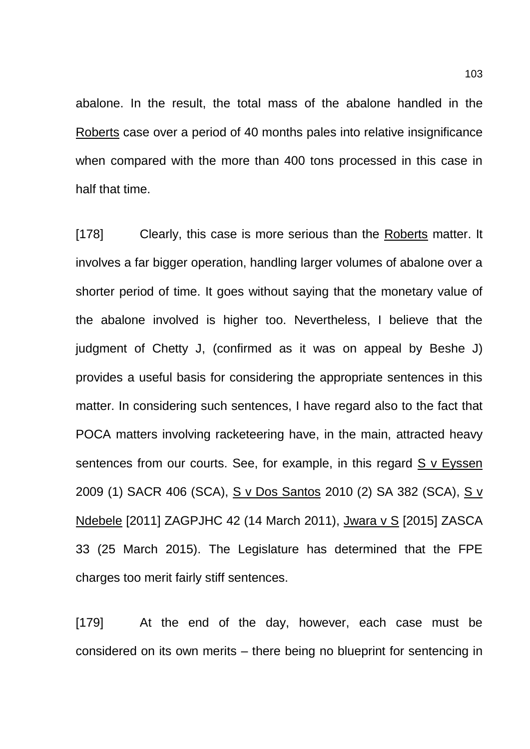abalone. In the result, the total mass of the abalone handled in the Roberts case over a period of 40 months pales into relative insignificance when compared with the more than 400 tons processed in this case in half that time.

[178] Clearly, this case is more serious than the Roberts matter. It involves a far bigger operation, handling larger volumes of abalone over a shorter period of time. It goes without saying that the monetary value of the abalone involved is higher too. Nevertheless, I believe that the judgment of Chetty J, (confirmed as it was on appeal by Beshe J) provides a useful basis for considering the appropriate sentences in this matter. In considering such sentences, I have regard also to the fact that POCA matters involving racketeering have, in the main, attracted heavy sentences from our courts. See, for example, in this regard S v Eyssen 2009 (1) SACR 406 (SCA), S v Dos Santos 2010 (2) SA 382 (SCA), S v Ndebele [2011] ZAGPJHC 42 (14 March 2011), Jwara v S [2015] ZASCA 33 (25 March 2015). The Legislature has determined that the FPE charges too merit fairly stiff sentences.

[179] At the end of the day, however, each case must be considered on its own merits – there being no blueprint for sentencing in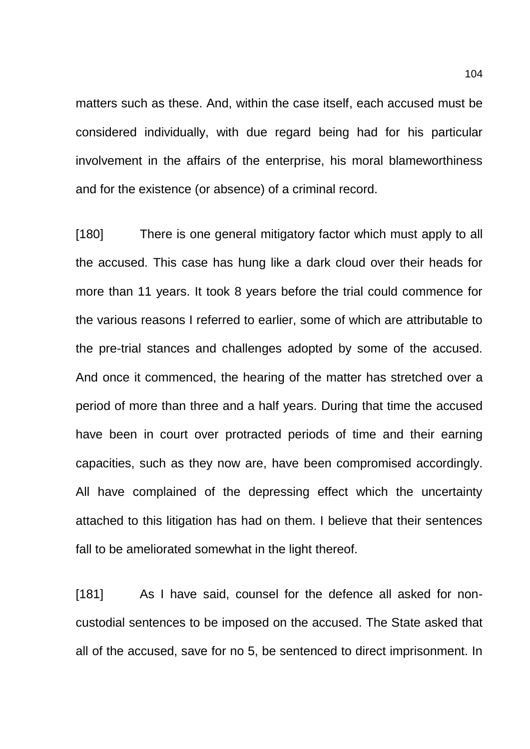matters such as these. And, within the case itself, each accused must be considered individually, with due regard being had for his particular involvement in the affairs of the enterprise, his moral blameworthiness and for the existence (or absence) of a criminal record.

[180] There is one general mitigatory factor which must apply to all the accused. This case has hung like a dark cloud over their heads for more than 11 years. It took 8 years before the trial could commence for the various reasons I referred to earlier, some of which are attributable to the pre-trial stances and challenges adopted by some of the accused. And once it commenced, the hearing of the matter has stretched over a period of more than three and a half years. During that time the accused have been in court over protracted periods of time and their earning capacities, such as they now are, have been compromised accordingly. All have complained of the depressing effect which the uncertainty attached to this litigation has had on them. I believe that their sentences fall to be ameliorated somewhat in the light thereof.

[181] As I have said, counsel for the defence all asked for noncustodial sentences to be imposed on the accused. The State asked that all of the accused, save for no 5, be sentenced to direct imprisonment. In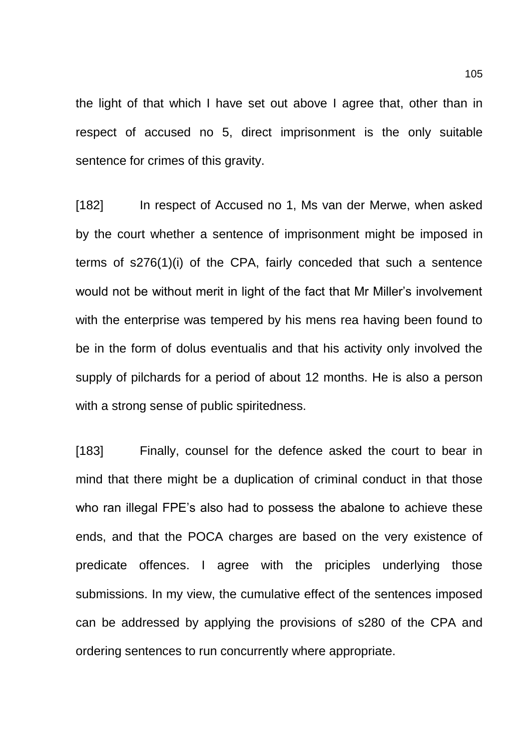the light of that which I have set out above I agree that, other than in respect of accused no 5, direct imprisonment is the only suitable sentence for crimes of this gravity.

[182] In respect of Accused no 1, Ms van der Merwe, when asked by the court whether a sentence of imprisonment might be imposed in terms of s276(1)(i) of the CPA, fairly conceded that such a sentence would not be without merit in light of the fact that Mr Miller's involvement with the enterprise was tempered by his mens rea having been found to be in the form of dolus eventualis and that his activity only involved the supply of pilchards for a period of about 12 months. He is also a person with a strong sense of public spiritedness.

[183] Finally, counsel for the defence asked the court to bear in mind that there might be a duplication of criminal conduct in that those who ran illegal FPE's also had to possess the abalone to achieve these ends, and that the POCA charges are based on the very existence of predicate offences. I agree with the priciples underlying those submissions. In my view, the cumulative effect of the sentences imposed can be addressed by applying the provisions of s280 of the CPA and ordering sentences to run concurrently where appropriate.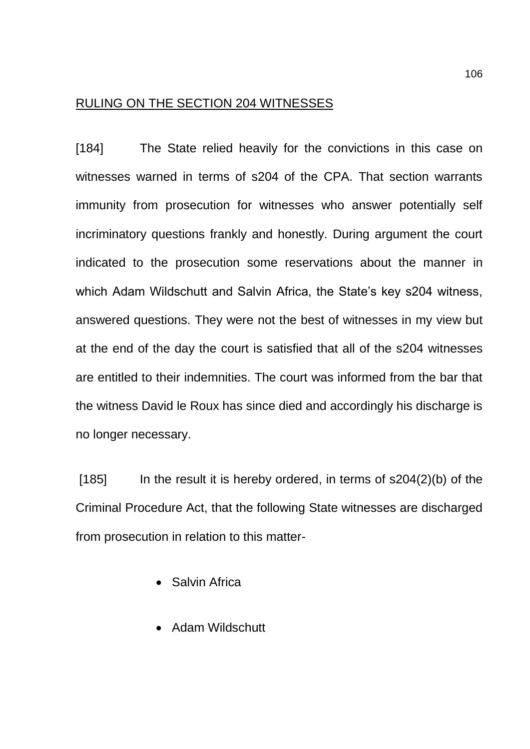## RULING ON THE SECTION 204 WITNESSES

[184] The State relied heavily for the convictions in this case on witnesses warned in terms of s204 of the CPA. That section warrants immunity from prosecution for witnesses who answer potentially self incriminatory questions frankly and honestly. During argument the court indicated to the prosecution some reservations about the manner in which Adam Wildschutt and Salvin Africa, the State's key s204 witness, answered questions. They were not the best of witnesses in my view but at the end of the day the court is satisfied that all of the s204 witnesses are entitled to their indemnities. The court was informed from the bar that the witness David le Roux has since died and accordingly his discharge is no longer necessary.

 $[185]$  In the result it is hereby ordered, in terms of  $\frac{1204(2)}{b}$  of the Criminal Procedure Act, that the following State witnesses are discharged from prosecution in relation to this matter-

- Salvin Africa
- Adam Wildschutt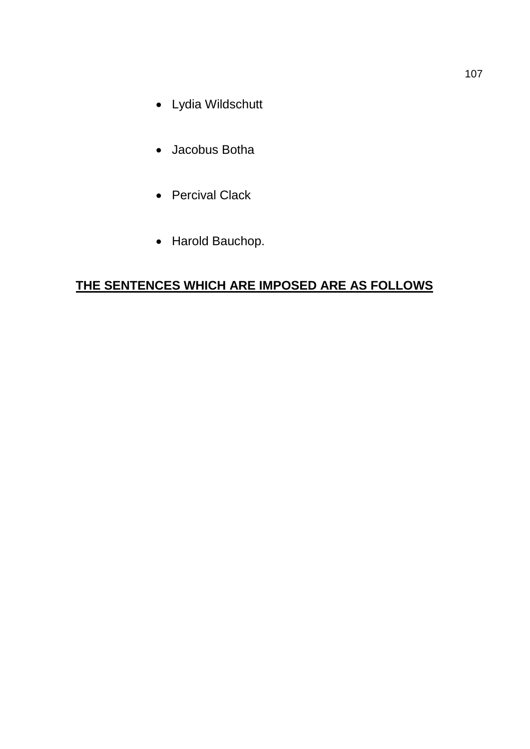- Lydia Wildschutt
- Jacobus Botha
- Percival Clack
- Harold Bauchop.

# **THE SENTENCES WHICH ARE IMPOSED ARE AS FOLLOWS**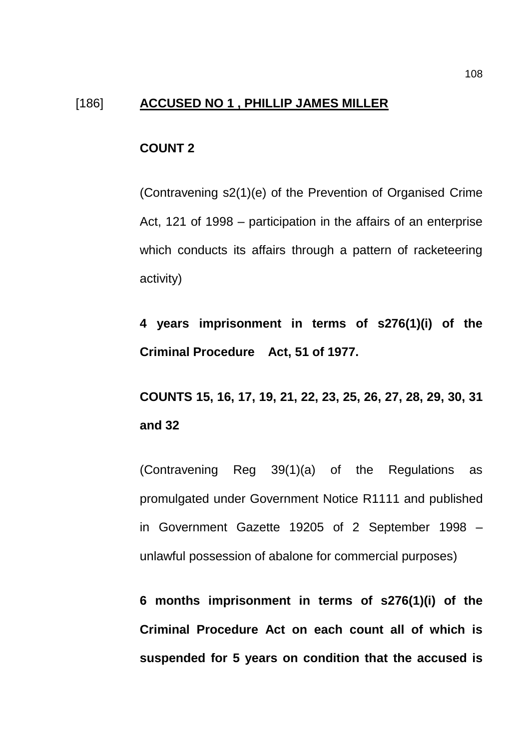## [186] **ACCUSED NO 1 , PHILLIP JAMES MILLER**

### **COUNT 2**

(Contravening s2(1)(e) of the Prevention of Organised Crime Act, 121 of 1998 – participation in the affairs of an enterprise which conducts its affairs through a pattern of racketeering activity)

**4 years imprisonment in terms of s276(1)(i) of the Criminal Procedure Act, 51 of 1977.**

**COUNTS 15, 16, 17, 19, 21, 22, 23, 25, 26, 27, 28, 29, 30, 31 and 32**

(Contravening Reg 39(1)(a) of the Regulations as promulgated under Government Notice R1111 and published in Government Gazette 19205 of 2 September 1998 – unlawful possession of abalone for commercial purposes)

**6 months imprisonment in terms of s276(1)(i) of the Criminal Procedure Act on each count all of which is suspended for 5 years on condition that the accused is**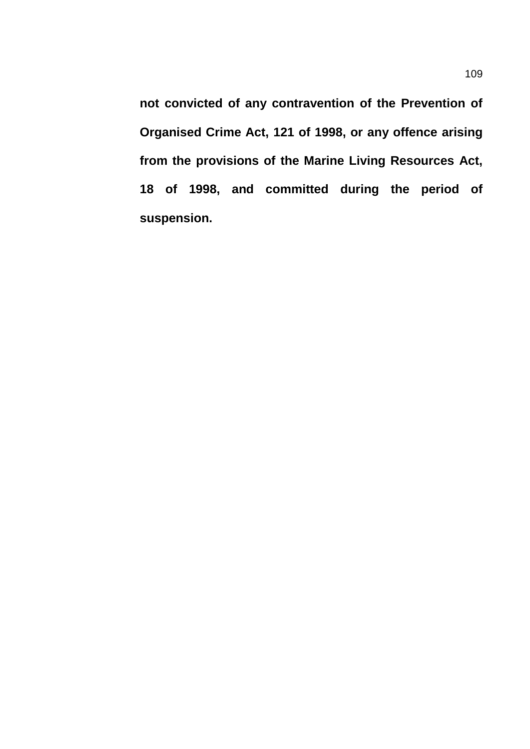**not convicted of any contravention of the Prevention of Organised Crime Act, 121 of 1998, or any offence arising from the provisions of the Marine Living Resources Act, 18 of 1998, and committed during the period of suspension.**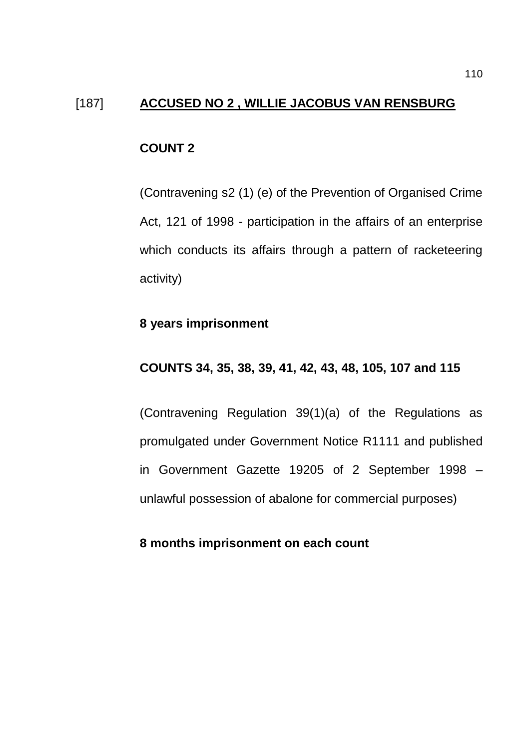## [187] **ACCUSED NO 2 , WILLIE JACOBUS VAN RENSBURG**

## **COUNT 2**

(Contravening s2 (1) (e) of the Prevention of Organised Crime Act, 121 of 1998 - participation in the affairs of an enterprise which conducts its affairs through a pattern of racketeering activity)

#### **8 years imprisonment**

## **COUNTS 34, 35, 38, 39, 41, 42, 43, 48, 105, 107 and 115**

(Contravening Regulation 39(1)(a) of the Regulations as promulgated under Government Notice R1111 and published in Government Gazette 19205 of 2 September 1998 – unlawful possession of abalone for commercial purposes)

## **8 months imprisonment on each count**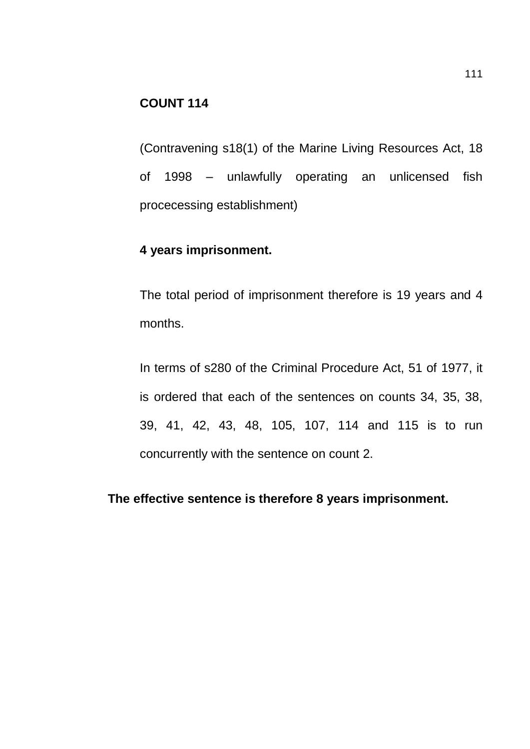## **COUNT 114**

(Contravening s18(1) of the Marine Living Resources Act, 18 of 1998 – unlawfully operating an unlicensed fish procecessing establishment)

# **4 years imprisonment.**

The total period of imprisonment therefore is 19 years and 4 months.

In terms of s280 of the Criminal Procedure Act, 51 of 1977, it is ordered that each of the sentences on counts 34, 35, 38, 39, 41, 42, 43, 48, 105, 107, 114 and 115 is to run concurrently with the sentence on count 2.

**The effective sentence is therefore 8 years imprisonment.**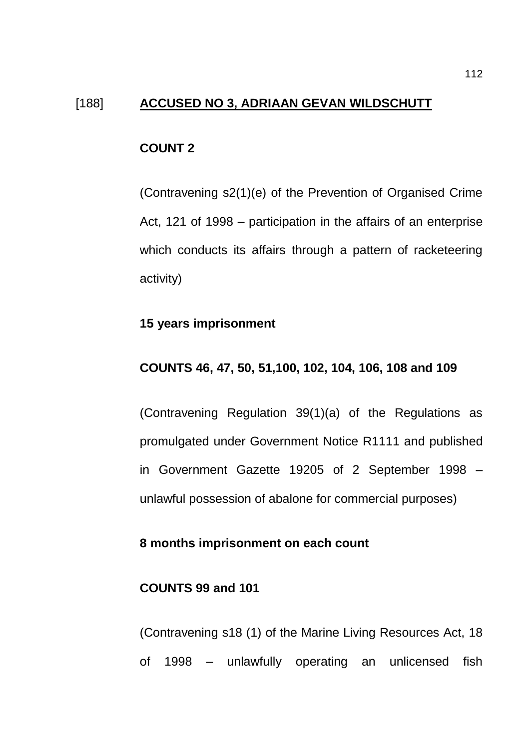#### [188] **ACCUSED NO 3, ADRIAAN GEVAN WILDSCHUTT**

#### **COUNT 2**

(Contravening s2(1)(e) of the Prevention of Organised Crime Act, 121 of 1998 – participation in the affairs of an enterprise which conducts its affairs through a pattern of racketeering activity)

#### **15 years imprisonment**

#### **COUNTS 46, 47, 50, 51,100, 102, 104, 106, 108 and 109**

(Contravening Regulation 39(1)(a) of the Regulations as promulgated under Government Notice R1111 and published in Government Gazette 19205 of 2 September 1998 – unlawful possession of abalone for commercial purposes)

### **8 months imprisonment on each count**

#### **COUNTS 99 and 101**

(Contravening s18 (1) of the Marine Living Resources Act, 18 of 1998 – unlawfully operating an unlicensed fish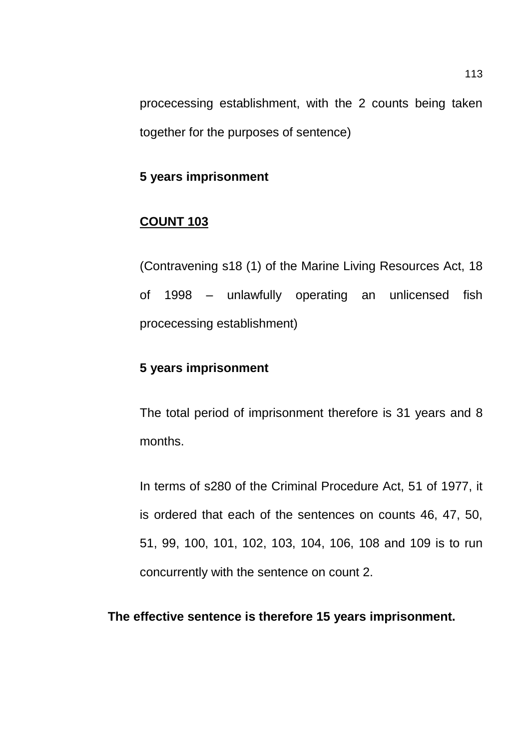procecessing establishment, with the 2 counts being taken together for the purposes of sentence)

# **5 years imprisonment**

# **COUNT 103**

(Contravening s18 (1) of the Marine Living Resources Act, 18 of 1998 – unlawfully operating an unlicensed fish procecessing establishment)

# **5 years imprisonment**

The total period of imprisonment therefore is 31 years and 8 months.

In terms of s280 of the Criminal Procedure Act, 51 of 1977, it is ordered that each of the sentences on counts 46, 47, 50, 51, 99, 100, 101, 102, 103, 104, 106, 108 and 109 is to run concurrently with the sentence on count 2.

#### **The effective sentence is therefore 15 years imprisonment.**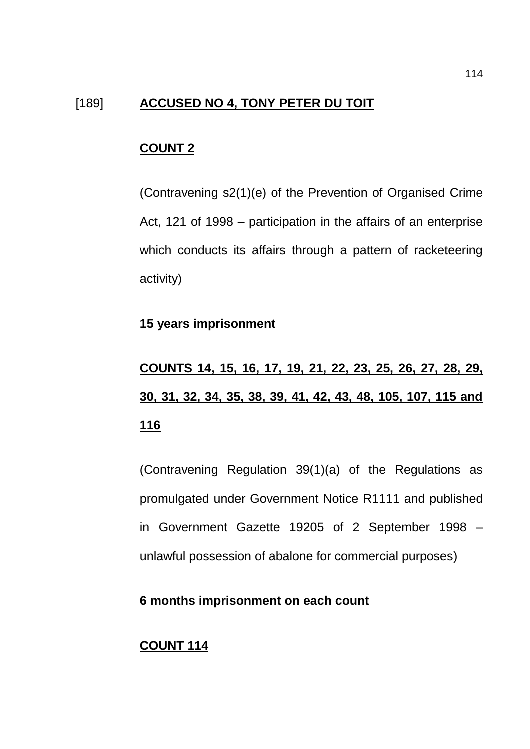## [189] **ACCUSED NO 4, TONY PETER DU TOIT**

#### **COUNT 2**

(Contravening s2(1)(e) of the Prevention of Organised Crime Act, 121 of 1998 – participation in the affairs of an enterprise which conducts its affairs through a pattern of racketeering activity)

#### **15 years imprisonment**

# **COUNTS 14, 15, 16, 17, 19, 21, 22, 23, 25, 26, 27, 28, 29, 30, 31, 32, 34, 35, 38, 39, 41, 42, 43, 48, 105, 107, 115 and 116**

(Contravening Regulation 39(1)(a) of the Regulations as promulgated under Government Notice R1111 and published in Government Gazette 19205 of 2 September 1998 – unlawful possession of abalone for commercial purposes)

# **6 months imprisonment on each count**

# **COUNT 114**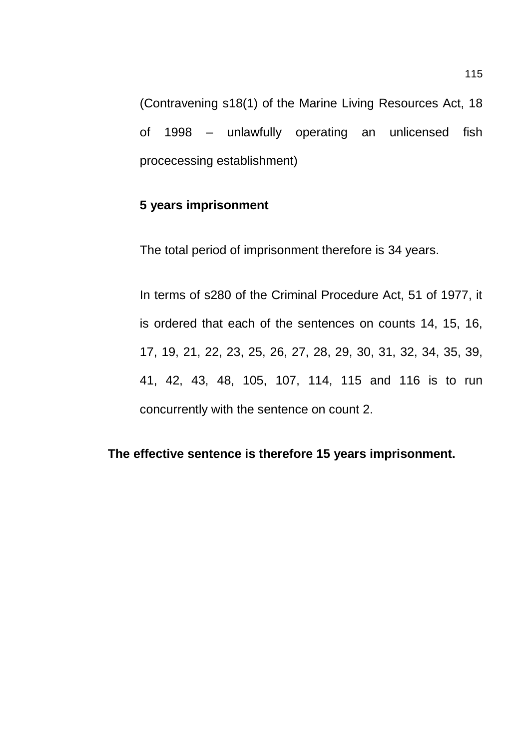(Contravening s18(1) of the Marine Living Resources Act, 18 of 1998 – unlawfully operating an unlicensed fish procecessing establishment)

## **5 years imprisonment**

The total period of imprisonment therefore is 34 years.

In terms of s280 of the Criminal Procedure Act, 51 of 1977, it is ordered that each of the sentences on counts 14, 15, 16, 17, 19, 21, 22, 23, 25, 26, 27, 28, 29, 30, 31, 32, 34, 35, 39, 41, 42, 43, 48, 105, 107, 114, 115 and 116 is to run concurrently with the sentence on count 2.

## **The effective sentence is therefore 15 years imprisonment.**